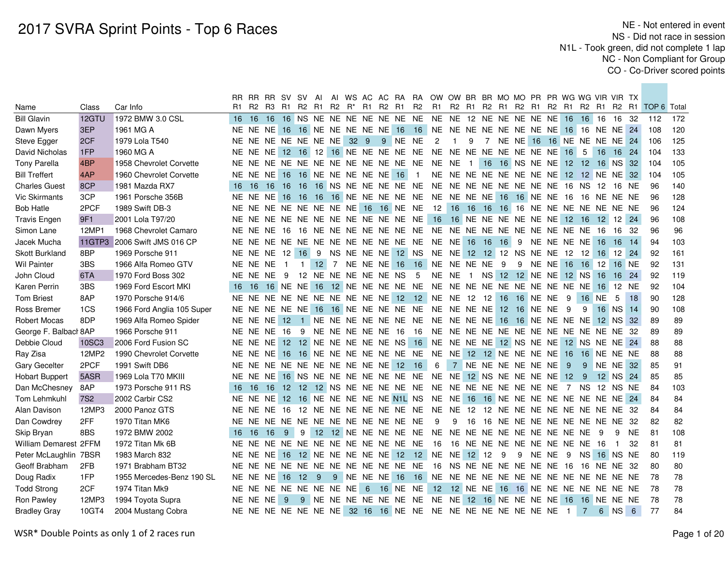|                       |              |                            | RR.             | RR RR SV SV                         |          |               |              | Al                               |  |                 |                      |                                  |                                     | AI WS AC AC RA RA OW OW BR BR MO MO PR PR WG WG VIR VIR TX                 |                |                   |    |          |       |             |                                        |                |      |                |           |                                                 |     |
|-----------------------|--------------|----------------------------|-----------------|-------------------------------------|----------|---------------|--------------|----------------------------------|--|-----------------|----------------------|----------------------------------|-------------------------------------|----------------------------------------------------------------------------|----------------|-------------------|----|----------|-------|-------------|----------------------------------------|----------------|------|----------------|-----------|-------------------------------------------------|-----|
| Name                  | Class        | Car Info                   | R1.             | R2                                  |          |               |              | R3 R1 R2 R1 R2 R <sup>*</sup> R1 |  |                 | R2 R1                |                                  | R2                                  | R1                                                                         |                |                   |    |          |       |             |                                        |                |      |                |           | R2 R1 R2 R1 R2 R1 R2 R1 R2 R1 R2 R1 TOP 6 Total |     |
| <b>Bill Glavin</b>    | 12GTU        | 1972 BMW 3.0 CSL           |                 | 16 16                               | 16       |               |              |                                  |  |                 |                      | 16 NS NE NE NE NE NE NE NE       |                                     | NE NE 12 NE NE NE NE NE                                                    |                |                   |    |          |       |             | 16 16 16                               |                |      | 16 32          |           | 112                                             | 172 |
| Dawn Myers            | 3EP          | 1961 MG A                  |                 |                                     |          |               |              |                                  |  |                 |                      |                                  |                                     | NE NE NE 16 16 NE NE NE NE NE 16 16 NE NE NE NE NE NE NE NE 16 16 NE NE 24 |                |                   |    |          |       |             |                                        |                |      |                |           | 108                                             | 120 |
| Steve Egger           | 2CF          | 1979 Lola T540             |                 | NE NE NE NE NE NE NE 32 9           |          |               |              |                                  |  |                 |                      | 9 NE NE                          |                                     | $\overline{c}$                                                             | -1             | 9                 |    |          |       |             | 7 NE NE 16 16 NE NE NE NE 24           |                |      |                |           | 106                                             | 125 |
| David Nicholas        | 1FP          | 1960 MG A                  |                 |                                     |          |               |              |                                  |  |                 |                      |                                  |                                     |                                                                            |                |                   |    |          |       |             | 16                                     | 5              | 16   | 16 24          |           | 104                                             | 133 |
| <b>Tony Parella</b>   | 4BP          | 1958 Chevrolet Corvette    |                 |                                     |          |               |              |                                  |  |                 |                      |                                  |                                     |                                                                            |                | $\vert$ 1 $\vert$ |    |          |       |             | 16 16 NS NE NE 12 12 16 NS 32          |                |      |                |           | 104                                             | 105 |
| <b>Bill Treffert</b>  | 4AP          | 1960 Chevrolet Corvette    |                 | NE NE NE                            |          | 16            |              |                                  |  |                 | 16 NE NE NE NE NE 16 |                                  | -1                                  |                                                                            |                |                   |    |          |       |             | NE NE NE NE NE NE NE NE 12 12 NE NE 32 |                |      |                |           | 104                                             | 105 |
| <b>Charles Guest</b>  | 8CP          | 1981 Mazda RX7             | 16 <sup>1</sup> | 16                                  | 16 16 16 |               |              |                                  |  |                 |                      |                                  |                                     |                                                                            |                |                   |    |          |       |             |                                        |                |      | 16 NE          |           | 96                                              | 140 |
| Vic Skirmants         | 3CP          | 1961 Porsche 356B          |                 | NE NE NE 16 16                      |          |               |              |                                  |  |                 |                      |                                  |                                     | 16 16 NE NE NE NE NE NE NE NE NE 16 16 NE NE 16 16 NE NE NE NE             |                |                   |    |          |       |             |                                        |                |      |                |           | 96                                              | 128 |
| <b>Bob Hatle</b>      | 2PCF         | 1989 Swift DB-3            |                 | NE NE NE NE NE NE NE NE 16 16 NE NE |          |               |              |                                  |  |                 |                      |                                  |                                     | 12 16 16 16 16 16 NE NE NE NE NE NE NE NE                                  |                |                   |    |          |       |             |                                        |                |      |                |           | 96                                              | 124 |
| <b>Travis Engen</b>   | 9F1          | 2001 Lola T97/20           |                 |                                     |          |               |              |                                  |  |                 |                      |                                  | NE NE NE NE NE NE NE NE NE NE NE NE |                                                                            |                |                   |    |          |       |             | 16 16 NE NE NE NE NE NE 12 16          |                |      | 12 12 24       |           | 96                                              | 108 |
| Simon Lane            | 12MP1        | 1968 Chevrolet Camaro      |                 | NE NE NE 16                         |          |               |              |                                  |  |                 |                      |                                  |                                     |                                                                            |                |                   |    |          |       |             |                                        |                | - 16 | 16 32          |           | 96                                              | 96  |
| Jacek Mucha           | 11GTP3       | 2006 Swift JMS 016 CP      |                 |                                     |          |               |              |                                  |  |                 |                      |                                  | NE NE NE NE NE NE NE NE NE NE NE NE | NE NE 16 16                                                                |                |                   | 16 | - 9      |       |             | NE NE NE NE                            |                | 16   | -16            | 14        | 94                                              | 103 |
| <b>Skott Burkland</b> | 8BP          | 1969 Porsche 911           |                 | NE NE NE 12 16 9                    |          |               |              |                                  |  |                 |                      | NS NE NE NE 12 NS                |                                     | NE NE 12 12 12 NS NE NE                                                    |                |                   |    |          |       |             | 12 12                                  |                |      | 16 12 24       |           | 92                                              | 161 |
| <b>Wil Painter</b>    | 3BS          | 1966 Alfa Romeo GTV        |                 | NE NE NE                            |          |               | $\mathbf{1}$ |                                  |  |                 | 12 7 NE NE NE 16     |                                  | 16                                  | NE NE NE NE                                                                |                |                   | 9  | 9        |       | NE NE       | 16 16                                  |                | 12   | 16 NE          |           | 92                                              | 131 |
| John Cloud            | 6TA          | 1970 Ford Boss 302         |                 | NE NE NE                            |          | - 9           |              |                                  |  |                 | 12 NE NE NE NE NE NS |                                  | 5                                   | NE NE                                                                      |                | $\overline{1}$    |    |          |       |             | NS 12 12 NE NE 12 NS                   |                | 16   | 16 24          |           | 92                                              | 119 |
| Karen Perrin          | 3BS          | 1969 Ford Escort MKI       |                 | 16 16                               |          |               |              |                                  |  |                 |                      | 16 NE NE 16 12 NE NE NE NE NE    |                                     | NE NE NE NE NE NE NE NE NE NE                                              |                |                   |    |          |       |             |                                        |                | 16   | 12 NE          |           | 92                                              | 104 |
| <b>Tom Briest</b>     | 8AP          | 1970 Porsche 914/6         |                 |                                     |          |               |              |                                  |  |                 |                      |                                  |                                     | NE NE NE NE NE NE NE NE NE NE 12 12 NE NE 12 12 16                         |                |                   |    | 16 NE NE |       |             | 9                                      | 16 NE          |      | 5              | 18        | 90                                              | 128 |
| Ross Bremer           | 1CS          | 1966 Ford Anglia 105 Super |                 |                                     |          |               |              |                                  |  |                 |                      |                                  |                                     | NE NE NE NE NE 16 16 NE NE NE NE NE NE NE NE NE NE                         |                |                   |    |          |       | 12 16 NE NE | 9                                      | 9              |      | 16 NS 14       |           | 90                                              | 108 |
| <b>Robert Mocas</b>   | 8DP          | 1969 Alfa Romeo Spider     |                 | NE NE NE 12                         |          |               |              |                                  |  |                 |                      |                                  |                                     | 1 NE NE NE NE NE NE NE NE NE NE NE 16 16 NE NE NE NE NE                    |                |                   |    |          |       |             |                                        |                |      | 12 NS 32       |           | 89                                              | 89  |
| George F. Balbacl 8AP |              | 1966 Porsche 911           |                 | NE NE NE                            |          | 16            | - 9          |                                  |  |                 | NE NE NE NE NE 16    |                                  | 16                                  | NE NE NE NE NE NE NE NE NE NE NE NE 32                                     |                |                   |    |          |       |             |                                        |                |      |                |           | 89                                              | 89  |
| Debbie Cloud          | <b>10SC3</b> | 2006 Ford Fusion SC        |                 | NE NE NE                            |          |               |              |                                  |  |                 |                      | 12 12 NE NE NE NE NE NS 16       |                                     | NE NE NE NE 12 NS NE NE 12 NS NE NE 24                                     |                |                   |    |          |       |             |                                        |                |      |                |           | 88                                              | 88  |
| Ray Zisa              | 12MP2        | 1990 Chevrolet Corvette    |                 |                                     |          |               |              |                                  |  |                 |                      |                                  |                                     | NE NE NE 16 16 NE NE NE NE NE NE NE NE NE 12 12 NE NE NE NE 16 16 NE NE NE |                |                   |    |          |       |             |                                        |                |      |                |           | 88                                              | 88  |
| <b>Gary Gecelter</b>  | 2PCF         | 1991 Swift DB6             |                 | NE NE NE NE NE NE NE NE NE NE 12    |          |               |              |                                  |  |                 |                      |                                  | 16                                  | 6                                                                          | $7^{\circ}$    | NE NE NE NE NE NE |    |          |       |             | - 9                                    | - 9            |      | NE NE 32       |           | 85                                              | 91  |
| <b>Hobart Buppert</b> | 5ASR         | 1969 Lola T70 MKIII        |                 | NE NE NE                            |          |               |              |                                  |  |                 |                      | 16 NS NE NE NE NE NE NE NE       |                                     | NE NE 12 NS NE NE NE NE 12                                                 |                |                   |    |          |       |             |                                        | - 9            |      | 12 NS 24       |           | 85                                              | 85  |
| Dan McChesney         | 8AP          | 1973 Porsche 911 RS        | 16              | 16                                  | 16       | $12 \quad 12$ |              |                                  |  |                 |                      | 12 NS NE NE NE NE NE             |                                     | NE NE NE NE NE NE NE NE                                                    |                |                   |    |          |       |             | $\overline{7}$                         | NS.            |      | 12 NS NE       |           | 84                                              | 103 |
| Tom Lehmkuhl          | <b>7S2</b>   | 2002 Carbir CS2            |                 | NE NE NE                            |          |               |              |                                  |  |                 |                      | 12 16 NE NE NE NE NE N1L NS      |                                     | NE NE 16 16 NE NE NE NE NE NE NE                                           |                |                   |    |          |       |             |                                        |                |      | NE 24          |           | 84                                              | 84  |
| Alan Davison          | 12MP3        | 2000 Panoz GTS             |                 | NE NE NE 16                         |          |               |              |                                  |  |                 |                      |                                  |                                     | 12 NE NE NE NE NE NE NE NE NE 12 12 NE NE NE NE NE NE NE NE 32             |                |                   |    |          |       |             |                                        |                |      |                |           | 84                                              | 84  |
| Dan Cowdrey           | 2FF          | 1970 Titan MK6             |                 | NE NE NE NE NE NE NE NE NE NE NE NE |          |               |              |                                  |  |                 |                      |                                  |                                     | -9                                                                         | 9              | 16                |    |          |       |             | 16 NE NE NE NE NE NE NE NE 32          |                |      |                |           | 82                                              | 82  |
| Skip Bryan            | 8BS          | 1972 BMW 2002              | 16              | 16                                  | 16       | 9             | 9            |                                  |  |                 |                      |                                  |                                     |                                                                            |                |                   |    |          |       |             |                                        |                | 9    | 9              | <b>NE</b> | 81                                              | 108 |
| William Demarest 2FFM |              | 1972 Titan Mk 6B           | NE.             |                                     |          |               |              |                                  |  |                 |                      | NE NE NE NE NE NE NE NE NE NE NE |                                     | 16                                                                         |                |                   |    |          |       |             | 16 NE NE NE NE NE NE NE NE             |                | 16   | $\overline{1}$ | 32        | 81                                              | 81  |
| Peter McLaughlin 7BSR |              | 1983 March 832             | NE.             | NE NE                               |          | 16            |              |                                  |  |                 |                      | 12 NE NE NE NE NE 12 12          |                                     | NE NE 12 12                                                                |                |                   | 9  | 9        | NE NE |             | 9                                      | NS.            |      | 16 NS NE       |           | 80                                              | 119 |
| Geoff Brabham         | 2FB          | 1971 Brabham BT32          |                 | NE NE NE NE NE NE NE NE NE NE NE NE |          |               |              |                                  |  |                 |                      |                                  |                                     |                                                                            |                |                   |    |          |       |             | 16 NS NE NE NE NE NE NE 16 16          |                | NE.  | NE 32          |           | 80                                              | 80  |
| Doug Radix            | 1FP          | 1955 Mercedes-Benz 190 SL  |                 | NE NE NE                            |          |               | 16 12 9      |                                  |  |                 |                      | 9 NE NE NE 16 16                 |                                     |                                                                            |                |                   |    |          |       |             |                                        |                |      |                |           | 78                                              | 78  |
| <b>Todd Strong</b>    | 2CF          | 1974 Titan Mk9             |                 | NE NE NE NE NE NE NE NE             |          |               |              |                                  |  | $6\overline{6}$ |                      | 16 NE NE                         |                                     |                                                                            | 12 12 NE NE 16 |                   |    |          |       |             | 16 NE NE NE NE NE NE NE                |                |      |                |           | 78                                              | 78  |
| Ron Pawley            | 12MP3        | 1994 Toyota Supra          |                 | NE NE NE                            |          | 9             |              |                                  |  |                 |                      | 9 NE NE NE NE NE NE NE           |                                     | NE NE 12 16 NE NE NE NE 16 16 NE NE NE                                     |                |                   |    |          |       |             |                                        |                |      |                |           | 78                                              | 78  |
| <b>Bradley Gray</b>   | 10GT4        | 2004 Mustang Cobra         |                 |                                     |          |               |              |                                  |  |                 |                      |                                  |                                     | NE NE NE NE NE NE NE 32 16 16 NE NE NE NE NE NE NE NE NE NE NE             |                |                   |    |          |       |             | $\blacksquare$                         | 7 <sup>7</sup> |      | 6 NS 6         |           | 77                                              | 84  |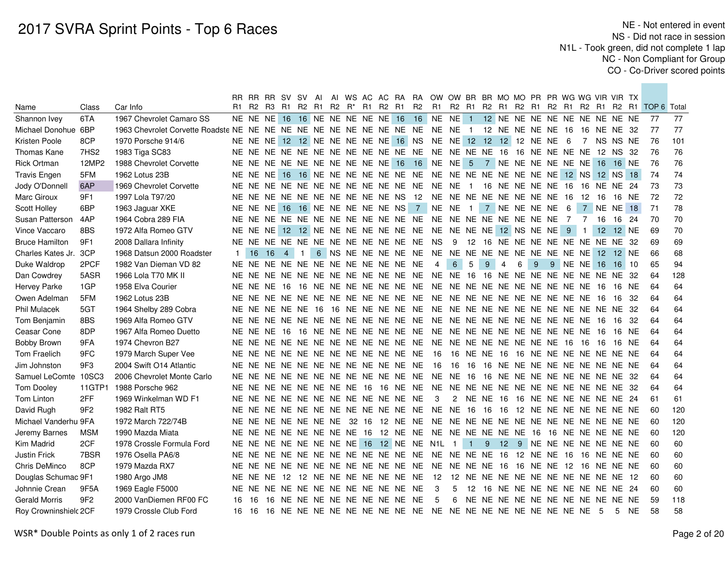|                       |                  |                            |                |       |                   |     |  |  |  |                                        | RR RR RR SV SV AI AI WS AC AC RA RA OW OW BR BR MO MO PR PR WG WG VIR VIR TX |                                        |                   |                  |                |   |   |                                     |                 |      |              |      |                                                    |        |
|-----------------------|------------------|----------------------------|----------------|-------|-------------------|-----|--|--|--|----------------------------------------|------------------------------------------------------------------------------|----------------------------------------|-------------------|------------------|----------------|---|---|-------------------------------------|-----------------|------|--------------|------|----------------------------------------------------|--------|
| Name                  | Class            | Car Info                   | R1.            | R2 R3 |                   |     |  |  |  | R1 R2 R1 R2 R <sup>*</sup> R1 R2 R1 R2 |                                                                              |                                        |                   |                  |                |   |   |                                     |                 |      |              |      | R1 R2 R1 R2 R1 R2 R1 R2 R1 R2 R1 R2 R1 TOP 6 Total |        |
| Shannon Ivey          | 6TA              | 1967 Chevrolet Camaro SS   |                |       |                   |     |  |  |  |                                        | NE NE NE 16 16 NE NE NE NE NE 16 16 NE NE 1 12 NE NE NE NE NE NE NE NE NE NE |                                        |                   |                  |                |   |   |                                     |                 |      |              |      | - 77                                               | 77     |
| Michael Donohue       | 6BP              |                            |                |       |                   |     |  |  |  |                                        |                                                                              |                                        |                   |                  |                |   |   |                                     |                 |      | 16 NE NE 32  |      | 77                                                 | 77     |
| Kristen Poole         | 8CP              | 1970 Porsche 914/6         |                |       |                   |     |  |  |  | NE NE NE 12 12 NE NE NE NE NE 16 NS    | NE NE 12 12 12 12 NE NE 6                                                    |                                        |                   |                  |                |   |   |                                     | $7\overline{ }$ |      | NS NS NE     |      | 76                                                 | 101    |
| <b>Thomas Kane</b>    | 7HS <sub>2</sub> | 1983 Tiga SC83             |                |       |                   |     |  |  |  |                                        |                                                                              |                                        |                   |                  |                |   |   |                                     |                 |      |              |      | 76                                                 | 76     |
| <b>Rick Ortman</b>    | 12MP2            | 1988 Chevrolet Corvette    |                |       |                   |     |  |  |  |                                        | NE NE NE NE NE NE NE NE NE NE 16 16 NE NE 5                                  |                                        |                   |                  |                |   |   | 7 NE NE NE NE NE NE 16 16 NE        |                 |      |              |      | 76                                                 | 76     |
| <b>Travis Engen</b>   | 5FM              | 1962 Lotus 23B             |                |       |                   |     |  |  |  |                                        |                                                                              |                                        |                   |                  |                |   |   |                                     |                 |      |              |      | 74                                                 | 74     |
| Jody O'Donnell        | 6AP              | 1969 Chevrolet Corvette    |                |       |                   |     |  |  |  |                                        |                                                                              |                                        |                   |                  |                |   |   |                                     |                 |      | 16 NE NE 24  |      | 73                                                 | 73     |
| Marc Giroux           | 9F1              | 1997 Lola T97/20           |                |       |                   |     |  |  |  | NE NE NE NE NE NE NE NE NE NE NS 12    | NE NE NE NE NE NE NE NE 16                                                   |                                        |                   |                  |                |   |   |                                     | 12 16           |      | 16 NE        |      | 72                                                 | $72\,$ |
| Scott Holley          | 6BP              | 1963 Jaguar XKE            |                |       |                   |     |  |  |  | NE NE NE 16 16 NE NE NE NE NE NS 7     | NE NE                                                                        |                                        | 1 7 NE NE NE NE 6 |                  |                |   |   |                                     |                 | 7 NE | <b>NE</b>    | 18   | 71                                                 | 78     |
| Susan Patterson       | 4AP              | 1964 Cobra 289 FIA         |                |       |                   |     |  |  |  | NE NE NE NE NE NE NE NE NE NE NE NE NE | NE NE NE NE NE NE NE NE 7                                                    |                                        |                   |                  |                |   |   |                                     | 7 16            |      | 16 24        |      | 70                                                 | 70     |
| Vince Vaccaro         | 8BS              | 1972 Alfa Romeo GTV        |                |       |                   |     |  |  |  |                                        | NE NE NE 12 12 NE NE NE NE NE NE NE NE NE NE NE 12 NS NE NE 9                |                                        |                   |                  |                |   |   |                                     | $\overline{1}$  | 12   | 12 NE        |      | 69                                                 | 70     |
| <b>Bruce Hamilton</b> | 9F1              | 2008 Dallara Infinity      |                |       |                   |     |  |  |  | NE NE NE NE NE NE NE NE NE NE NE NE    | <b>NS</b>                                                                    | 9                                      |                   |                  |                |   |   | 12 16 NE NE NE NE NE NE NE NE 32    |                 |      |              |      | 69                                                 | 69     |
| Charles Kates Jr.     | 3CP              | 1968 Datsun 2000 Roadster  | 1 <sup>1</sup> | 16    | 16                | 4 1 |  |  |  |                                        |                                                                              |                                        |                   |                  |                |   |   |                                     |                 |      |              |      | 66                                                 | 68     |
| Duke Waldrop          | 2PCF             | 1982 Van Dieman VD 82      |                |       |                   |     |  |  |  | NE NE NE NE NE NE NE NE NE NE NE NE    | $\overline{4}$                                                               | $6\phantom{1}$                         | 5                 | $\boldsymbol{9}$ | $\overline{4}$ | 6 | 9 | 9 NE NE 16                          |                 |      | $16 \mid 10$ |      | 65                                                 | 94     |
| Dan Cowdrey           | 5ASR             | 1966 Lola T70 MK II        |                |       |                   |     |  |  |  | NE NE NE NE NE NE NE NE NE NE NE NE    | <b>NE</b>                                                                    | NE.                                    | - 16              |                  |                |   |   | 16 NE NE NE NE NE NE NE NE 32       |                 |      |              |      | 64                                                 | 128    |
| <b>Hervey Parke</b>   | 1GP              | 1958 Elva Courier          |                |       |                   |     |  |  |  |                                        |                                                                              |                                        |                   |                  |                |   |   |                                     |                 |      | 16 NE        |      | 64                                                 | 64     |
| Owen Adelman          | 5FM              | 1962 Lotus 23B             |                |       |                   |     |  |  |  |                                        |                                                                              |                                        |                   |                  |                |   |   |                                     |                 |      | 16 32        |      | 64                                                 | 64     |
| <b>Phil Mulacek</b>   | 5GT              | 1964 Shelby 289 Cobra      |                |       | NE NE NE NE NE 16 |     |  |  |  | 16 NE NE NE NE NE                      | NE NE NE NE NE NE NE NE NE NE NE NE 32                                       |                                        |                   |                  |                |   |   |                                     |                 |      |              |      | 64                                                 | 64     |
| Tom Benjamin          | 8BS              | 1969 Alfa Romeo GTV        |                |       |                   |     |  |  |  | NE NE NE NE NE NE NE NE NE NE NE NE NE | NE NE NE NE NE NE NE NE NE NE 16                                             |                                        |                   |                  |                |   |   |                                     |                 |      | 16 32        |      | 64                                                 | 64     |
| Ceasar Cone           | 8DP              | 1967 Alfa Romeo Duetto     |                |       |                   |     |  |  |  | NE NE NE 16 16 NE NE NE NE NE NE NE NE | NE NE NE NE NE NE NE NE NE NE 16                                             |                                        |                   |                  |                |   |   |                                     |                 |      | 16 NE        |      | 64                                                 | 64     |
| <b>Bobby Brown</b>    | 9FA              | 1974 Chevron B27           |                |       |                   |     |  |  |  | NE NE NE NE NE NE NE NE NE NE NE NE    | <b>NE</b>                                                                    | NE NE NE NE NE NE NE 16                |                   |                  |                |   |   |                                     | 16 16           |      | 16 NE        |      | 64                                                 | 64     |
| <b>Tom Fraelich</b>   | 9FC              | 1979 March Super Vee       |                |       |                   |     |  |  |  | NE NE NE NE NE NE NE NE NE NE NE NE    | 16                                                                           | 16 NE NE 16 16 NE NE NE NE NE NE NE NE |                   |                  |                |   |   |                                     |                 |      |              |      | 64                                                 | 64     |
| Jim Johnston          | 9F3              | 2004 Swift O14 Atlantic    |                |       |                   |     |  |  |  | NE NE NE NE NE NE NE NE NE NE NE NE    | - 16                                                                         | 16                                     |                   |                  |                |   |   | 16 16 NE NE NE NE NE NE NE NE NE NE |                 |      |              |      | 64                                                 | 64     |
| Samuel LeComte 10SC3  |                  | 2006 Chevrolet Monte Carlo |                |       |                   |     |  |  |  |                                        |                                                                              |                                        |                   |                  |                |   |   |                                     |                 |      |              |      | 64                                                 | 64     |
| <b>Tom Dooley</b>     | 11GTP1           | 1988 Porsche 962           |                |       |                   |     |  |  |  |                                        |                                                                              |                                        |                   |                  |                |   |   |                                     |                 |      |              |      | 64                                                 | 64     |
| Tom Linton            | 2FF              | 1969 Winkelman WD F1       |                |       |                   |     |  |  |  | NE NE NE NE NE NE NE NE NE NE NE NE    | 3                                                                            |                                        |                   |                  |                |   |   | 2 NE NE 16 16 NE NE NE NE NE NE 24  |                 |      |              |      | 61                                                 | 61     |
| David Rugh            | 9F <sub>2</sub>  | 1982 Ralt RT5              |                |       |                   |     |  |  |  | NE NE NE NE NE NE NE NE NE NE NE NE    | NE NE 16 16                                                                  |                                        |                   |                  |                |   |   | 16 12 NE NE NE NE NE NE NE          |                 |      |              |      | 60                                                 | 120    |
| Michael Vanderhu 9FA  |                  | 1972 March 722/74B         |                |       |                   |     |  |  |  | NE NE NE NE NE NE NE 32 16 12 NE NE    |                                                                              |                                        |                   |                  |                |   |   |                                     |                 |      |              |      | 60                                                 | 120    |
| Jeremy Barnes         | <b>MSM</b>       | 1990 Mazda Miata           |                |       |                   |     |  |  |  | NE NE NE NE NE NE NE NE 16 12 NE NE    | NE NE NE NE NE NE 16                                                         |                                        |                   |                  |                |   |   | 16 NE NE NE NE NE                   |                 |      |              |      | 60                                                 | 120    |
| Kim Madrid            | 2CF              | 1978 Crossle Formula Ford  |                |       |                   |     |  |  |  |                                        | NE NE NE NE NE NE NE NE 16 12 NE NE N1L 1 1                                  |                                        |                   |                  |                |   |   | 9 12 9 NE NE NE NE NE NE NE         |                 |      |              |      | 60                                                 | 60     |
| <b>Justin Frick</b>   | 7BSR             | 1976 Osella PA6/8          |                |       |                   |     |  |  |  | NE NE NE NE NE NE NE NE NE NE NE NE    | <b>NE</b>                                                                    | NE NE NE 16 12 NE NE 16                |                   |                  |                |   |   |                                     |                 |      | 16 NE NE NE  |      | 60                                                 | 60     |
| Chris DeMinco         | 8CP              | 1979 Mazda RX7             |                |       |                   |     |  |  |  | NE NE NE NE NE NE NE NE NE NE NE NE    | <b>NE</b>                                                                    | NE NE NE 16 16 NE NE 12                |                   |                  |                |   |   |                                     |                 |      | 16 NE NE NE  |      | 60                                                 | 60     |
| Douglas Schumac 9F1   |                  | 1980 Argo JM8              |                |       |                   |     |  |  |  | NE NE NE 12 12 NE NE NE NE NE NE NE    | 12                                                                           |                                        |                   |                  |                |   |   | 12 NE NE NE NE NE NE NE NE NE NE 12 |                 |      |              |      | 60                                                 | 60     |
| Johnnie Crean         | 9F5A             | 1969 Eagle F5000           |                |       |                   |     |  |  |  | NE NE NE NE NE NE NE NE NE NE NE NE    | 3                                                                            | 5                                      |                   |                  |                |   |   | 12 16 NE NE NE NE NE NE NE NE 24    |                 |      |              |      | 60                                                 | 60     |
| <b>Gerald Morris</b>  | 9F <sub>2</sub>  | 2000 VanDiemen RF00 FC     | 16             | - 16  |                   |     |  |  |  | 16 NE NE NE NE NE NE NE NE NE          | 5                                                                            |                                        |                   |                  |                |   |   | 6 NE NE NE NE NE NE NE NE NE NE NE  |                 |      |              |      | 59                                                 | 118    |
| Roy Crowninshielc 2CF |                  | 1979 Crossle Club Ford     |                |       |                   |     |  |  |  |                                        |                                                                              |                                        |                   |                  |                |   |   |                                     |                 |      |              | 5 NE | 58                                                 | 58     |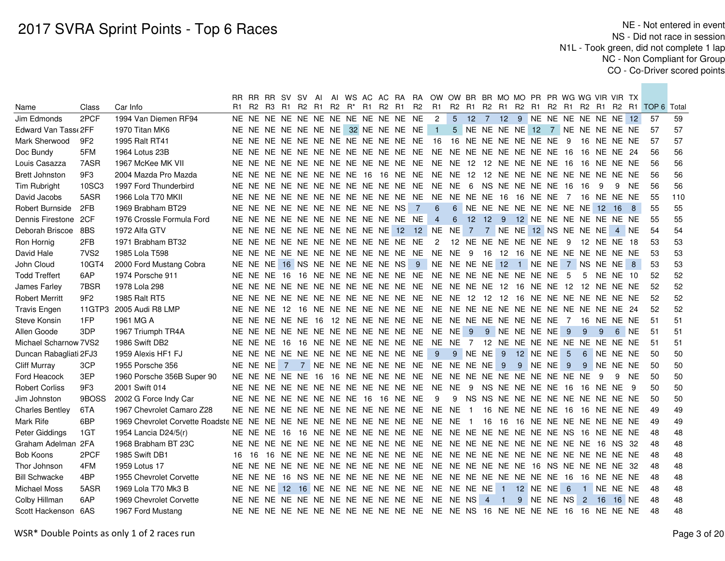|                        |                  |                                                                     |    |             |  |                                              |  |  |                                        |           | RR RR RR SV SV AI AI WS AC AC RA RA OW OW BR BR MO MO PR PR WG WG VIR VIR TX |                        |                                    |  |               |         |                                  |             |     |                 |            |                                                    |     |
|------------------------|------------------|---------------------------------------------------------------------|----|-------------|--|----------------------------------------------|--|--|----------------------------------------|-----------|------------------------------------------------------------------------------|------------------------|------------------------------------|--|---------------|---------|----------------------------------|-------------|-----|-----------------|------------|----------------------------------------------------|-----|
| Name                   | Class            | Car Info                                                            |    |             |  | R1 R2 R3 R1 R2 R1 R2 R <sup>*</sup> R1 R2 R1 |  |  |                                        | <b>R2</b> |                                                                              |                        |                                    |  |               |         |                                  |             |     |                 |            | R1 R2 R1 R2 R1 R2 R1 R2 R1 R2 R1 R2 R1 TOP 6 Total |     |
| Jim Edmonds            | 2PCF             | 1994 Van Diemen RF94                                                |    |             |  |                                              |  |  | NE NE NE NE NE NE NE NE NE NE NE NE    |           | $\overline{2}$                                                               |                        | 5 12 7 12 9 NE NE NE NE NE NE 12   |  |               |         |                                  |             |     |                 |            | 57                                                 | 59  |
| Edward Van Tass (2FF   |                  | 1970 Titan MK6                                                      |    |             |  |                                              |  |  | NE NE NE NE NE NE NE 32 NE NE NE NE    |           | $\blacksquare$ 1                                                             |                        | 5 NE NE NE NE 12 7 NE NE NE NE NE  |  |               |         |                                  |             |     |                 |            | 57                                                 | 57  |
| Mark Sherwood          | 9F <sub>2</sub>  | 1995 Ralt RT41                                                      |    |             |  |                                              |  |  |                                        |           | NE NE NE NE NE NE NE NE NE NE NE NE 16 16 NE NE NE NE NE NE 9                |                        |                                    |  |               |         |                                  | 16 NE NE NE |     |                 |            | 57                                                 | 57  |
| Doc Bundy              | 5FM              | 1964 Lotus 23B                                                      |    |             |  |                                              |  |  |                                        |           |                                                                              |                        |                                    |  |               |         |                                  | 16 NE NE 24 |     |                 |            | 56                                                 | 56  |
| Louis Casazza          | 7ASR             | 1967 McKee MK VII                                                   |    |             |  |                                              |  |  |                                        |           |                                                                              |                        |                                    |  |               |         |                                  |             |     |                 |            | 56                                                 | 56  |
| <b>Brett Johnston</b>  | 9F3              | 2004 Mazda Pro Mazda                                                |    |             |  |                                              |  |  |                                        |           | NE NE NE NE NE NE NE NE 16 16 NE NE NE NE 12 12 NE NE NE NE NE NE NE NE NE   |                        |                                    |  |               |         |                                  |             |     |                 |            | 56                                                 | 56  |
| Tim Rubright           | 10SC3            | 1997 Ford Thunderbird                                               |    |             |  |                                              |  |  | NE NE NE NE NE NE NE NE NE NE NE NE NE |           | NE NE 6 NS NE NE NE NE 16 16                                                 |                        |                                    |  |               |         |                                  |             | -9  | 9               | NE.        | 56                                                 | 56  |
| David Jacobs           | 5ASR             | 1966 Lola T70 MKII                                                  |    |             |  |                                              |  |  |                                        |           |                                                                              |                        |                                    |  |               |         |                                  |             |     |                 |            | 55                                                 | 110 |
| Robert Burnside        | 2FB              | 1969 Brabham BT29                                                   |    |             |  |                                              |  |  | NE NE NE NE NE NE NE NE NE NE NS 7     |           | $6\phantom{1}$                                                               |                        | 6 NE NE NE NE NE NE NE NE 12       |  |               |         |                                  |             |     | 16 8            |            | 55                                                 | 55  |
| Dennis Firestone       | 2CF              | 1976 Crossle Formula Ford                                           |    |             |  |                                              |  |  | NE NE NE NE NE NE NE NE NE NE NE NE    |           | $\overline{4}$                                                               | 6                      | 12 12 9 12 NE NE NE NE NE NE NE    |  |               |         |                                  |             |     |                 |            | 55                                                 | 55  |
| Deborah Briscoe        | 8BS              | 1972 Alfa GTV                                                       |    |             |  |                                              |  |  |                                        |           | NE NE NE NE NE NE NE NE NE NE 12 12 NE NE                                    |                        | 7 7 NE NE 12 NS NE NE NE 4 NE      |  |               |         |                                  |             |     |                 |            | 54                                                 | 54  |
| Ron Hornig             | 2FB              | 1971 Brabham BT32                                                   |    |             |  |                                              |  |  | NE NE NE NE NE NE NE NE NE NE NE NE    |           |                                                                              | 2 12 NE NE NE NE NE NE |                                    |  |               |         | - 9                              | 12 NE NE 18 |     |                 |            | 53                                                 | 53  |
| David Hale             | 7VS <sub>2</sub> | 1985 Lola T598                                                      |    |             |  |                                              |  |  |                                        |           |                                                                              |                        |                                    |  |               |         | 16 12 16 NE NE NE NE NE NE NE NE |             |     |                 |            | 53                                                 | 53  |
| John Cloud             | 10GT4            | 2000 Ford Mustang Cobra                                             |    |             |  |                                              |  |  | NE NE NE 16 NS NE NE NE NE NE NS 9     |           | NE NE NE NE 12 1 NE NE 7 NS NE NE 8                                          |                        |                                    |  |               |         |                                  |             |     |                 |            | 53                                                 | 53  |
| <b>Todd Treffert</b>   | 6AP              | 1974 Porsche 911                                                    |    |             |  |                                              |  |  |                                        |           |                                                                              |                        |                                    |  |               |         | - 5                              | 5           |     | <b>NE NE 10</b> |            | 52                                                 | 52  |
| James Farley           | 7BSR             | 1978 Lola 298                                                       |    |             |  |                                              |  |  |                                        |           |                                                                              |                        |                                    |  |               |         |                                  |             |     |                 |            | 52                                                 | 52  |
| <b>Robert Merritt</b>  | 9F <sub>2</sub>  | 1985 Ralt RT5                                                       |    |             |  |                                              |  |  |                                        |           |                                                                              |                        |                                    |  |               |         |                                  |             |     |                 |            | 52                                                 | 52  |
| <b>Travis Engen</b>    |                  | 11GTP3 2005 Audi R8 LMP                                             |    |             |  |                                              |  |  |                                        |           |                                                                              |                        |                                    |  |               |         |                                  |             |     |                 |            | 52                                                 | 52  |
| Steve Konsin           | 1FP              | 1961 MG A                                                           |    |             |  |                                              |  |  |                                        |           |                                                                              |                        |                                    |  |               |         |                                  |             |     |                 |            | 51                                                 | 51  |
| Allen Goode            | 3DP              | 1967 Triumph TR4A                                                   |    |             |  |                                              |  |  |                                        |           |                                                                              |                        |                                    |  | 9 NE NE NE NE |         | - 9                              | 9           | -9  | 6               | <b>NE</b>  | 51                                                 | 51  |
| Michael Scharnow 7VS2  |                  | 1986 Swift DB2                                                      |    |             |  |                                              |  |  |                                        |           | NE NE NE 16 16 NE NE NE NE NE NE NE NE NE 7 12 NE NE NE NE NE NE NE NE NE NE |                        |                                    |  |               |         |                                  |             |     |                 |            | 51                                                 | 51  |
| Duncan Rabagliati 2FJ3 |                  | 1959 Alexis HF1 FJ                                                  |    |             |  |                                              |  |  | NE NE NE NE NE NE NE NE NE NE NE NE    |           | 9 <sup>°</sup>                                                               | 9 NE NE 9 12 NE NE     |                                    |  |               |         | - 5                              |             |     |                 | 6 NE NE NE | 50                                                 | 50  |
| <b>Cliff Murray</b>    | 3CP              | 1955 Porsche 356                                                    |    |             |  |                                              |  |  |                                        |           | NE NE NE 7 7 NE NE NE NE NE NE NE NE NE NE NE NE 9                           |                        |                                    |  |               | 9 NE NE | - 9                              | 9           |     | NE NE NE        |            | 50                                                 | 50  |
| Ford Heacock           | 3EP              | 1960 Porsche 356B Super 90                                          |    |             |  |                                              |  |  |                                        |           |                                                                              |                        |                                    |  |               |         |                                  |             | - 9 | 9               | NE.        | 50                                                 | 50  |
| <b>Robert Corliss</b>  | 9F3              | 2001 Swift 014                                                      |    |             |  |                                              |  |  |                                        |           |                                                                              |                        |                                    |  |               |         |                                  |             |     |                 | - 9        | 50                                                 | 50  |
| Jim Johnston           | 9BOSS            | 2002 G Force Indy Car                                               |    |             |  |                                              |  |  | NE NE NE NE NE NE NE NE 16 16 NE NE    |           | -9                                                                           |                        | 9 NS NS NE NE NE NE NE NE NE NE NE |  |               |         |                                  |             |     |                 |            | 50                                                 | 50  |
| <b>Charles Bentley</b> | 6TA              | 1967 Chevrolet Camaro Z28                                           |    |             |  |                                              |  |  |                                        |           |                                                                              |                        |                                    |  |               |         | 16 NE NE NE NE 16 16 NE NE NE    |             |     |                 |            | 49                                                 | 49  |
| Mark Rife              | 6BP              | 1969 Chevrolet Corvette Roadste NE NE NE NE NE NE NE NE NE NE NE NE |    |             |  |                                              |  |  |                                        |           | NE NE 1                                                                      |                        |                                    |  |               |         | 16 16 16 NE NE NE NE NE NE NE    |             |     |                 |            | 49                                                 | 49  |
| Peter Giddings         | 1GT              | 1954 Lancia D24/5(r)                                                |    | NE NE NE 16 |  |                                              |  |  | 16 NE NE NE NE NE NE NE                |           | NE NE NE NE NE NE NE NE NS 16 NE NE NE                                       |                        |                                    |  |               |         |                                  |             |     |                 |            | 48                                                 | 48  |
| Graham Adelman         | 2FA              | 1968 Brabham BT 23C                                                 |    |             |  |                                              |  |  |                                        |           |                                                                              |                        |                                    |  |               |         |                                  |             |     |                 |            | 48                                                 | 48  |
| Bob Koons              | 2PCF             | 1985 Swift DB1                                                      | 16 | 16          |  |                                              |  |  |                                        |           |                                                                              |                        |                                    |  |               |         |                                  |             |     |                 |            | 48                                                 | 48  |
| Thor Johnson           | 4FM              | 1959 Lotus 17                                                       |    |             |  |                                              |  |  |                                        |           |                                                                              |                        |                                    |  |               |         |                                  |             |     |                 |            | 48                                                 | 48  |
| <b>Bill Schwacke</b>   | 4BP              | 1955 Chevrolet Corvette                                             |    |             |  |                                              |  |  |                                        |           |                                                                              |                        |                                    |  |               |         |                                  |             |     |                 |            | 48                                                 | 48  |
| <b>Michael Moss</b>    | 5ASR             | 1969 Lola T70 Mk3 B                                                 |    |             |  |                                              |  |  |                                        |           | NE NE NE 12 16 NE NE NE NE NE NE NE NE NE NE NE 1 12 NE NE                   |                        |                                    |  |               |         | 6                                |             |     |                 | 1 NE NE NE | 48                                                 | 48  |
| Colby Hillman          | 6AP              | 1969 Chevrolet Corvette                                             |    |             |  |                                              |  |  |                                        |           |                                                                              |                        |                                    |  |               |         | 9 NE NE NS 2 16                  |             |     |                 | 16 NE      | 48                                                 | 48  |
| Scott Hackenson 6AS    |                  | 1967 Ford Mustang                                                   |    |             |  |                                              |  |  |                                        |           |                                                                              |                        |                                    |  |               |         |                                  |             |     |                 |            | 48                                                 | 48  |
|                        |                  |                                                                     |    |             |  |                                              |  |  |                                        |           |                                                                              |                        |                                    |  |               |         |                                  |             |     |                 |            |                                                    |     |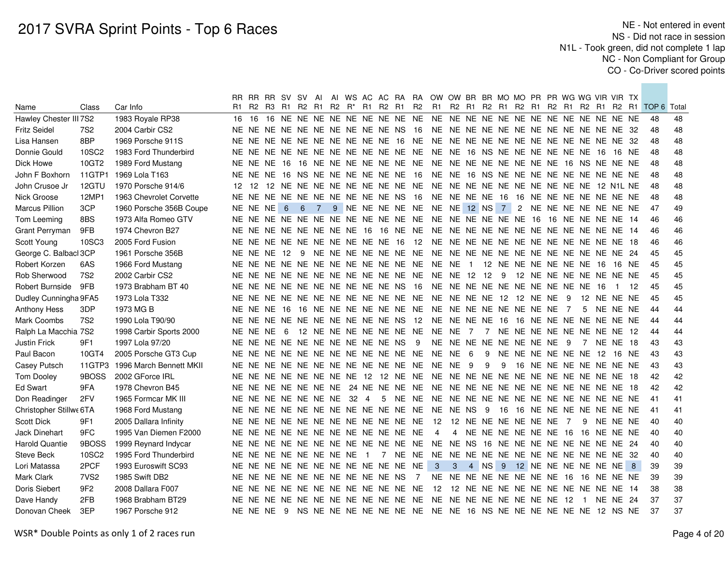|                         |                  |                         | RR.               |          | RR RR SV SV |   |                           | Al             |  |                |                                  |                                     |           | AI WS AC AC RA RA OW OW BR BR MO MO PR PR WG WG VIR VIR TX                       |                |                           |   |      |  |  |                               |                 |     |                                                 |    |
|-------------------------|------------------|-------------------------|-------------------|----------|-------------|---|---------------------------|----------------|--|----------------|----------------------------------|-------------------------------------|-----------|----------------------------------------------------------------------------------|----------------|---------------------------|---|------|--|--|-------------------------------|-----------------|-----|-------------------------------------------------|----|
| Name                    | Class            | Car Info                | R1                |          |             |   | R2 R3 R1 R2 R1            |                |  |                | R2 R <sup>*</sup> R1 R2 R1       |                                     | <b>R2</b> | <b>R1</b>                                                                        |                |                           |   |      |  |  |                               |                 |     | R2 R1 R2 R1 R2 R1 R2 R1 R2 R1 R2 R1 TOP 6 Total |    |
| Hawley Chester III 7S2  |                  | 1983 Royale RP38        |                   |          |             |   |                           |                |  |                |                                  |                                     |           |                                                                                  |                |                           |   |      |  |  |                               |                 |     | 48                                              | 48 |
| <b>Fritz Seidel</b>     | 7S <sub>2</sub>  | 2004 Carbir CS2         |                   |          |             |   |                           |                |  |                |                                  | NE NE NE NE NE NE NE NE NE NE NS 16 |           | NE NE NE NE NE NE NE NE NE NE NE NE 32                                           |                |                           |   |      |  |  |                               |                 |     | 48                                              | 48 |
| Lisa Hansen             | 8BP              | 1969 Porsche 911S       |                   |          |             |   |                           |                |  |                |                                  |                                     |           |                                                                                  |                |                           |   |      |  |  |                               |                 |     | 48                                              | 48 |
| Donnie Gould            | 10SC2            | 1983 Ford Thunderbird   |                   |          |             |   |                           |                |  |                |                                  |                                     |           |                                                                                  |                |                           |   |      |  |  |                               | 16 NE           |     | 48                                              | 48 |
| Dick Howe               | 10GT2            | 1989 Ford Mustang       |                   |          |             |   |                           |                |  |                |                                  |                                     |           |                                                                                  |                |                           |   |      |  |  |                               |                 |     | 48                                              | 48 |
| John F Boxhorn          | 11GTP1           | 1969 Lola T163          |                   |          |             |   |                           |                |  |                |                                  | NE NE NE 16 NS NE NE NE NE NE NE 16 |           | NE NE 16 NS NE NE NE NE NE NE NE NE NE NE                                        |                |                           |   |      |  |  |                               |                 |     | 48                                              | 48 |
| John Crusoe Jr          | 12GTU            | 1970 Porsche 914/6      | $12 \overline{ }$ | 12       |             |   |                           |                |  |                |                                  |                                     |           |                                                                                  |                |                           |   |      |  |  |                               |                 |     | 48                                              | 48 |
| Nick Groose             | 12MP1            | 1963 Chevrolet Corvette |                   |          |             |   |                           |                |  |                |                                  | NE NE NE NE NE NE NE NE NE NE NS 16 |           | NE NE NE NE 16 16 NE NE NE NE NE NE NE NE                                        |                |                           |   |      |  |  |                               |                 |     | 48                                              | 48 |
| <b>Marcus Pillion</b>   | 3CP              | 1960 Porsche 356B Coupe | NE NE NE          |          |             | 6 | 6                         | $\overline{7}$ |  |                |                                  |                                     |           | 9 NE NE NE NE NE NE NE 12 NS 7 2 NE NE NE NE NE NE NE                            |                |                           |   |      |  |  |                               |                 |     | 47                                              | 49 |
| Tom Leeming             | 8BS              | 1973 Alfa Romeo GTV     |                   |          |             |   |                           |                |  |                |                                  |                                     |           |                                                                                  |                |                           |   |      |  |  |                               |                 |     | 46                                              | 46 |
| Grant Perryman          | 9FB              | 1974 Chevron B27        |                   |          |             |   |                           |                |  |                |                                  |                                     |           |                                                                                  |                |                           |   |      |  |  |                               |                 |     | 46                                              | 46 |
| Scott Young             | 10SC3            | 2005 Ford Fusion        |                   |          |             |   |                           |                |  |                |                                  |                                     |           |                                                                                  |                |                           |   |      |  |  |                               |                 |     | 46                                              | 46 |
| George C. Balbacl 3CP   |                  | 1961 Porsche 356B       |                   |          | NE NE NE 12 |   | - 9                       |                |  |                |                                  |                                     |           |                                                                                  |                |                           |   |      |  |  |                               |                 |     | 45                                              | 45 |
| Robert Korzen           | 6AS              | 1966 Ford Mustang       |                   |          |             |   |                           |                |  |                |                                  |                                     |           |                                                                                  |                |                           |   |      |  |  |                               | 16 NE           |     | 45                                              | 45 |
| Rob Sherwood            | 7S <sub>2</sub>  | 2002 Carbir CS2         |                   |          |             |   |                           |                |  |                |                                  |                                     |           |                                                                                  |                |                           |   |      |  |  | 12 NE NE NE NE NE NE NE       |                 |     | 45                                              | 45 |
| Robert Burnside         | 9FB              | 1973 Brabham BT 40      |                   |          |             |   |                           |                |  |                |                                  | NE NE NE NE NE NE NE NE NE NE NS 16 |           | NE NE NE NE NE NE NE NE NE NE 16                                                 |                |                           |   |      |  |  |                               | $\sim$ 1        | -12 | 45                                              | 45 |
| Dudley Cunningha 9FA5   |                  | 1973 Lola T332          |                   |          |             |   |                           |                |  |                |                                  |                                     |           |                                                                                  |                |                           |   |      |  |  | 12 NE NE NE                   |                 |     | 45                                              | 45 |
| <b>Anthony Hess</b>     | 3DP              | 1973 MG B               |                   |          |             |   |                           |                |  |                |                                  |                                     |           |                                                                                  |                |                           |   |      |  |  | 5                             | NE NE NE        |     | 44                                              | 44 |
| Mark Coombs             | 7S <sub>2</sub>  | 1990 Lola T90/90        |                   |          |             |   |                           |                |  |                |                                  |                                     |           | NE NE NE NE NE NE NE NE NE NE NE NS 12 NE NE NE NE 16 16 NE NE NE NE NE NE NE NE |                |                           |   |      |  |  |                               |                 |     | 44                                              | 44 |
| Ralph La Macchia 7S2    |                  | 1998 Carbir Sports 2000 |                   | NE NE NE |             | 6 |                           |                |  |                |                                  |                                     |           | 12 NE NE NE NE NE NE NE NE NE 7                                                  |                |                           |   |      |  |  | 7 NE NE NE NE NE NE NE NE 12  |                 |     | 44                                              | 44 |
| Justin Frick            | 9F1              | 1997 Lola 97/20         |                   |          |             |   |                           |                |  |                | NE NE NE NE NE NE NE NE NE NE NS |                                     | - 9       | NE NE NE NE NE NE NE NE 9                                                        |                |                           |   |      |  |  | $\overline{7}$                | <b>NE NE 18</b> |     | 43                                              | 43 |
| Paul Bacon              | 10GT4            | 2005 Porsche GT3 Cup    |                   |          |             |   |                           |                |  |                |                                  |                                     |           |                                                                                  |                |                           |   |      |  |  | 9 NE NE NE NE NE NE 12 16 NE  |                 |     | 43                                              | 43 |
| Casey Putsch            | 11GTP3           | 1996 March Bennett MKII |                   |          |             |   |                           |                |  |                |                                  |                                     |           |                                                                                  |                |                           | 9 | - 9  |  |  | 16 NE NE NE NE NE NE NE       |                 |     | 43                                              | 43 |
| Tom Dooley              | 9BOSS            | 2002 GForce IRL         |                   |          |             |   |                           |                |  |                |                                  |                                     |           |                                                                                  |                |                           |   |      |  |  |                               |                 |     | 42                                              | 42 |
| <b>Ed Swart</b>         | 9FA              | 1978 Chevron B45        |                   |          |             |   |                           |                |  |                |                                  |                                     |           |                                                                                  |                |                           |   |      |  |  |                               |                 |     | 42                                              | 42 |
| Don Readinger           | 2FV              | 1965 Formcar MK III     |                   |          |             |   | NE NE NE NE NE NE NE 32 4 |                |  |                |                                  |                                     |           |                                                                                  |                |                           |   |      |  |  |                               |                 |     | 41                                              | 41 |
| Christopher Stillwe 6TA |                  | 1968 Ford Mustang       |                   |          |             |   |                           |                |  |                |                                  |                                     |           |                                                                                  |                |                           |   | - 16 |  |  | 16 NE NE NE NE NE NE NE       |                 |     | 41                                              | 41 |
| Scott Dick              | 9F1              | 2005 Dallara Infinity   |                   |          |             |   |                           |                |  |                |                                  |                                     |           | NE NE NE NE NE NE NE NE NE NE NE NE 12 12 NE NE NE NE NE NE 7                    |                |                           |   |      |  |  | 9                             | NE NE NE        |     | 40                                              | 40 |
| Jack Dinehart           | 9FC              | 1995 Van Diemen F2000   |                   |          |             |   |                           |                |  |                |                                  | NE NE NE NE NE NE NE NE NE NE NE NE |           | 4                                                                                |                | 4 NE NE NE NE NE NE 16 16 |   |      |  |  |                               | NE NE NE        |     | 40                                              | 40 |
| <b>Harold Quantie</b>   | 9BOSS            | 1999 Reynard Indycar    |                   |          |             |   |                           |                |  |                |                                  | NE NE NE NE NE NE NE NE NE NE NE NE |           | NE NE NS 16 NE NE NE NE NE NE NE NE 24                                           |                |                           |   |      |  |  |                               |                 |     | 40                                              | 40 |
| Steve Beck              | 10SC2            | 1995 Ford Thunderbird   |                   |          |             |   | NE NE NE NE NE NE NE NE   |                |  | $\blacksquare$ |                                  |                                     |           |                                                                                  |                |                           |   |      |  |  |                               |                 |     | 40                                              | 40 |
| Lori Matassa            | 2PCF             | 1993 Euroswift SC93     |                   |          |             |   |                           |                |  |                |                                  | NE NE NE NE NE NE NE NE NE NE NE NE |           | 3 <sup>o</sup>                                                                   | 3 <sup>1</sup> |                           |   |      |  |  | 4 NS 9 12 NE NE NE NE NE NE 8 |                 |     | 39                                              | 39 |
| Mark Clark              | 7VS <sub>2</sub> | 1985 Swift DB2          |                   |          |             |   |                           |                |  |                |                                  | NE NE NE NE NE NE NE NE NE NE NS 7  |           | NE NE NE NE NE NE NE NE 16 16 NE NE NE                                           |                |                           |   |      |  |  |                               |                 |     | 39                                              | 39 |
| Doris Siebert           | 9F2              | 2008 Dallara F007       |                   |          |             |   |                           |                |  |                |                                  | NE NE NE NE NE NE NE NE NE NE NE NE |           | 12 12 NE NE NE NE NE NE NE NE NE NE NE 14                                        |                |                           |   |      |  |  |                               |                 |     | 38                                              | 38 |
| Dave Handy              | 2FB              | 1968 Brabham BT29       |                   |          |             |   |                           |                |  |                |                                  |                                     |           |                                                                                  |                |                           |   |      |  |  | 1 NE NE 24                    |                 |     | 37                                              | 37 |
| Donovan Cheek           | 3EP              | 1967 Porsche 912        |                   |          |             |   |                           |                |  |                |                                  |                                     |           | NE NE NE 9 NS NE NE NE NE NE NE NE NE NE 16 NS NE NE NE NE NE NE 12 NS NE        |                |                           |   |      |  |  |                               |                 |     | 37                                              | 37 |
|                         |                  |                         |                   |          |             |   |                           |                |  |                |                                  |                                     |           |                                                                                  |                |                           |   |      |  |  |                               |                 |     |                                                 |    |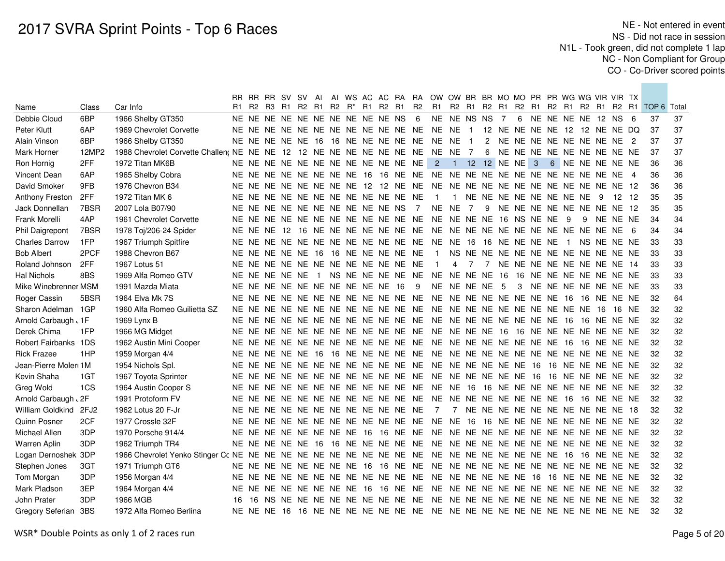|                       |       |                                                                              |     |  | RR RR RR SV SV AI                |  |  |  |                                     |    | AI WS AC AC RA RA OW OW BR BR MO MO PR PR WG WG VIR VIR TX                |                                        |                |  |  |  |                                     |          |                                                                                                          |    |
|-----------------------|-------|------------------------------------------------------------------------------|-----|--|----------------------------------|--|--|--|-------------------------------------|----|---------------------------------------------------------------------------|----------------------------------------|----------------|--|--|--|-------------------------------------|----------|----------------------------------------------------------------------------------------------------------|----|
| Name                  | Class | Car Info                                                                     |     |  |                                  |  |  |  |                                     |    |                                                                           |                                        |                |  |  |  |                                     |          | R1 R2 R3 R1 R2 R1 R2 R <sup>*</sup> R1 R2 R1 R2 R1 R2 R1 R2 R1 R2 R1 R2 R1 R2 R1 R2 R1 R2 R1 TOP 6 Total |    |
| Debbie Cloud          | 6BP   | 1966 Shelby GT350                                                            |     |  |                                  |  |  |  | NE NE NE NE NE NE NE NE NE NE NS 6  |    | NE NE NS NS 7                                                             |                                        |                |  |  |  | 6 NE NE NE NE 12 NS 6               |          | 37                                                                                                       | 37 |
| Peter Klutt           | 6AP   | 1969 Chevrolet Corvette                                                      |     |  |                                  |  |  |  |                                     |    |                                                                           |                                        |                |  |  |  |                                     |          | 37                                                                                                       | 37 |
| Alain Vinson          | 6BP   | 1966 Shelby GT350                                                            |     |  |                                  |  |  |  |                                     |    | NE NE NE NE NE 16 16 NE NE NE NE NE NE NE 1                               |                                        |                |  |  |  | 2 NE NE NE NE NE NE NE NE 2         |          | 37                                                                                                       | 37 |
| Mark Horner           | 12MP2 | 1988 Chevrolet Corvette Challen; NE NE NE 12 12 NE NE NE NE NE NE NE NE NE 7 |     |  |                                  |  |  |  |                                     |    |                                                                           |                                        |                |  |  |  | 6 NE NE NE NE NE NE NE NE NE        |          | 37                                                                                                       | 37 |
| Ron Hornig            | 2FF   | 1972 Titan MK6B                                                              |     |  |                                  |  |  |  | NE NE NE NE NE NE NE NE NE NE NE NE |    | $\mathbf{2}$                                                              | 1 12 12 NE NE 3                        |                |  |  |  | 6 NE NE NE NE NE                    |          | 36                                                                                                       | 36 |
| Vincent Dean          | 6AP   | 1965 Shelby Cobra                                                            |     |  |                                  |  |  |  |                                     |    |                                                                           |                                        |                |  |  |  |                                     |          | 36                                                                                                       | 36 |
| David Smoker          | 9FB   | 1976 Chevron B34                                                             |     |  |                                  |  |  |  |                                     |    |                                                                           |                                        |                |  |  |  |                                     |          | 36                                                                                                       | 36 |
| Anthony Freston       | 2FF   | 1972 Titan MK 6                                                              |     |  |                                  |  |  |  | NE NE NE NE NE NE NE NE NE NE NE NE |    | $\overline{1}$                                                            |                                        |                |  |  |  | 1 NE NE NE NE NE NE NE NE 9         | 12 12    | 35                                                                                                       | 35 |
| Jack Donnellan        | 7BSR  | 2007 Lola B07/90                                                             |     |  |                                  |  |  |  | NE NE NE NE NE NE NE NE NE NE NS 7  |    | NE NE 7                                                                   |                                        |                |  |  |  | 9 NE NE NE NE NE NE NE NE 12        |          | 35                                                                                                       | 35 |
| Frank Morelli         | 4AP   | 1961 Chevrolet Corvette                                                      |     |  |                                  |  |  |  | NE NE NE NE NE NE NE NE NE NE NE NE |    | NE NE NE NE 16 NS NE NE 9                                                 |                                        |                |  |  |  | 9                                   | NE NE NE | 34                                                                                                       | 34 |
| Phil Daigrepont       | 7BSR  | 1978 Toj/206-24 Spider                                                       |     |  |                                  |  |  |  |                                     |    |                                                                           |                                        |                |  |  |  |                                     |          | 34                                                                                                       | 34 |
| <b>Charles Darrow</b> | 1FP   | 1967 Triumph Spitfire                                                        |     |  |                                  |  |  |  | NE NE NE NE NE NE NE NE NE NE NE NE |    | NE NE 16 16 NE NE NE NE                                                   |                                        |                |  |  |  | 1 NS NE NE NE                       |          | 33                                                                                                       | 33 |
| <b>Bob Albert</b>     | 2PCF  | 1988 Chevron B67                                                             |     |  |                                  |  |  |  | NE NE NE NE NE 16 16 NE NE NE NE NE |    | $\overline{1}$                                                            |                                        |                |  |  |  | NS NE NE NE NE NE NE NE NE NE NE NE |          | 33                                                                                                       | 33 |
| Roland Johnson        | 2FF   | 1967 Lotus 51                                                                |     |  |                                  |  |  |  | NE NE NE NE NE NE NE NE NE NE NE NE |    | $\overline{1}$                                                            | 4                                      | $\overline{7}$ |  |  |  | 7 NE NE NE NE NE NE NE NE 14        |          | 33                                                                                                       | 33 |
| <b>Hal Nichols</b>    | 8BS   | 1969 Alfa Romeo GTV                                                          |     |  |                                  |  |  |  |                                     |    | NE NE NE NE NE 1 NS NE NE NE NE NE NE NE NE NE 16 16 NE NE NE NE NE NE NE |                                        |                |  |  |  |                                     |          | 33                                                                                                       | 33 |
| Mike Winebrenner MSM  |       | 1991 Mazda Miata                                                             |     |  | NE NE NE NE NE NE NE NE NE NE 16 |  |  |  |                                     | -9 |                                                                           | NE NE NE NE 5                          |                |  |  |  | 3 NE NE NE NE NE NE NE              |          | 33                                                                                                       | 33 |
| Roger Cassin          | 5BSR  | 1964 Elva Mk 7S                                                              |     |  |                                  |  |  |  | NE NE NE NE NE NE NE NE NE NE NE NE |    | <b>NE</b>                                                                 | NE NE NE NE NE NE NE 16 16 NE NE NE    |                |  |  |  |                                     |          | 32                                                                                                       | 64 |
| Sharon Adelman 1GP    |       | 1960 Alfa Romeo Guilietta SZ                                                 |     |  |                                  |  |  |  |                                     |    |                                                                           |                                        |                |  |  |  |                                     | 16 NE    | 32                                                                                                       | 32 |
| Arnold Carbaugh . 1F  |       | 1969 Lynx B                                                                  |     |  |                                  |  |  |  |                                     |    |                                                                           |                                        |                |  |  |  |                                     |          | 32                                                                                                       | 32 |
| Derek Chima           | 1FP   | 1966 MG Midget                                                               |     |  |                                  |  |  |  |                                     |    |                                                                           |                                        |                |  |  |  |                                     |          | 32                                                                                                       | 32 |
| Robert Fairbanks 1DS  |       | 1962 Austin Mini Cooper                                                      |     |  |                                  |  |  |  |                                     |    |                                                                           |                                        |                |  |  |  |                                     |          | 32                                                                                                       | 32 |
| <b>Rick Frazee</b>    | 1HP   | 1959 Morgan 4/4                                                              |     |  |                                  |  |  |  |                                     |    |                                                                           |                                        |                |  |  |  |                                     |          | 32                                                                                                       | 32 |
| Jean-Pierre Moleri 1M |       | 1954 Nichols Spl.                                                            |     |  |                                  |  |  |  |                                     |    |                                                                           |                                        |                |  |  |  |                                     |          | 32                                                                                                       | 32 |
| Kevin Shaha           | 1GT   | 1967 Toyota Sprinter                                                         |     |  |                                  |  |  |  |                                     |    |                                                                           |                                        |                |  |  |  |                                     |          | 32                                                                                                       | 32 |
| Greg Wold             | 1CS   | 1964 Austin Cooper S                                                         |     |  |                                  |  |  |  |                                     |    |                                                                           |                                        |                |  |  |  |                                     |          | 32                                                                                                       | 32 |
| Arnold Carbaugh . 2F  |       | 1991 Protoform FV                                                            |     |  |                                  |  |  |  |                                     |    |                                                                           |                                        |                |  |  |  |                                     |          | 32                                                                                                       | 32 |
| William Goldkind      | 2FJ2  | 1962 Lotus 20 F-Jr                                                           |     |  |                                  |  |  |  | NE NE NE NE NE NE NE NE NE NE NE NE |    | $\overline{7}$                                                            | 7 NE NE NE NE NE NE NE NE NE NE 18     |                |  |  |  |                                     |          | 32                                                                                                       | 32 |
| Quinn Posner          | 2CF   | 1977 Crossle 32F                                                             |     |  |                                  |  |  |  |                                     |    |                                                                           |                                        |                |  |  |  |                                     |          | 32                                                                                                       | 32 |
| Michael Allen         | 3DP   | 1970 Porsche 914/4                                                           |     |  |                                  |  |  |  | NE NE NE NE NE NE NE NE 16 16 NE NE |    |                                                                           |                                        |                |  |  |  |                                     |          | 32                                                                                                       | 32 |
| Warren Aplin          | 3DP   | 1962 Triumph TR4                                                             |     |  |                                  |  |  |  |                                     |    |                                                                           |                                        |                |  |  |  |                                     |          | 32                                                                                                       | 32 |
| Logan Dernoshek 3DP   |       | 1966 Chevrolet Yenko Stinger Cc NE NE NE NE NE NE NE NE NE NE NE NE          |     |  |                                  |  |  |  |                                     |    | NE NE NE NE NE NE NE NE 16 16 NE NE NE                                    |                                        |                |  |  |  |                                     |          | 32                                                                                                       | 32 |
| Stephen Jones         | 3GT   | 1971 Triumph GT6                                                             |     |  |                                  |  |  |  | NE NE NE NE NE NE NE NE 16 16 NE NE |    |                                                                           |                                        |                |  |  |  |                                     |          | 32                                                                                                       | 32 |
| Tom Morgan            | 3DP   | 1956 Morgan 4/4                                                              |     |  |                                  |  |  |  | NE NE NE NE NE NE NE NE NE NE NE NE |    | <b>NE</b>                                                                 | NE NE NE NE NE 16 16 NE NE NE NE NE    |                |  |  |  |                                     |          | 32                                                                                                       | 32 |
| Mark Pladson          | 3EP   | 1964 Morgan 4/4                                                              |     |  |                                  |  |  |  | NE NE NE NE NE NE NE NE 16 16 NE NE |    | <b>NE</b>                                                                 | NE NE NE NE NE NE NE NE NE NE NE NE NE |                |  |  |  |                                     |          | 32                                                                                                       | 32 |
| John Prater           | 3DP   | 1966 MGB                                                                     | 16. |  |                                  |  |  |  |                                     |    |                                                                           |                                        |                |  |  |  |                                     |          | 32                                                                                                       | 32 |
| Gregory Seferian 3BS  |       | 1972 Alfa Romeo Berlina                                                      |     |  |                                  |  |  |  |                                     |    |                                                                           |                                        |                |  |  |  |                                     |          | 32                                                                                                       | 32 |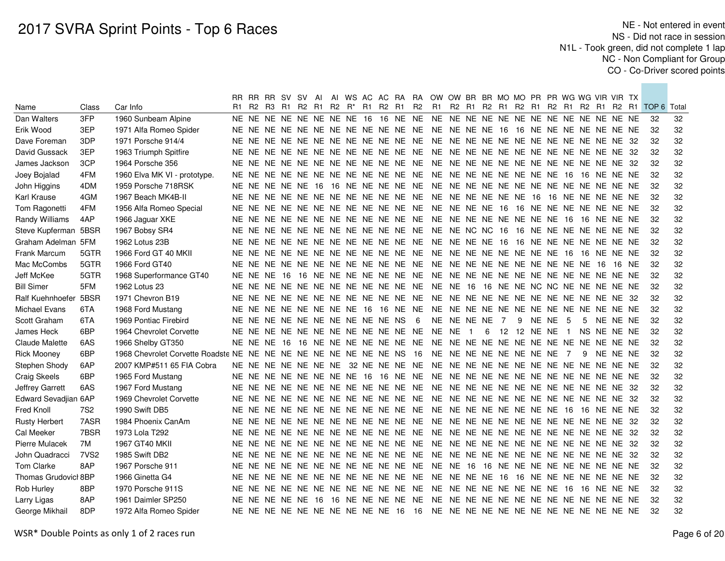| R1 R2 R <sup>*</sup> R1 R2 R1 R2<br>R1 R2 R1 R2 R1 R2 R1 R2 R1 R2 R1 R2 R1 TOP 6 Total<br>R1 R2 R3 R1 R2<br>Class<br>Car Info<br>Name<br>Dan Walters<br>3FP<br>1960 Sunbeam Alpine<br>32<br>Erik Wood<br>3EP<br>32<br>1971 Alfa Romeo Spider<br>32<br>Dave Foreman<br>3DP<br>1971 Porsche 914/4<br>32<br>David Gussack<br>3EP<br>1963 Triumph Spitfire<br>3CP<br>32<br>James Jackson<br>1964 Porsche 356<br>4FM<br>32<br>Joey Bojalad<br>1960 Elva MK VI - prototype.<br>4DM<br>32<br>John Higgins<br>1959 Porsche 718RSK | 32<br>32<br>32<br>32<br>32<br>32<br>32<br>32 |
|---------------------------------------------------------------------------------------------------------------------------------------------------------------------------------------------------------------------------------------------------------------------------------------------------------------------------------------------------------------------------------------------------------------------------------------------------------------------------------------------------------------------------|----------------------------------------------|
|                                                                                                                                                                                                                                                                                                                                                                                                                                                                                                                           |                                              |
|                                                                                                                                                                                                                                                                                                                                                                                                                                                                                                                           |                                              |
|                                                                                                                                                                                                                                                                                                                                                                                                                                                                                                                           |                                              |
|                                                                                                                                                                                                                                                                                                                                                                                                                                                                                                                           |                                              |
|                                                                                                                                                                                                                                                                                                                                                                                                                                                                                                                           |                                              |
|                                                                                                                                                                                                                                                                                                                                                                                                                                                                                                                           |                                              |
|                                                                                                                                                                                                                                                                                                                                                                                                                                                                                                                           |                                              |
|                                                                                                                                                                                                                                                                                                                                                                                                                                                                                                                           |                                              |
| 4GM<br>32<br><b>Karl Krause</b><br>1967 Beach MK4B-II                                                                                                                                                                                                                                                                                                                                                                                                                                                                     |                                              |
| 32<br>Tom Ragonetti<br>4FM<br>1956 Alfa Romeo Special                                                                                                                                                                                                                                                                                                                                                                                                                                                                     | 32                                           |
| 32<br>4AP<br>Randy Williams<br>1966 Jaguar XKE                                                                                                                                                                                                                                                                                                                                                                                                                                                                            | 32                                           |
| 32<br>Steve Kupferman 5BSR<br>1967 Bobsy SR4                                                                                                                                                                                                                                                                                                                                                                                                                                                                              | 32                                           |
| 32<br>Graham Adelman 5FM<br>1962 Lotus 23B                                                                                                                                                                                                                                                                                                                                                                                                                                                                                | 32                                           |
| 32<br>Frank Marcum<br>5GTR<br>1966 Ford GT 40 MKII                                                                                                                                                                                                                                                                                                                                                                                                                                                                        | 32                                           |
| 5GTR<br>32<br>Mac McCombs<br>1966 Ford GT40<br>16 NE                                                                                                                                                                                                                                                                                                                                                                                                                                                                      | 32                                           |
| 5GTR<br>32<br>Jeff McKee<br>1968 Superformance GT40<br>NE NE NE 16 16                                                                                                                                                                                                                                                                                                                                                                                                                                                     | 32                                           |
| 5FM<br><b>Bill Simer</b><br>1962 Lotus 23<br>32                                                                                                                                                                                                                                                                                                                                                                                                                                                                           | 32                                           |
| Ralf Kuehnhoefer 5BSR<br>1971 Chevron B19<br>32                                                                                                                                                                                                                                                                                                                                                                                                                                                                           | 32                                           |
| 6TA<br>32<br>Michael Evans<br>1968 Ford Mustang                                                                                                                                                                                                                                                                                                                                                                                                                                                                           | 32                                           |
| 6TA<br>NE NE NE NE NE NE NE NE NE NE NS<br>$6\overline{6}$<br>NE NE NE NE 7<br>32<br>Scott Graham<br>1969 Pontiac Firebird<br>9<br>NENE 5<br>$5\overline{)}$<br>NE NE NE                                                                                                                                                                                                                                                                                                                                                  | 32                                           |
| 6BP<br>12 12 NE NE 1<br>32<br>James Heck<br>1964 Chevrolet Corvette<br>6<br>NS NE NE NE<br>$\overline{1}$                                                                                                                                                                                                                                                                                                                                                                                                                 | 32                                           |
| 6AS<br>32<br>Claude Malette<br>1966 Shelby GT350                                                                                                                                                                                                                                                                                                                                                                                                                                                                          | 32                                           |
| 6BP<br><b>Rick Mooney</b><br>1968 Chevrolet Corvette Roadste NE NE NE NE NE NE NE NE NE NE NS<br>NE NE NE NE NE NE NE NE 7<br>32<br>- 16<br>- 9<br>NE NE NE                                                                                                                                                                                                                                                                                                                                                               | 32                                           |
| 32<br>Stephen Shody<br>6AP<br>2007 KMP#511 65 FIA Cobra                                                                                                                                                                                                                                                                                                                                                                                                                                                                   | 32                                           |
| <b>Craig Skeels</b><br>6BP<br>1965 Ford Mustang<br>32                                                                                                                                                                                                                                                                                                                                                                                                                                                                     | 32                                           |
| 32<br>Jeffrey Garrett<br>6AS<br>1967 Ford Mustang                                                                                                                                                                                                                                                                                                                                                                                                                                                                         | 32                                           |
| 32<br>Edward Sevadjian 6AP<br>1969 Chevrolet Corvette                                                                                                                                                                                                                                                                                                                                                                                                                                                                     | 32                                           |
| Fred Knoll<br>7S <sub>2</sub><br>32<br>1990 Swift DB5                                                                                                                                                                                                                                                                                                                                                                                                                                                                     | 32                                           |
| 7ASR<br>32<br><b>Rusty Herbert</b><br>1984 Phoenix CanAm                                                                                                                                                                                                                                                                                                                                                                                                                                                                  | 32                                           |
| 7BSR<br>32<br>Cal Meeker<br>1973 Lola T292                                                                                                                                                                                                                                                                                                                                                                                                                                                                                | 32                                           |
| 32<br>7M<br>1967 GT40 MKII<br>NE NE NE NE NE NE NE NE NE NE NE NE<br>NE NE NE NE NE NE NE NE NE NE NE NE 32<br>Pierre Mulacek                                                                                                                                                                                                                                                                                                                                                                                             | 32                                           |
| 32<br>John Quadracci<br>7VS <sub>2</sub><br>1985 Swift DB2<br>NE NE NE NE NE NE NE NE NE NE NE NE<br>NE NE NE NE NE NE NE NE NE NE NE NE 32                                                                                                                                                                                                                                                                                                                                                                               | 32                                           |
| Tom Clarke<br>8AP<br>1967 Porsche 911<br>NE NE NE NE NE NE NE NE NE NE NE NE<br>NE NE 16 16 NE NE NE NE NE NE NE NE NE NE<br>32                                                                                                                                                                                                                                                                                                                                                                                           | 32                                           |
| Thomas Grudovicl 8BP<br>1966 Ginetta G4<br>NE NE NE NE NE NE NE NE NE NE NE NE<br>NE NE NE NE 16 16 NE NE NE NE NE NE NE NE<br>32                                                                                                                                                                                                                                                                                                                                                                                         | 32                                           |
| NE NE NE NE NE NE NE NE 16 16 NE NE NE<br>Rob Hurley<br>8BP<br>1970 Porsche 911S<br>NE NE NE NE NE NE NE NE NE NE NE NE<br>32                                                                                                                                                                                                                                                                                                                                                                                             | 32                                           |
| 8AP<br>Larry Ligas<br>32<br>1961 Daimler SP250                                                                                                                                                                                                                                                                                                                                                                                                                                                                            | 32                                           |
| 8DP<br>32<br>George Mikhail<br>1972 Alfa Romeo Spider                                                                                                                                                                                                                                                                                                                                                                                                                                                                     | 32                                           |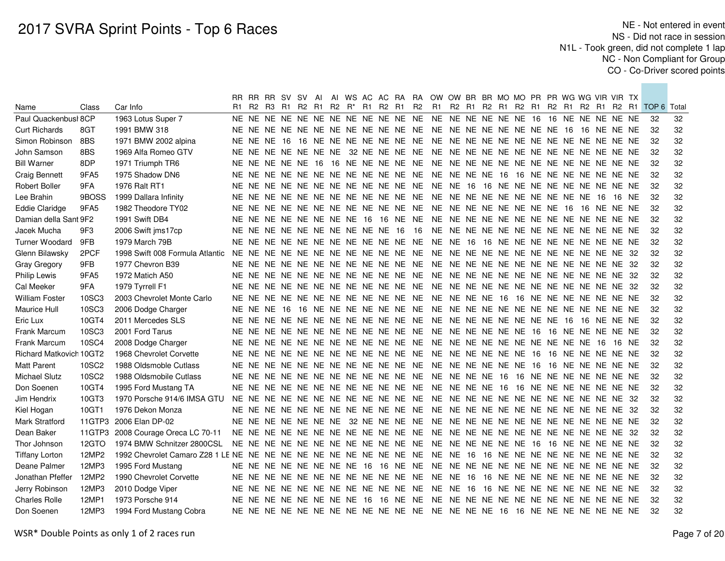|                         |        |                                                                    |                                     |  |  |  |  |                                              |                                     | RR RR RR SV SV AI AI WS AC AC RA RA OW OW BR BR MO MO PR PR WG WG VIR VIR TX |                                           |  |  |  |  |       |                                                    |    |
|-------------------------|--------|--------------------------------------------------------------------|-------------------------------------|--|--|--|--|----------------------------------------------|-------------------------------------|------------------------------------------------------------------------------|-------------------------------------------|--|--|--|--|-------|----------------------------------------------------|----|
| Name                    | Class  | Car Info                                                           |                                     |  |  |  |  | R1 R2 R3 R1 R2 R1 R2 R <sup>*</sup> R1 R2 R1 | R <sub>2</sub>                      |                                                                              |                                           |  |  |  |  |       | R1 R2 R1 R2 R1 R2 R1 R2 R1 R2 R1 R2 R1 TOP 6 Total |    |
| Paul Quackenbusl 8CP    |        | 1963 Lotus Super 7                                                 |                                     |  |  |  |  |                                              |                                     |                                                                              |                                           |  |  |  |  |       | 32                                                 | 32 |
| <b>Curt Richards</b>    | 8GT    | 1991 BMW 318                                                       |                                     |  |  |  |  |                                              |                                     |                                                                              |                                           |  |  |  |  |       | 32                                                 | 32 |
| Simon Robinson          | 8BS    | 1971 BMW 2002 alpina                                               |                                     |  |  |  |  |                                              |                                     |                                                                              |                                           |  |  |  |  |       | 32                                                 | 32 |
| John Samson             | 8BS    | 1969 Alfa Romeo GTV                                                |                                     |  |  |  |  |                                              |                                     |                                                                              |                                           |  |  |  |  |       | 32                                                 | 32 |
| <b>Bill Warner</b>      | 8DP    | 1971 Triumph TR6                                                   |                                     |  |  |  |  |                                              |                                     |                                                                              |                                           |  |  |  |  |       | 32                                                 | 32 |
| <b>Craig Bennett</b>    | 9FA5   | 1975 Shadow DN6                                                    |                                     |  |  |  |  |                                              |                                     |                                                                              |                                           |  |  |  |  |       | 32                                                 | 32 |
| <b>Robert Boller</b>    | 9FA    | 1976 Ralt RT1                                                      |                                     |  |  |  |  |                                              |                                     |                                                                              |                                           |  |  |  |  |       | 32                                                 | 32 |
| Lee Brahin              | 9BOSS  | 1999 Dallara Infinity                                              |                                     |  |  |  |  |                                              | NE NE NE NE NE NE NE NE NE NE NE NE | NE NE NE NE NE NE NE NE NE NE 16                                             |                                           |  |  |  |  | 16 NE | 32                                                 | 32 |
| <b>Eddie Claridge</b>   | 9FA5   | 1982 Theodore TY02                                                 |                                     |  |  |  |  | NE NE NE NE NE NE NE NE NE NE NE NE          |                                     |                                                                              | NE NE NE NE NE NE NE NE 16 16 NE NE NE    |  |  |  |  |       | 32                                                 | 32 |
| Damian della Sant 9F2   |        | 1991 Swift DB4                                                     |                                     |  |  |  |  | NE NE NE NE NE NE NE NE 16 16 NE NE          |                                     |                                                                              |                                           |  |  |  |  |       | 32                                                 | 32 |
| Jacek Mucha             | 9F3    | 2006 Swift jms17cp                                                 |                                     |  |  |  |  | NE NE NE NE NE NE NE NE NE NE 16 16          |                                     |                                                                              |                                           |  |  |  |  |       | 32                                                 | 32 |
| <b>Turner Woodard</b>   | 9FB    | 1979 March 79B                                                     |                                     |  |  |  |  | NE NE NE NE NE NE NE NE NE NE NE NE          |                                     |                                                                              | NE NE 16 16 NE NE NE NE NE NE NE NE NE NE |  |  |  |  |       | 32                                                 | 32 |
| Glenn Bilawsky          | 2PCF   | 1998 Swift 008 Formula Atlantic                                    | NE NE NE NE NE NE NE NE NE NE NE NE |  |  |  |  |                                              |                                     |                                                                              | NE NE NE NE NE NE NE NE NE NE NE NE 32    |  |  |  |  |       | 32                                                 | 32 |
| Gray Gregory            | 9FB    | 1977 Chevron B39                                                   |                                     |  |  |  |  | NE NE NE NE NE NE NE NE NE NE NE NE          |                                     | NE NE NE NE NE NE NE NE NE NE NE NE 32                                       |                                           |  |  |  |  |       | 32                                                 | 32 |
| <b>Philip Lewis</b>     | 9FA5   | 1972 Matich A50                                                    |                                     |  |  |  |  | NE NE NE NE NE NE NE NE NE NE NE NE          |                                     | NE NE NE NE NE NE NE NE NE NE NE NE 32                                       |                                           |  |  |  |  |       | 32                                                 | 32 |
| Cal Meeker              | 9FA    | 1979 Tyrrell F1                                                    |                                     |  |  |  |  |                                              |                                     |                                                                              |                                           |  |  |  |  |       | 32                                                 | 32 |
| <b>William Foster</b>   | 10SC3  | 2003 Chevrolet Monte Carlo                                         |                                     |  |  |  |  |                                              |                                     |                                                                              |                                           |  |  |  |  |       | 32                                                 | 32 |
| <b>Maurice Hull</b>     | 10SC3  | 2006 Dodge Charger                                                 |                                     |  |  |  |  |                                              |                                     |                                                                              |                                           |  |  |  |  |       | 32                                                 | 32 |
| Eric Lux                | 10GT4  | 2011 Mercedes SLS                                                  |                                     |  |  |  |  |                                              |                                     |                                                                              |                                           |  |  |  |  |       | 32                                                 | 32 |
| Frank Marcum            | 10SC3  | 2001 Ford Tarus                                                    |                                     |  |  |  |  |                                              |                                     |                                                                              |                                           |  |  |  |  |       | 32                                                 | 32 |
| Frank Marcum            | 10SC4  | 2008 Dodge Charger                                                 |                                     |  |  |  |  |                                              |                                     |                                                                              |                                           |  |  |  |  | 16 NE | 32                                                 | 32 |
| Richard Matkovich 10GT2 |        | 1968 Chevrolet Corvette                                            |                                     |  |  |  |  |                                              |                                     |                                                                              |                                           |  |  |  |  |       | 32                                                 | 32 |
| Matt Parent             | 10SC2  | 1988 Oldsmoble Cutlass                                             |                                     |  |  |  |  |                                              |                                     |                                                                              |                                           |  |  |  |  |       | 32                                                 | 32 |
| Michael Slutz           | 10SC2  | 1988 Oldsmobile Cutlass                                            |                                     |  |  |  |  |                                              |                                     |                                                                              |                                           |  |  |  |  |       | 32                                                 | 32 |
| Don Soenen              | 10GT4  | 1995 Ford Mustang TA                                               |                                     |  |  |  |  |                                              |                                     |                                                                              |                                           |  |  |  |  |       | 32                                                 | 32 |
| Jim Hendrix             | 10GT3  | 1970 Porsche 914/6 IMSA GTU                                        |                                     |  |  |  |  |                                              |                                     |                                                                              |                                           |  |  |  |  |       | 32                                                 | 32 |
| Kiel Hogan              | 10GT1  | 1976 Dekon Monza                                                   |                                     |  |  |  |  |                                              |                                     |                                                                              |                                           |  |  |  |  |       | 32                                                 | 32 |
| Mark Stratford          | 11GTP3 | 2006 Elan DP-02                                                    |                                     |  |  |  |  |                                              |                                     |                                                                              |                                           |  |  |  |  |       | 32                                                 | 32 |
| Dean Baker              | 11GTP3 | 2008 Courage Oreca LC 70-11                                        |                                     |  |  |  |  | NE NE NE NE NE NE NE NE NE NE NE NE          |                                     | NE NE NE NE NE NE NE NE NE NE NE NE 32                                       |                                           |  |  |  |  |       | 32                                                 | 32 |
| Thor Johnson            | 12GTO  | 1974 BMW Schnitzer 2800CSL                                         |                                     |  |  |  |  |                                              |                                     |                                                                              |                                           |  |  |  |  |       | 32                                                 | 32 |
| <b>Tiffany Lorton</b>   | 12MP2  | 1992 Chevrolet Camaro Z28 1 LE NE NE NE NE NE NE NE NE NE NE NE NE |                                     |  |  |  |  |                                              |                                     |                                                                              | NE NE 16 16 NE NE NE NE NE NE NE NE NE NE |  |  |  |  |       | 32                                                 | 32 |
| Deane Palmer            | 12MP3  | 1995 Ford Mustang                                                  |                                     |  |  |  |  | NE NE NE NE NE NE NE NE 16 16 NE NE          |                                     |                                                                              |                                           |  |  |  |  |       | 32                                                 | 32 |
| Jonathan Pfeffer        | 12MP2  | 1990 Chevrolet Corvette                                            |                                     |  |  |  |  | NE NE NE NE NE NE NE NE NE NE NE NE          |                                     | NE NE 16 16 NE NE NE NE NE NE NE NE NE NE                                    |                                           |  |  |  |  |       | 32                                                 | 32 |
| Jerry Robinson          | 12MP3  | 2010 Dodge Viper                                                   |                                     |  |  |  |  | NE NE NE NE NE NE NE NE NE NE NE NE          |                                     |                                                                              | NE NE 16 16 NE NE NE NE NE NE NE NE NE NE |  |  |  |  |       | 32                                                 | 32 |
| <b>Charles Rolle</b>    | 12MP1  | 1973 Porsche 914                                                   |                                     |  |  |  |  | NE NE NE NE NE NE NE NE 16 16 NE NE          |                                     |                                                                              |                                           |  |  |  |  |       | 32                                                 | 32 |
| Don Soenen              | 12MP3  | 1994 Ford Mustang Cobra                                            |                                     |  |  |  |  |                                              |                                     |                                                                              |                                           |  |  |  |  |       | 32                                                 | 32 |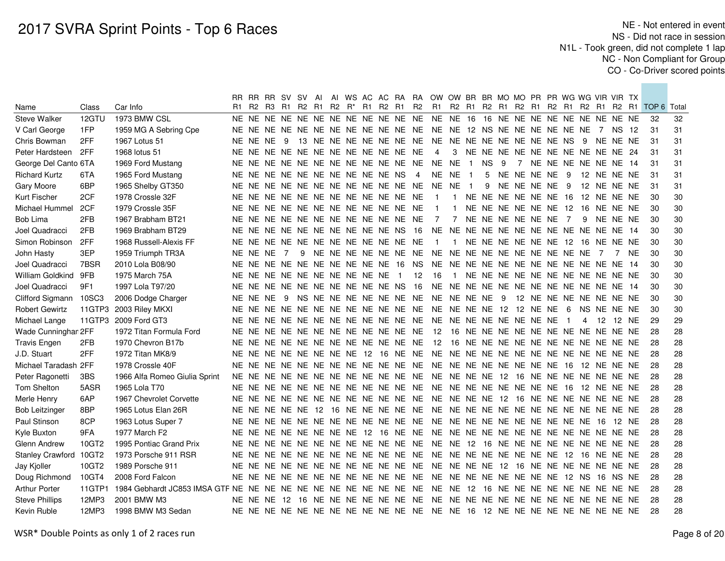|                        |        |                               |  |            |  |  |  |                                                 | RR RR RR SV SV AI AI WS AC AC RA RA OW OW BR BR MO MO PR PR WG WG VIR VIR TX |                  |                     |   |                 |  |                |                                    |      |             |       |                                                    |    |
|------------------------|--------|-------------------------------|--|------------|--|--|--|-------------------------------------------------|------------------------------------------------------------------------------|------------------|---------------------|---|-----------------|--|----------------|------------------------------------|------|-------------|-------|----------------------------------------------------|----|
| Name                   | Class  | Car Info                      |  |            |  |  |  | R1 R2 R3 R1 R2 R1 R2 R <sup>*</sup> R1 R2 R1 R2 |                                                                              |                  |                     |   |                 |  |                |                                    |      |             |       | R1 R2 R1 R2 R1 R2 R1 R2 R1 R2 R1 R2 R1 TOP 6 Total |    |
| <b>Steve Walker</b>    | 12GTU  | 1973 BMW CSL                  |  |            |  |  |  |                                                 |                                                                              |                  |                     |   |                 |  |                |                                    |      |             |       | -32                                                | 32 |
| V Carl George          | 1FP    | 1959 MG A Sebring Cpe         |  |            |  |  |  |                                                 |                                                                              |                  |                     |   |                 |  |                |                                    |      |             |       | -31                                                | 31 |
| Chris Bowman           | 2FF    | 1967 Lotus 51                 |  | NE NE NE 9 |  |  |  |                                                 |                                                                              |                  |                     |   |                 |  |                |                                    |      |             |       | 31                                                 | 31 |
| Peter Hardsteen        | 2FF    | 1968 lotus 51                 |  |            |  |  |  | NE NE NE NE NE NE NE NE NE NE NE NE             | $\overline{4}$                                                               |                  |                     |   |                 |  |                | 3 NE NE NE NE NE NE NE NE NE NE 24 |      |             |       | 31                                                 | 31 |
| George Del Canto 6TA   |        | 1969 Ford Mustang             |  |            |  |  |  |                                                 |                                                                              |                  |                     |   |                 |  |                |                                    |      |             |       | 31                                                 | 31 |
| <b>Richard Kurtz</b>   | 6TA    | 1965 Ford Mustang             |  |            |  |  |  | NE NE NE NE NE NE NE NE NE NE NS 4              |                                                                              | NE NE 1          |                     |   | 5 NE NE NE NE 9 |  |                | 12 NE NE NE                        |      |             |       | 31                                                 | 31 |
| Gary Moore             | 6BP    | 1965 Shelby GT350             |  |            |  |  |  | NE NE NE NE NE NE NE NE NE NE NE NE             | NE NE 1                                                                      |                  |                     | 9 | NE NE NE NE 9   |  |                |                                    |      | 12 NE NE NE |       | 31                                                 | 31 |
| Kurt Fischer           | 2CF    | 1978 Crossle 32F              |  |            |  |  |  | NE NE NE NE NE NE NE NE NE NE NE NE             | $\overline{1}$                                                               | $\overline{1}$   |                     |   |                 |  |                | NE NE NE NE NE NE 16 12 NE NE NE   |      |             |       | 30                                                 | 30 |
| Michael Hummel         | 2CF    | 1979 Crossle 35F              |  |            |  |  |  | NE NE NE NE NE NE NE NE NE NE NE NE             | $\overline{1}$                                                               | $\mathbf{1}$     |                     |   |                 |  |                | NE NE NE NE NE NE 12 16 NE NE NE   |      |             |       | 30                                                 | 30 |
| Bob Lima               | 2FB    | 1967 Brabham BT21             |  |            |  |  |  | NE NE NE NE NE NE NE NE NE NE NE NE             | $\overline{7}$                                                               | 7                | NE NE NE NE NE NE 7 |   |                 |  |                | 9                                  |      | NE NE NE    |       | 30                                                 | 30 |
| Joel Quadracci         | 2FB    | 1969 Brabham BT29             |  |            |  |  |  | NE NE NE NE NE NE NE NE NE NE NS 16             | NE NE NE NE NE NE NE NE NE NE NE NE 14                                       |                  |                     |   |                 |  |                |                                    |      |             |       | 30                                                 | 30 |
| Simon Robinson         | 2FF    | 1968 Russell-Alexis FF        |  |            |  |  |  | NE NE NE NE NE NE NE NE NE NE NE NE             | $\overline{1}$                                                               | $\overline{1}$   |                     |   |                 |  |                | NE NE NE NE NE NE 12 16 NE NE NE   |      |             |       | 30                                                 | 30 |
| John Hasty             | 3EP    | 1959 Triumph TR3A             |  | NE NE NE 7 |  |  |  |                                                 |                                                                              |                  |                     |   |                 |  |                |                                    |      | 7           | NE.   | 30                                                 | 30 |
| Joel Quadracci         | 7BSR   | 2010 Lola B08/90              |  |            |  |  |  | NE NE NE NE NE NE NE NE NE NE 16 NS             | NE NE NE NE NE NE NE NE NE NE NE NE 14                                       |                  |                     |   |                 |  |                |                                    |      |             |       | 30                                                 | 30 |
| William Goldkind       | 9FB    | 1975 March 75A                |  |            |  |  |  | NE NE NE NE NE NE NE NE NE NE 1 12              | 16                                                                           | $\blacksquare$ 1 |                     |   |                 |  |                | NE NE NE NE NE NE NE NE NE NE NE   |      |             |       | 30                                                 | 30 |
| Joel Quadracci         | 9F1    | 1997 Lola T97/20              |  |            |  |  |  | NE NE NE NE NE NE NE NE NE NE NS 16             | NE NE NE NE NE NE NE NE NE NE NE NE 14                                       |                  |                     |   |                 |  |                |                                    |      |             |       | 30                                                 | 30 |
| Clifford Sigmann       | 10SC3  | 2006 Dodge Charger            |  | NE NE NE 9 |  |  |  |                                                 | NS NE NE NE NE NE NE NE NE NE NE NE 9 12 NE NE NE NE NE NE NE                |                  |                     |   |                 |  |                |                                    |      |             |       | 30                                                 | 30 |
| <b>Robert Gewirtz</b>  |        | 11GTP3 2003 Riley MKXI        |  |            |  |  |  |                                                 |                                                                              |                  |                     |   |                 |  |                | NS NE NE NE                        |      |             |       | 30                                                 | 30 |
| Michael Lange          |        | 11GTP3 2009 Ford GT3          |  |            |  |  |  |                                                 |                                                                              |                  |                     |   |                 |  | $\overline{1}$ | 4                                  | - 12 |             | 12 NE | 29                                                 | 29 |
| Wade Cunninghan 2FF    |        | 1972 Titan Formula Ford       |  |            |  |  |  |                                                 | NE NE NE NE NE NE NE NE NE NE NE NE 12 16 NE NE NE NE NE NE NE NE NE NE NE   |                  |                     |   |                 |  |                |                                    |      |             |       | 28                                                 | 28 |
| <b>Travis Engen</b>    | 2FB    | 1970 Chevron B17b             |  |            |  |  |  |                                                 | NE NE NE NE NE NE NE NE NE NE NE NE 12 16 NE NE NE NE NE NE NE NE NE NE NE   |                  |                     |   |                 |  |                |                                    |      |             |       | 28                                                 | 28 |
| J.D. Stuart            | 2FF    | 1972 Titan MK8/9              |  |            |  |  |  |                                                 |                                                                              |                  |                     |   |                 |  |                |                                    |      |             |       | 28                                                 | 28 |
| Michael Taradash 2FF   |        | 1978 Crossle 40F              |  |            |  |  |  |                                                 |                                                                              |                  |                     |   |                 |  |                |                                    |      |             |       | 28                                                 | 28 |
| Peter Ragonetti        | 3BS    | 1966 Alfa Romeo Giulia Sprint |  |            |  |  |  |                                                 |                                                                              |                  |                     |   |                 |  |                |                                    |      |             |       | 28                                                 | 28 |
| Tom Shelton            | 5ASR   | 1965 Lola T70                 |  |            |  |  |  |                                                 |                                                                              |                  |                     |   |                 |  |                |                                    |      |             |       | 28                                                 | 28 |
| Merle Henry            | 6AP    | 1967 Chevrolet Corvette       |  |            |  |  |  |                                                 |                                                                              |                  |                     |   |                 |  |                |                                    |      |             |       | 28                                                 | 28 |
| <b>Bob Leitzinger</b>  | 8BP    | 1965 Lotus Elan 26R           |  |            |  |  |  |                                                 |                                                                              |                  |                     |   |                 |  |                |                                    |      |             |       | 28                                                 | 28 |
| Paul Stinson           | 8CP    | 1963 Lotus Super 7            |  |            |  |  |  |                                                 |                                                                              |                  |                     |   |                 |  |                |                                    |      |             | 12 NE | 28                                                 | 28 |
| Kyle Buxton            | 9FA    | 1977 March F2                 |  |            |  |  |  |                                                 |                                                                              |                  |                     |   |                 |  |                |                                    |      |             |       | 28                                                 | 28 |
| Glenn Andrew           | 10GT2  | 1995 Pontiac Grand Prix       |  |            |  |  |  |                                                 |                                                                              |                  |                     |   |                 |  |                |                                    |      |             |       | 28                                                 | 28 |
| Stanley Crawford 10GT2 |        | 1973 Porsche 911 RSR          |  |            |  |  |  |                                                 |                                                                              |                  |                     |   |                 |  |                |                                    |      |             |       | 28                                                 | 28 |
| Jay Kjoller            | 10GT2  | 1989 Porsche 911              |  |            |  |  |  |                                                 |                                                                              |                  |                     |   |                 |  |                |                                    |      |             |       | 28                                                 | 28 |
| Doug Richmond          | 10GT4  | 2008 Ford Falcon              |  |            |  |  |  |                                                 |                                                                              |                  |                     |   |                 |  |                |                                    |      |             |       | 28                                                 | 28 |
| <b>Arthur Porter</b>   | 11GTP1 |                               |  |            |  |  |  |                                                 |                                                                              |                  |                     |   |                 |  |                |                                    |      |             |       | 28                                                 | 28 |
| <b>Steve Phillips</b>  | 12MP3  | 2001 BMW M3                   |  |            |  |  |  |                                                 |                                                                              |                  |                     |   |                 |  |                |                                    |      |             |       | 28                                                 | 28 |
| Kevin Ruble            | 12MP3  | 1998 BMW M3 Sedan             |  |            |  |  |  |                                                 |                                                                              |                  |                     |   |                 |  |                |                                    |      |             |       | 28                                                 | 28 |
|                        |        |                               |  |            |  |  |  |                                                 |                                                                              |                  |                     |   |                 |  |                |                                    |      |             |       |                                                    |    |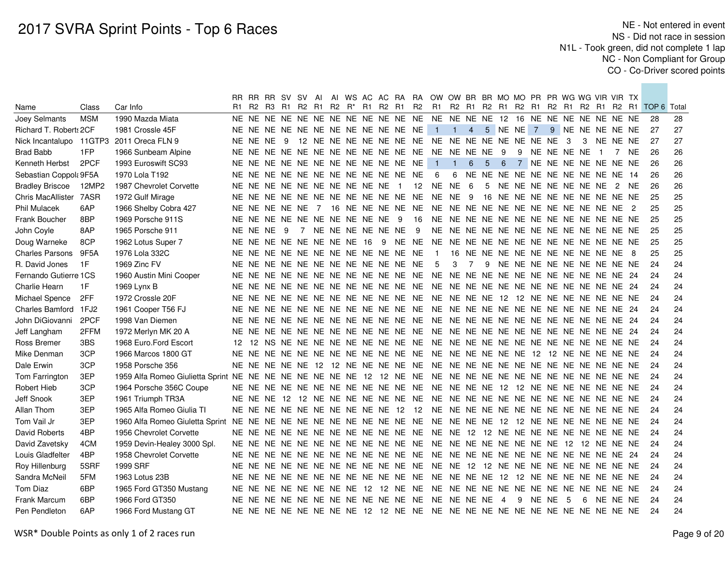|                        |            |                                          |     |            |                            |  |  |  |                                     | RR RR RR SV SV AI AI WS AC AC RA RA OW OW BR BR MO MO PR PR WG WG VIR VIR TX |                     |                |                |     |   |         |               |                                    |                |          |      |                                                                                           |    |
|------------------------|------------|------------------------------------------|-----|------------|----------------------------|--|--|--|-------------------------------------|------------------------------------------------------------------------------|---------------------|----------------|----------------|-----|---|---------|---------------|------------------------------------|----------------|----------|------|-------------------------------------------------------------------------------------------|----|
| Name                   | Class      | Car Info                                 | R1. |            |                            |  |  |  |                                     |                                                                              |                     |                |                |     |   |         |               |                                    |                |          |      | R2 R3 R1 R2 R1 R2 R* R1 R2 R1 R2 R1 R2 R1 R2 R1 R2 R1 R2 R1 R2 R1 R2 R1 R2 R1 TOP 6 Total |    |
| Joey Selmants          | <b>MSM</b> | 1990 Mazda Miata                         |     |            |                            |  |  |  |                                     |                                                                              |                     |                |                |     |   |         |               |                                    |                |          |      | -28                                                                                       | 28 |
| Richard T. Robert: 2CF |            | 1981 Crossle 45F                         |     |            |                            |  |  |  | NE NE NE NE NE NE NE NE NE NE NE NE |                                                                              | $1 \quad 1 \quad 4$ |                |                |     |   |         |               | 5 NE NE 7 9 NE NE NE NE NE         |                |          |      | 27                                                                                        | 27 |
|                        |            | Nick Incantalupo 11GTP3 2011 Oreca FLN 9 |     | NE NE NE 9 |                            |  |  |  |                                     |                                                                              |                     |                |                |     |   |         |               | 3                                  |                | NE NE NE |      | 27                                                                                        | 27 |
| <b>Brad Babb</b>       | 1FP        | 1966 Sunbeam Alpine                      |     |            |                            |  |  |  |                                     |                                                                              |                     |                |                | - 9 |   |         | 9 NE NE NE NE |                                    | $\blacksquare$ |          | 7 NE | 26                                                                                        | 26 |
| Kenneth Herbst         | 2PCF       | 1993 Euroswift SC93                      |     |            |                            |  |  |  | NE NE NE NE NE NE NE NE NE NE NE NE |                                                                              | $1 \quad 1$         | 6              | 5 <sup>5</sup> | 6   |   |         |               | 7 NE NE NE NE NE NE NE             |                |          |      | 26                                                                                        | 26 |
| Sebastian Coppol: 9F5A |            | 1970 Lola T192                           |     |            |                            |  |  |  | NE NE NE NE NE NE NE NE NE NE NE NE | - 6                                                                          |                     |                |                |     |   |         |               | 6 NE NE NE NE NE NE NE NE NE NE 14 |                |          |      | 26                                                                                        | 26 |
| <b>Bradley Briscoe</b> | 12MP2      | 1987 Chevrolet Corvette                  |     |            |                            |  |  |  |                                     | NE NE NE NE NE NE NE NE NE NE 1 12 NE NE 6                                   |                     |                |                |     |   |         |               | 5 NE NE NE NE NE NE NE 2 NE        |                |          |      | 26                                                                                        | 26 |
| Chris MacAllister      | 7ASR       | 1972 Gulf Mirage                         |     |            |                            |  |  |  |                                     |                                                                              |                     |                |                |     |   |         |               | 16 NE NE NE NE NE NE NE NE NE      |                |          |      | 25                                                                                        | 25 |
| <b>Phil Mulacek</b>    | 6AP        | 1966 Shelby Cobra 427                    |     |            |                            |  |  |  |                                     |                                                                              |                     |                |                |     |   |         |               |                                    |                |          |      | 25                                                                                        | 25 |
| Frank Boucher          | 8BP        | 1969 Porsche 911S                        |     |            |                            |  |  |  | NE NE NE NE NE NE NE NE NE NE 9 16  |                                                                              |                     |                |                |     |   |         |               |                                    |                |          |      | 25                                                                                        | 25 |
| John Coyle             | 8AP        | 1965 Porsche 911                         |     | NE NE NE 9 |                            |  |  |  | 7 NE NE NE NE NE NE 9               |                                                                              |                     |                |                |     |   |         |               |                                    |                |          |      | 25                                                                                        | 25 |
| Doug Warneke           | 8CP        | 1962 Lotus Super 7                       |     |            | NE NE NE NE NE NE NE NE 16 |  |  |  | 9 NE NE                             |                                                                              |                     |                |                |     |   |         |               |                                    |                |          |      | 25                                                                                        | 25 |
| <b>Charles Parsons</b> | 9F5A       | 1976 Lola 332C                           |     |            |                            |  |  |  | NE NE NE NE NE NE NE NE NE NE NE NE | $\overline{1}$                                                               |                     |                |                |     |   |         |               | 16 NE NE NE NE NE NE NE NE NE NE 8 |                |          |      | 25                                                                                        | 25 |
| R. David Jones         | 1F         | 1969 Zinc FV                             |     |            |                            |  |  |  | NE NE NE NE NE NE NE NE NE NE NE NE | -5                                                                           | 3                   | $\overline{7}$ |                |     |   |         |               | 9 NE NE NE NE NE NE NE NE NE       |                |          |      | 24                                                                                        | 24 |
| Fernando Gutierre 1CS  |            | 1960 Austin Mini Cooper                  |     |            |                            |  |  |  |                                     |                                                                              |                     |                |                |     |   |         |               |                                    |                |          |      | 24                                                                                        | 24 |
| Charlie Hearn          | 1F         | 1969 Lynx B                              |     |            |                            |  |  |  |                                     |                                                                              |                     |                |                |     |   |         |               |                                    |                |          |      | 24                                                                                        | 24 |
| Michael Spence         | 2FF        | 1972 Crossle 20F                         |     |            |                            |  |  |  |                                     |                                                                              |                     |                |                |     |   |         |               |                                    |                |          |      | 24                                                                                        | 24 |
| Charles Bamford 1FJ2   |            | 1961 Cooper T56 FJ                       |     |            |                            |  |  |  |                                     |                                                                              |                     |                |                |     |   |         |               |                                    |                |          |      | 24                                                                                        | 24 |
| John DiGiovanni        | 2PCF       | 1998 Van Diemen                          |     |            |                            |  |  |  |                                     |                                                                              |                     |                |                |     |   |         |               |                                    |                |          |      | 24                                                                                        | 24 |
| Jeff Langham           | 2FFM       | 1972 Merlyn MK 20 A                      |     |            |                            |  |  |  |                                     |                                                                              |                     |                |                |     |   |         |               |                                    |                |          |      | 24                                                                                        | 24 |
| Ross Bremer            | 3BS        | 1968 Euro. Ford Escort                   |     |            |                            |  |  |  |                                     |                                                                              |                     |                |                |     |   |         |               |                                    |                |          |      | 24                                                                                        | 24 |
| Mike Denman            | 3CP        | 1966 Marcos 1800 GT                      |     |            |                            |  |  |  |                                     |                                                                              |                     |                |                |     |   |         |               |                                    |                |          |      | 24                                                                                        | 24 |
| Dale Erwin             | 3CP        | 1958 Porsche 356                         |     |            |                            |  |  |  |                                     |                                                                              |                     |                |                |     |   |         |               |                                    |                |          |      | 24                                                                                        | 24 |
| Tom Farrington         | 3EP        |                                          |     |            |                            |  |  |  |                                     |                                                                              |                     |                |                |     |   |         |               |                                    |                |          |      | 24                                                                                        | 24 |
| <b>Robert Hieb</b>     | 3CP        | 1964 Porsche 356C Coupe                  |     |            |                            |  |  |  |                                     |                                                                              |                     |                |                |     |   |         |               |                                    |                |          |      | 24                                                                                        | 24 |
| Jeff Snook             | 3EP        | 1961 Triumph TR3A                        |     |            |                            |  |  |  |                                     |                                                                              |                     |                |                |     |   |         |               |                                    |                |          |      | 24                                                                                        | 24 |
| Allan Thom             | 3EP        | 1965 Alfa Romeo Giulia TI                |     |            |                            |  |  |  |                                     |                                                                              |                     |                |                |     |   |         |               |                                    |                |          |      | 24                                                                                        | 24 |
| Tom Vail Jr            | 3EP        |                                          |     |            |                            |  |  |  |                                     |                                                                              |                     |                |                |     |   |         |               |                                    |                |          |      | 24                                                                                        | 24 |
| David Roberts          | 4BP        | 1956 Chevrolet Corvette                  |     |            |                            |  |  |  |                                     |                                                                              |                     |                |                |     |   |         |               |                                    |                |          |      | 24                                                                                        | 24 |
| David Zavetsky         | 4CM        | 1959 Devin-Healey 3000 Spl.              |     |            |                            |  |  |  |                                     |                                                                              |                     |                |                |     |   |         |               |                                    |                |          |      | 24                                                                                        | 24 |
| Louis Gladfelter       | 4BP        | 1958 Chevrolet Corvette                  |     |            |                            |  |  |  |                                     |                                                                              |                     |                |                |     |   |         |               |                                    |                |          |      | 24                                                                                        | 24 |
| Roy Hillenburg         | 5SRF       | 1999 SRF                                 |     |            |                            |  |  |  |                                     |                                                                              |                     |                |                |     |   |         |               |                                    |                |          |      | 24                                                                                        | 24 |
| Sandra McNeil          | 5FM        | 1963 Lotus 23B                           |     |            |                            |  |  |  |                                     |                                                                              |                     |                |                |     |   |         |               |                                    |                |          |      | 24                                                                                        | 24 |
| Tom Diaz               | 6BP        | 1965 Ford GT350 Mustang                  |     |            |                            |  |  |  |                                     |                                                                              |                     |                |                |     |   |         |               |                                    |                |          |      | 24                                                                                        | 24 |
| <b>Frank Marcum</b>    | 6BP        | 1966 Ford GT350                          |     |            |                            |  |  |  |                                     |                                                                              |                     |                |                |     | 9 | NE NE 5 |               | 6                                  |                | NE NE NE |      | 24                                                                                        | 24 |
| Pen Pendleton          | 6AP        | 1966 Ford Mustang GT                     |     |            |                            |  |  |  |                                     |                                                                              |                     |                |                |     |   |         |               |                                    |                |          |      | 24                                                                                        | 24 |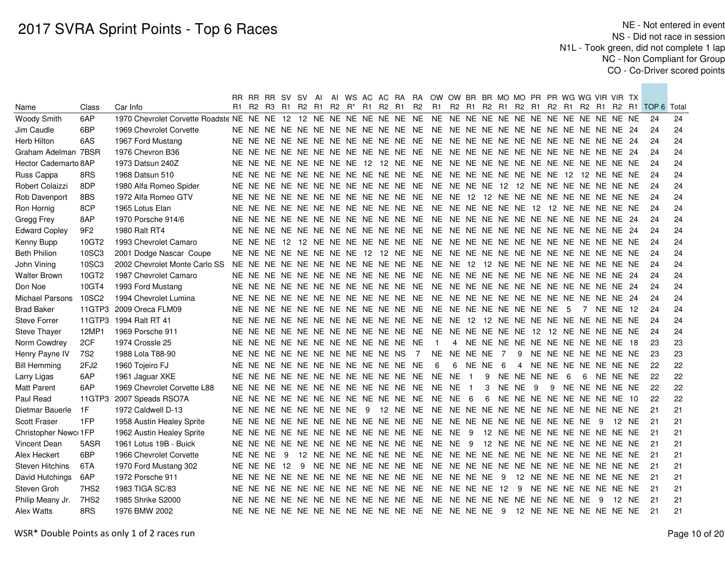|                        |                  |                               |  |             | RR RR RR SV SV AI                |     |  |  |                                                 |                                     | AI WS AC AC RA RA OW OW BR BR MO MO PR PR WG WG VIR VIR TX |             |         |                |                |   |     |                                    |     |                 |                                                    |    |
|------------------------|------------------|-------------------------------|--|-------------|----------------------------------|-----|--|--|-------------------------------------------------|-------------------------------------|------------------------------------------------------------|-------------|---------|----------------|----------------|---|-----|------------------------------------|-----|-----------------|----------------------------------------------------|----|
| Name                   | Class            | Car Info                      |  |             |                                  |     |  |  | R1 R2 R3 R1 R2 R1 R2 R <sup>*</sup> R1 R2 R1 R2 |                                     |                                                            |             |         |                |                |   |     |                                    |     |                 | R1 R2 R1 R2 R1 R2 R1 R2 R1 R2 R1 R2 R1 TOP 6 Total |    |
| Woody Smith            | 6AP              |                               |  |             |                                  |     |  |  |                                                 |                                     |                                                            |             |         |                |                |   |     |                                    |     |                 | 24                                                 | 24 |
| Jim Caudle             | 6BP              | 1969 Chevrolet Corvette       |  |             |                                  |     |  |  |                                                 |                                     |                                                            |             |         |                |                |   |     |                                    |     |                 | 24                                                 | 24 |
| Herb Hilton            | 6AS              | 1967 Ford Mustang             |  |             |                                  |     |  |  |                                                 |                                     |                                                            |             |         |                |                |   |     |                                    |     |                 | 24                                                 | 24 |
| Graham Adelman 7BSR    |                  | 1976 Chevron B36              |  |             |                                  |     |  |  |                                                 |                                     |                                                            |             |         |                |                |   |     |                                    |     |                 | 24                                                 | 24 |
| Hector Cademarto 8AP   |                  | 1973 Datsun 240Z              |  |             |                                  |     |  |  |                                                 |                                     |                                                            |             |         |                |                |   |     |                                    |     |                 | 24                                                 | 24 |
| Russ Cappa             | 8RS              | 1968 Datsun 510               |  |             |                                  |     |  |  |                                                 |                                     |                                                            |             |         |                |                |   |     |                                    |     |                 | 24                                                 | 24 |
| Robert Colaizzi        | 8DP              | 1980 Alfa Romeo Spider        |  |             |                                  |     |  |  |                                                 |                                     |                                                            |             |         |                |                |   |     |                                    |     |                 | 24                                                 | 24 |
| Rob Davenport          | 8BS              | 1972 Alfa Romeo GTV           |  |             |                                  |     |  |  |                                                 |                                     |                                                            |             |         |                |                |   |     |                                    |     |                 | 24                                                 | 24 |
| Ron Hornig             | 8CP              | 1965 Lotus Elan               |  |             |                                  |     |  |  |                                                 |                                     |                                                            |             |         |                |                |   |     |                                    |     |                 | 24                                                 | 24 |
| Gregg Frey             | 8AP              | 1970 Porsche 914/6            |  |             |                                  |     |  |  |                                                 |                                     |                                                            |             |         |                |                |   |     |                                    |     |                 | 24                                                 | 24 |
| <b>Edward Copley</b>   | 9F <sub>2</sub>  | 1980 Ralt RT4                 |  |             |                                  |     |  |  |                                                 |                                     |                                                            |             |         |                |                |   |     |                                    |     |                 | 24                                                 | 24 |
| Kenny Bupp             | 10GT2            | 1993 Chevrolet Camaro         |  |             |                                  |     |  |  |                                                 |                                     |                                                            |             |         |                |                |   |     |                                    |     |                 | 24                                                 | 24 |
| <b>Beth Philion</b>    | 10SC3            | 2001 Dodge Nascar Coupe       |  |             |                                  |     |  |  |                                                 |                                     |                                                            |             |         |                |                |   |     |                                    |     |                 | 24                                                 | 24 |
| John Vining            | 10SC3            | 2002 Chevrolet Monte Carlo SS |  |             |                                  |     |  |  |                                                 |                                     |                                                            |             |         |                |                |   |     |                                    |     |                 | 24                                                 | 24 |
| <b>Walter Brown</b>    | 10GT2            | 1987 Chevrolet Camaro         |  |             |                                  |     |  |  |                                                 |                                     |                                                            |             |         |                |                |   |     |                                    |     |                 | 24                                                 | 24 |
| Don Noe                | 10GT4            | 1993 Ford Mustang             |  |             |                                  |     |  |  |                                                 |                                     |                                                            |             |         |                |                |   |     |                                    |     |                 | 24                                                 | 24 |
| Michael Parsons        | 10SC2            | 1994 Chevrolet Lumina         |  |             |                                  |     |  |  |                                                 |                                     |                                                            |             |         |                |                |   |     |                                    |     |                 | 24                                                 | 24 |
| <b>Brad Baker</b>      | 11GTP3           | 2009 Oreca FLM09              |  |             |                                  |     |  |  |                                                 |                                     |                                                            |             |         |                |                |   | - 5 | $\overline{7}$                     |     | <b>NE NE 12</b> | 24                                                 | 24 |
| <b>Steve Forrer</b>    | 11GTP3           | 1994 Ralt RT 41               |  |             |                                  |     |  |  |                                                 |                                     |                                                            |             |         |                |                |   |     |                                    |     |                 | 24                                                 | 24 |
| <b>Steve Thayer</b>    | 12MP1            | 1969 Porsche 911              |  |             |                                  |     |  |  |                                                 |                                     |                                                            |             |         |                |                |   |     |                                    |     |                 | 24                                                 | 24 |
| Norm Cowdrey           | 2CF              | 1974 Crossle 25               |  |             |                                  |     |  |  | NE NE NE NE NE NE NE NE NE NE NE NE             |                                     | $\overline{1}$                                             |             |         |                |                |   |     | 4 NE NE NE NE NE NE NE NE NE NE 18 |     |                 | 23                                                 | 23 |
| Henry Payne IV         | 7S2              | 1988 Lola T88-90              |  |             | NE NE NE NE NE NE NE NE NE NE NS |     |  |  |                                                 | $\overline{7}$                      | <b>NE</b>                                                  | NE NE NE    |         | $\overline{7}$ |                |   |     | 9 NE NE NE NE NE NE NE             |     |                 | 23                                                 | 23 |
| <b>Bill Hemming</b>    | 2FJ <sub>2</sub> | 1960 Tojeiro FJ               |  |             |                                  |     |  |  | NE NE NE NE NE NE NE NE NE NE NE NE             |                                     | 6                                                          |             | 6 NE NE | - 6            | $\overline{4}$ |   |     | NE NE NE NE NE NE NE               |     |                 | 22                                                 | 22 |
| Larry Ligas            | 6AP              | 1961 Jaguar XKE               |  |             |                                  |     |  |  |                                                 |                                     |                                                            |             |         | 9 NE NE NE NE  |                |   | - 6 | -6                                 |     | NE NE NE        | 22                                                 | 22 |
| <b>Matt Parent</b>     | 6AP              | 1969 Chevrolet Corvette L88   |  |             |                                  |     |  |  |                                                 | NE NE NE NE NE NE NE NE NE NE NE NE | <b>NE</b>                                                  | <b>NE</b> 1 |         | 3 NE NE 9      |                | 9 |     | NE NE NE NE NE                     |     |                 | 22                                                 | 22 |
| Paul Read              |                  | 11GTP3 2007 Speads RSO7A      |  |             |                                  |     |  |  |                                                 | NE NE NE NE NE NE NE NE NE NE NE NE | <b>NE</b>                                                  | NE 6        |         |                |                |   |     | 6 NE NE NE NE NE NE NE NE 10       |     |                 | 22                                                 | 22 |
| Dietmar Bauerle        | 1F               | 1972 Caldwell D-13            |  |             |                                  |     |  |  |                                                 |                                     |                                                            |             |         |                |                |   |     |                                    |     |                 | 21                                                 | 21 |
| Scott Fraser           | 1FP              | 1958 Austin Healey Sprite     |  |             |                                  |     |  |  |                                                 |                                     |                                                            |             |         |                |                |   |     |                                    |     | 12 NE           | 21                                                 | 21 |
| Christopher Newc 1FP   |                  | 1962 Austin Healey Sprite     |  |             |                                  |     |  |  |                                                 |                                     |                                                            |             |         |                |                |   |     | 12 NE NE NE NE NE NE NE NE NE      |     |                 | 21                                                 | 21 |
| Vincent Dean           | 5ASR             | 1961 Lotus 19B - Buick        |  |             |                                  |     |  |  |                                                 |                                     |                                                            |             |         |                |                |   |     | 12 NE NE NE NE NE NE NE NE NE      |     |                 | 21                                                 | 21 |
| Alex Heckert           | 6BP              | 1966 Chevrolet Corvette       |  | NE NE NE    | - 9                              |     |  |  |                                                 |                                     |                                                            |             |         |                |                |   |     |                                    |     |                 | 21                                                 | 21 |
| <b>Steven Hitchins</b> | 6TA              | 1970 Ford Mustang 302         |  | NE NE NE 12 |                                  | - 9 |  |  |                                                 |                                     |                                                            |             |         |                |                |   |     |                                    |     |                 | 21                                                 | 21 |
| David Hutchings        | 6AP              | 1972 Porsche 911              |  |             |                                  |     |  |  |                                                 | NE NE NE NE NE NE NE NE NE NE NE NE | NE NE NE NE 9                                              |             |         |                |                |   |     | 12 NE NE NE NE NE NE NE            |     |                 | 21                                                 | 21 |
| Steven Groh            | 7HS <sub>2</sub> | 1983 TIGA SC/83               |  |             |                                  |     |  |  |                                                 | NE NE NE NE NE NE NE NE NE NE NE NE | NE NE NE NE 12                                             |             |         |                |                |   |     | 9 NE NE NE NE NE NE NE             |     |                 | 21                                                 | 21 |
| Philip Meany Jr.       | 7HS <sub>2</sub> | 1985 Shrike S2000             |  |             |                                  |     |  |  |                                                 |                                     |                                                            |             |         |                |                |   |     |                                    | - 9 | 12 NE           | 21                                                 | 21 |
| Alex Watts             | 8RS              | 1976 BMW 2002                 |  |             |                                  |     |  |  |                                                 |                                     |                                                            |             |         |                |                |   |     |                                    |     |                 | 21                                                 | 21 |
|                        |                  |                               |  |             |                                  |     |  |  |                                                 |                                     |                                                            |             |         |                |                |   |     |                                    |     |                 |                                                    |    |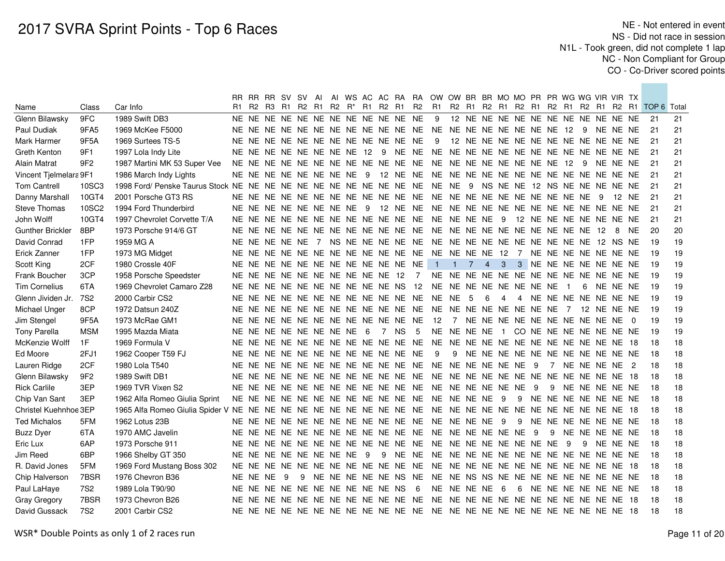|                         |                 |                                                                     |     | RR RR RR SV SV AI         |     |   |  |   |                                                                            |                                     |                 | AI WS AC AC RA RA OW OW BR BR MO MO PR PR WG WG VIR VIR TX |                |             |             |                 |              |   |  |                                        |     |          |          |                                                 |    |
|-------------------------|-----------------|---------------------------------------------------------------------|-----|---------------------------|-----|---|--|---|----------------------------------------------------------------------------|-------------------------------------|-----------------|------------------------------------------------------------|----------------|-------------|-------------|-----------------|--------------|---|--|----------------------------------------|-----|----------|----------|-------------------------------------------------|----|
| Name                    | Class           | Car Info                                                            | R1. | R2 R3 R1 R2 R1            |     |   |  |   | R <sub>2</sub> R <sup>*</sup> R <sub>1</sub> R <sub>2</sub> R <sub>1</sub> |                                     | R2              | R1                                                         |                |             |             |                 |              |   |  |                                        |     |          |          | R2 R1 R2 R1 R2 R1 R2 R1 R2 R1 R2 R1 TOP 6 Total |    |
| Glenn Bilawsky          | 9FC             | 1989 Swift DB3                                                      |     |                           |     |   |  |   |                                                                            | NE NE NE NE NE NE NE NE NE NE NE NE |                 | 9                                                          |                |             |             |                 |              |   |  | 12 NE NE NE NE NE NE NE NE NE NE NE NE |     |          |          | - 21                                            | 21 |
| Paul Dudiak             | 9FA5            | 1969 McKee F5000                                                    |     |                           |     |   |  |   |                                                                            |                                     |                 |                                                            |                |             |             |                 |              |   |  | - 9                                    |     | NE NE NE |          | -21                                             | 21 |
| Mark Harmer             | 9F5A            | 1969 Surtees TS-5                                                   |     |                           |     |   |  |   |                                                                            | NE NE NE NE NE NE NE NE NE NE NE NE |                 | 9                                                          |                |             |             |                 |              |   |  | 12 NE NE NE NE NE NE NE NE NE NE NE NE |     |          |          | 21                                              | 21 |
| Greth Kenton            | 9F1             | 1997 Lola Indy Lite                                                 |     |                           |     |   |  |   |                                                                            | NE NE NE NE NE NE NE NE 12 9 NE NE  |                 |                                                            |                |             |             |                 |              |   |  |                                        |     |          |          | 21                                              | 21 |
| <b>Alain Matrat</b>     | 9F2             | 1987 Martini MK 53 Super Vee                                        |     |                           |     |   |  |   |                                                                            |                                     |                 |                                                            |                |             |             |                 |              |   |  |                                        |     |          | NE NE NE | 21                                              | 21 |
| Vincent Tjelmelara 9F1  |                 | 1986 March Indy Lights                                              |     |                           |     |   |  |   |                                                                            |                                     |                 |                                                            |                |             |             |                 |              |   |  |                                        |     |          |          | 21                                              | 21 |
| <b>Tom Cantrell</b>     | 10SC3           | 1998 Ford/ Penske Taurus Stock NE NE NE NE NE NE NE NE NE NE NE NE  |     |                           |     |   |  |   |                                                                            |                                     |                 | NE NE 9 NS NE NE 12 NS NE NE NE NE NE                      |                |             |             |                 |              |   |  |                                        |     |          |          | 21                                              | 21 |
| Danny Marshall          | 10GT4           | 2001 Porsche GT3 RS                                                 |     |                           |     |   |  |   |                                                                            | NE NE NE NE NE NE NE NE NE NE NE NE |                 | NE NE NE NE NE NE NE NE NE NE                              |                |             |             |                 |              |   |  |                                        | - 9 | 12 NE    |          | 21                                              | 21 |
| <b>Steve Thomas</b>     | 10SC2           | 1994 Ford Thunderbird                                               |     | NE NE NE NE NE NE NE NE   |     |   |  |   |                                                                            | 9 12 NE NE                          |                 |                                                            |                |             |             |                 |              |   |  |                                        |     |          |          | 21                                              | 21 |
| John Wolff              | 10GT4           | 1997 Chevrolet Corvette T/A                                         |     |                           |     |   |  |   |                                                                            | NE NE NE NE NE NE NE NE NE NE NE NE |                 | NE NE NE NE 9                                              |                |             |             |                 |              |   |  | 12 NE NE NE NE NE NE NE                |     |          |          | 21                                              | 21 |
| <b>Gunther Brickler</b> | 8BP             | 1973 Porsche 914/6 GT                                               |     |                           |     |   |  |   |                                                                            |                                     |                 |                                                            |                |             |             |                 |              |   |  |                                        |     | -8       | NE.      | 20                                              | 20 |
| David Conrad            | 1FP             | 1959 MG A                                                           |     | NE NE NE NE NE 7          |     |   |  |   |                                                                            |                                     |                 |                                                            |                |             |             |                 |              |   |  |                                        |     |          |          | 19                                              | 19 |
| Erick Zanner            | 1FP             | 1973 MG Midget                                                      |     |                           |     |   |  |   |                                                                            | NE NE NE NE NE NE NE NE NE NE NE NE |                 | NE NE NE NE 12 7                                           |                |             |             |                 |              |   |  | NE NE NE NE NE NE NE                   |     |          |          | 19                                              | 19 |
| Scott King              | 2CF             | 1980 Crossle 40F                                                    |     |                           |     |   |  |   |                                                                            | NE NE NE NE NE NE NE NE NE NE NE NE |                 | $1 \quad 1$                                                |                | $7^{\circ}$ | $4 \quad 3$ |                 | $\mathbf{3}$ |   |  | NE NE NE NE NE NE NE                   |     |          |          | 19                                              | 19 |
| Frank Boucher           | 3CP             | 1958 Porsche Speedster                                              |     |                           |     |   |  |   | NE NE NE NE NE NE NE NE NE NE 12                                           |                                     | $\overline{7}$  |                                                            |                |             |             |                 |              |   |  |                                        |     |          |          | 19                                              | 19 |
| <b>Tim Cornelius</b>    | 6TA             | 1969 Chevrolet Camaro Z28                                           |     |                           |     |   |  |   |                                                                            | NE NE NE NE NE NE NE NE NE NE NS 12 |                 | NE NE NE NE NE NE NE NE 1                                  |                |             |             |                 |              |   |  | 6                                      |     | NE NE NE |          | -19                                             | 19 |
| Glenn Jividen Jr.       | 7S2             | 2000 Carbir CS2                                                     |     |                           |     |   |  |   |                                                                            |                                     |                 |                                                            |                | $-5$        | 6           | $\overline{4}$  | 4            |   |  | NE NE NE NE NE NE NE                   |     |          |          | -19                                             | 19 |
| Michael Unger           | 8CP             | 1972 Datsun 240Z                                                    |     |                           |     |   |  |   |                                                                            |                                     |                 |                                                            |                |             |             |                 |              |   |  | 12 NE NE NE                            |     |          |          | 19                                              | 19 |
| Jim Stengel             | 9F5A            | 1973 McRae GM1                                                      |     |                           |     |   |  |   |                                                                            | NE NE NE NE NE NE NE NE NE NE NE NE |                 | 12                                                         | $\overline{7}$ |             |             |                 |              |   |  | NE NE NE NE NE NE NE NE NE NE 0        |     |          |          | 19                                              | 19 |
| <b>Tony Parella</b>     | <b>MSM</b>      | 1995 Mazda Miata                                                    |     | NE NE NE NE NE NE NE NE 6 |     |   |  |   | $\overline{7}$                                                             | <b>NS</b>                           | $5\phantom{.0}$ | NE NE NE NE 1                                              |                |             |             |                 |              |   |  | CONENENENENENENENE                     |     |          |          | 19                                              | 19 |
| McKenzie Wolff          | 1F              | 1969 Formula V                                                      |     |                           |     |   |  |   |                                                                            |                                     |                 |                                                            |                |             |             |                 |              |   |  |                                        |     |          |          | 18                                              | 18 |
| Ed Moore                | 2FJ1            | 1962 Cooper T59 FJ                                                  |     |                           |     |   |  |   |                                                                            | NE NE NE NE NE NE NE NE NE NE NE NE |                 | -9                                                         |                |             |             |                 |              |   |  | 9 NE NE NE NE NE NE NE NE NE NE NE     |     |          |          | 18                                              | 18 |
| Lauren Ridge            | 2CF             | 1980 Lola T540                                                      |     |                           |     |   |  |   |                                                                            | NE NE NE NE NE NE NE NE NE NE NE NE |                 | NE NE NE NE NE NE 9                                        |                |             |             |                 |              |   |  | 7 NE NE NE NE 2                        |     |          |          | 18                                              | 18 |
| Glenn Bilawsky          | 9F2             | 1989 Swift DB1                                                      |     |                           |     |   |  |   |                                                                            |                                     |                 |                                                            |                |             |             |                 |              |   |  |                                        |     |          |          | 18                                              | 18 |
| <b>Rick Carlile</b>     | 3EP             | 1969 TVR Vixen S2                                                   |     |                           |     |   |  |   |                                                                            |                                     |                 |                                                            |                |             |             |                 |              |   |  | 9 NE NE NE NE NE                       |     |          |          | 18                                              | 18 |
| Chip Van Sant           | 3EP             | 1962 Alfa Romeo Giulia Sprint                                       |     |                           |     |   |  |   |                                                                            |                                     |                 |                                                            |                |             |             |                 |              |   |  | 9 NE NE NE NE NE NE NE                 |     |          |          | -18                                             | 18 |
| Christel Kuehnhoe 3EP   |                 | 1965 Alfa Romeo Giulia Spider V NE NE NE NE NE NE NE NE NE NE NE NE |     |                           |     |   |  |   |                                                                            |                                     |                 | NE NE NE NE NE NE NE NE NE NE NE NE 18                     |                |             |             |                 |              |   |  |                                        |     |          |          | 18                                              | 18 |
| <b>Ted Michalos</b>     | 5FM             | 1962 Lotus 23B                                                      |     |                           |     |   |  |   |                                                                            | NE NE NE NE NE NE NE NE NE NE NE NE |                 | NE NE NE NE                                                |                |             |             | 9               | 9            |   |  | NE NE NE NE NE NE NE                   |     |          |          | 18                                              | 18 |
| <b>Buzz Dyer</b>        | 6TA             | 1970 AMC Javelin                                                    |     |                           |     |   |  |   |                                                                            | NE NE NE NE NE NE NE NE NE NE NE NE |                 | NE NE NE NE NE NE                                          |                |             |             |                 |              | 9 |  | 9 NE NE NE NE NE                       |     |          |          | 18                                              | 18 |
| Eric Lux                | 6AP             | 1973 Porsche 911                                                    |     |                           |     |   |  |   |                                                                            | NE NE NE NE NE NE NE NE NE NE NE NE |                 | NE NE NE NE NE NE NE NE 9                                  |                |             |             |                 |              |   |  | 9                                      |     | NE NE NE |          | 18                                              | 18 |
| Jim Reed                | 6BP             | 1966 Shelby GT 350                                                  |     | NE NE NE NE NE NE NE NE   |     |   |  | 9 | 9                                                                          | NE NE                               |                 |                                                            |                |             |             |                 |              |   |  |                                        |     |          |          | 18                                              | 18 |
| R. David Jones          | 5FM             | 1969 Ford Mustang Boss 302                                          |     |                           |     |   |  |   |                                                                            | NE NE NE NE NE NE NE NE NE NE NE NE |                 | NE NE NE NE NE NE NE NE NE NE NE NE 18                     |                |             |             |                 |              |   |  |                                        |     |          |          | 18                                              | 18 |
| Chip Halverson          | 7BSR            | 1976 Chevron B36                                                    |     | NE NE NE                  | - 9 | 9 |  |   |                                                                            | NE NE NE NE NE NS NE                |                 | NE NE NS NS NE NE NE NE NE NE NE NE NE NE                  |                |             |             |                 |              |   |  |                                        |     |          |          | 18                                              | 18 |
| Paul LaHaye             | 7S <sub>2</sub> | 1989 Lola T90/90                                                    |     |                           |     |   |  |   | NE NE NE NE NE NE NE NE NE NE NS                                           |                                     | 6               |                                                            |                | NE NE NE NE |             | $6\overline{6}$ | 6            |   |  | NE NE NE NE NE NE NE                   |     |          |          | 18                                              | 18 |
| Gray Gregory            | 7BSR            | 1973 Chevron B26                                                    |     |                           |     |   |  |   |                                                                            |                                     |                 |                                                            |                |             |             |                 |              |   |  |                                        |     |          |          | 18                                              | 18 |
| David Gussack           | 7S <sub>2</sub> | 2001 Carbir CS2                                                     |     |                           |     |   |  |   |                                                                            |                                     |                 |                                                            |                |             |             |                 |              |   |  |                                        |     |          |          | 18                                              | 18 |
|                         |                 |                                                                     |     |                           |     |   |  |   |                                                                            |                                     |                 |                                                            |                |             |             |                 |              |   |  |                                        |     |          |          |                                                 |    |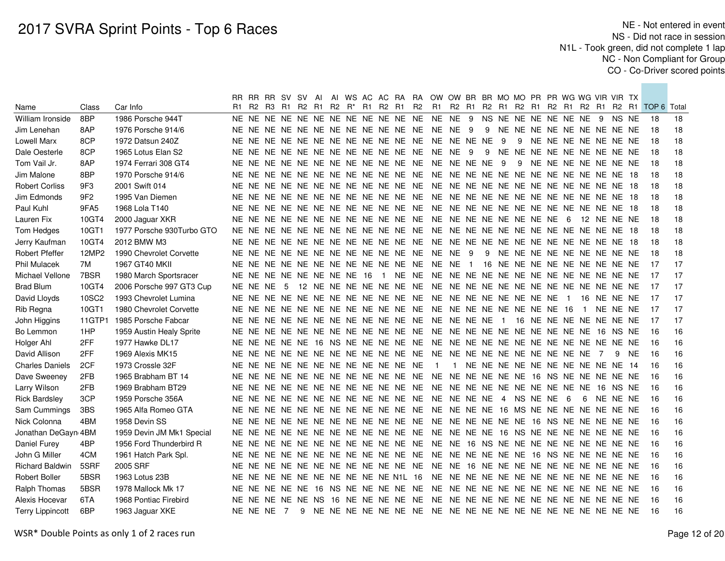|                         |                 |                           |            |            |                            |  |  |                |                                              |                                     | RR RR RR SV SV AI AI WS AC AC RA RA OW OW BR BR MO MO PR PR WG WG VIR VIR TX |          |  |     |   |  |     |                                    |                |          |      |                                           |    |
|-------------------------|-----------------|---------------------------|------------|------------|----------------------------|--|--|----------------|----------------------------------------------|-------------------------------------|------------------------------------------------------------------------------|----------|--|-----|---|--|-----|------------------------------------|----------------|----------|------|-------------------------------------------|----|
| Name                    | Class           | Car Info                  |            |            |                            |  |  |                | R1 R2 R3 R1 R2 R1 R2 R <sup>*</sup> R1 R2 R1 | <b>R2</b>                           |                                                                              | R1 R2 R1 |  |     |   |  |     |                                    |                |          |      | R2 R1 R2 R1 R2 R1 R2 R1 R2 R1 TOP 6 Total |    |
| William Ironside        | 8BP             | 1986 Porsche 944T         |            |            |                            |  |  |                |                                              |                                     |                                                                              |          |  |     |   |  |     | NS NE NE NE NE NE NE 9 NS NE       |                |          |      | 18                                        | 18 |
| Jim Lenehan             | 8AP             | 1976 Porsche 914/6        |            |            |                            |  |  |                |                                              |                                     |                                                                              |          |  |     |   |  |     | 9 NE NE NE NE NE NE NE NE NE       |                |          |      | 18                                        | 18 |
| <b>Lowell Marx</b>      | 8CP             | 1972 Datsun 240Z          |            |            |                            |  |  |                |                                              |                                     |                                                                              |          |  | - 9 | 9 |  |     | NE NE NE NE NE NE NE               |                |          |      | 18                                        | 18 |
| Dale Oesterle           | 8CP             | 1965 Lotus Elan S2        |            |            |                            |  |  |                |                                              |                                     |                                                                              |          |  |     |   |  |     | 9 NE NE NE NE NE NE NE NE NE       |                |          |      | 18                                        | 18 |
| Tom Vail Jr.            | 8AP             | 1974 Ferrari 308 GT4      |            |            |                            |  |  |                |                                              |                                     |                                                                              |          |  |     | 9 |  |     | NE NE NE NE NE NE NE               |                |          |      | 18                                        | 18 |
| Jim Malone              | 8BP             | 1970 Porsche 914/6        |            |            |                            |  |  |                |                                              |                                     |                                                                              |          |  |     |   |  |     |                                    |                |          |      | 18                                        | 18 |
| <b>Robert Corliss</b>   | 9F3             | 2001 Swift 014            |            |            |                            |  |  |                |                                              |                                     |                                                                              |          |  |     |   |  |     |                                    |                |          |      | 18                                        | 18 |
| Jim Edmonds             | 9F <sub>2</sub> | 1995 Van Diemen           |            |            |                            |  |  |                |                                              |                                     |                                                                              |          |  |     |   |  |     |                                    |                |          |      | 18                                        | 18 |
| Paul Kuhl               | 9FA5            | 1968 Lola T140            |            |            |                            |  |  |                |                                              | NE NE NE NE NE NE NE NE NE NE NE NE | NE NE NE NE NE NE NE NE NE NE NE NE 18                                       |          |  |     |   |  |     |                                    |                |          |      | 18                                        | 18 |
| Lauren Fix              | 10GT4           | 2000 Jaguar XKR           |            |            |                            |  |  |                |                                              | NE NE NE NE NE NE NE NE NE NE NE NE | NE NE NE NE NE NE NE NE 6                                                    |          |  |     |   |  |     | 12 NE NE NE                        |                |          |      | 18                                        | 18 |
| Tom Hedges              | 10GT1           | 1977 Porsche 930Turbo GTO |            |            |                            |  |  |                |                                              |                                     |                                                                              |          |  |     |   |  |     |                                    |                |          |      | 18                                        | 18 |
| Jerry Kaufman           | 10GT4           | 2012 BMW M3               |            |            |                            |  |  |                |                                              | NE NE NE NE NE NE NE NE NE NE NE NE | NE NE NE NE NE NE NE NE NE NE NE NE 18                                       |          |  |     |   |  |     |                                    |                |          |      | 18                                        | 18 |
| Robert Pfeffer          | 12MP2           | 1990 Chevrolet Corvette   |            |            |                            |  |  |                | NE NE NE NE NE NE NE NE NE NE NE NE          |                                     | NE NE 9                                                                      |          |  |     |   |  |     | 9 NE NE NE NE NE NE NE NE NE       |                |          |      | 18                                        | 18 |
| <b>Phil Mulacek</b>     | 7M              | 1967 GT40 MKII            |            |            |                            |  |  |                | NE NE NE NE NE NE NE NE NE NE NE NE          |                                     | NE NE 1                                                                      |          |  |     |   |  |     | 16 NE NE NE NE NE NE NE NE NE      |                |          |      | 17                                        | 17 |
| Michael Vellone         | 7BSR            | 1980 March Sportsracer    |            |            | NE NE NE NE NE NE NE NE 16 |  |  | $\blacksquare$ | NE NE                                        |                                     |                                                                              |          |  |     |   |  |     |                                    |                |          |      | 17                                        | 17 |
| <b>Brad Blum</b>        | 10GT4           | 2006 Porsche 997 GT3 Cup  | NE NE NE 5 |            |                            |  |  |                |                                              |                                     |                                                                              |          |  |     |   |  |     |                                    |                |          |      | 17                                        | 17 |
| David Lloyds            | 10SC2           | 1993 Chevrolet Lumina     |            |            |                            |  |  |                |                                              |                                     |                                                                              |          |  |     |   |  |     | 16 NE NE NE                        |                |          |      | 17                                        | 17 |
| Rib Regna               | 10GT1           | 1980 Chevrolet Corvette   |            |            |                            |  |  |                |                                              |                                     |                                                                              |          |  |     |   |  |     | $\overline{1}$                     |                | NE NE NE |      | 17                                        | 17 |
| John Higgins            | 11GTP1          | 1985 Porsche Fabcar       |            |            |                            |  |  |                |                                              |                                     |                                                                              |          |  |     |   |  |     | 16 NE NE NE NE NE NE NE            |                |          |      | 17                                        | 17 |
| Bo Lemmon               | 1HP             | 1959 Austin Healy Sprite  |            |            |                            |  |  |                |                                              | NE NE NE NE NE NE NE NE NE NE NE NE | NE NE NE NE NE NE NE NE NE NE 16                                             |          |  |     |   |  |     |                                    |                | NS NE    |      | 16                                        | 16 |
| Holger Ahl              | 2FF             | 1977 Hawke DL17           |            |            |                            |  |  |                |                                              |                                     |                                                                              |          |  |     |   |  |     |                                    |                |          |      | 16                                        | 16 |
| David Allison           | 2FF             | 1969 Alexis MK15          |            |            |                            |  |  |                |                                              |                                     |                                                                              |          |  |     |   |  |     |                                    | $\overline{7}$ |          | 9 NE | 16                                        | 16 |
| <b>Charles Daniels</b>  | 2CF             | 1973 Crossle 32F          |            |            |                            |  |  |                | NE NE NE NE NE NE NE NE NE NE NE NE          |                                     | $\overline{1}$                                                               |          |  |     |   |  |     | 1 NE NE NE NE NE NE NE NE NE NE 14 |                |          |      | 16                                        | 16 |
| Dave Sweeney            | 2FB             | 1965 Brabham BT 14        |            |            |                            |  |  |                |                                              |                                     |                                                                              |          |  |     |   |  |     |                                    |                |          |      | 16                                        | 16 |
| Larry Wilson            | 2FB             | 1969 Brabham BT29         |            |            |                            |  |  |                |                                              |                                     |                                                                              |          |  |     |   |  |     |                                    |                | NS NE    |      | 16                                        | 16 |
| <b>Rick Bardsley</b>    | 3CP             | 1959 Porsche 356A         |            |            |                            |  |  |                |                                              |                                     |                                                                              |          |  |     |   |  | - 6 | 6                                  |                | NE NE NE |      | 16                                        | 16 |
| Sam Cummings            | 3BS             | 1965 Alfa Romeo GTA       |            |            |                            |  |  |                |                                              |                                     |                                                                              |          |  |     |   |  |     |                                    |                |          |      | 16                                        | 16 |
| Nick Colonna            | 4BM             | 1958 Devin SS             |            |            |                            |  |  |                |                                              |                                     |                                                                              |          |  |     |   |  |     |                                    |                |          |      | 16                                        | 16 |
| Jonathan DeGayn 4BM     |                 | 1959 Devin JM Mk1 Special |            |            |                            |  |  |                |                                              |                                     |                                                                              |          |  |     |   |  |     |                                    |                |          |      | 16                                        | 16 |
| Daniel Furey            | 4BP             | 1956 Ford Thunderbird R   |            |            |                            |  |  |                |                                              |                                     |                                                                              |          |  |     |   |  |     |                                    |                |          |      | 16                                        | 16 |
| John G Miller           | 4CM             | 1961 Hatch Park Spl.      |            |            |                            |  |  |                |                                              |                                     |                                                                              |          |  |     |   |  |     |                                    |                |          |      | 16                                        | 16 |
| <b>Richard Baldwin</b>  | 5SRF            | 2005 SRF                  |            |            |                            |  |  |                | NE NE NE NE NE NE NE NE NE NE NE NE          |                                     | NE NE 16 NE NE NE NE NE NE NE NE NE NE NE                                    |          |  |     |   |  |     |                                    |                |          |      | 16                                        | 16 |
| <b>Robert Boller</b>    | 5BSR            | 1963 Lotus 23B            |            |            |                            |  |  |                | NE NE NE NE NE NE NE NE NE NE N1L 16         |                                     |                                                                              |          |  |     |   |  |     |                                    |                |          |      | 16                                        | 16 |
| Ralph Thomas            | 5BSR            | 1978 Mallock Mk 17        |            |            |                            |  |  |                | NE NE NE NE NE 16 NS NE NE NE NE NE          |                                     |                                                                              |          |  |     |   |  |     |                                    |                |          |      | 16                                        | 16 |
| Alexis Hocevar          | 6TA             | 1968 Pontiac Firebird     |            |            |                            |  |  |                |                                              |                                     |                                                                              |          |  |     |   |  |     |                                    |                |          |      | 16                                        | 16 |
| <b>Terry Lippincott</b> | 6BP             | 1963 Jaguar XKE           |            | NE NE NE 7 |                            |  |  |                |                                              |                                     |                                                                              |          |  |     |   |  |     |                                    |                |          |      | 16                                        | 16 |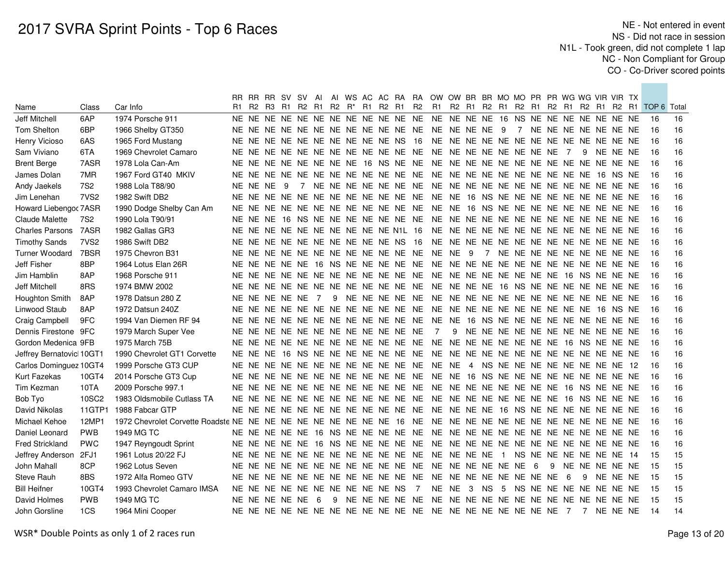|                          |                  |                             |    |            | RR RR RR SV SV AI                |  |   |  |                                     |                | AI WS AC AC RA RA OW OW BR BR MO MO PR PR WG WG VIR VIR TX |       |                         |           |             |  |  |                                    |          |                                                                                           |    |
|--------------------------|------------------|-----------------------------|----|------------|----------------------------------|--|---|--|-------------------------------------|----------------|------------------------------------------------------------|-------|-------------------------|-----------|-------------|--|--|------------------------------------|----------|-------------------------------------------------------------------------------------------|----|
| Name                     | Class            | Car Info                    | R1 |            | R2 R3 R1 R2                      |  |   |  |                                     |                |                                                            |       |                         |           |             |  |  |                                    |          | R1 R2 R <sup>*</sup> R1 R2 R1 R2 R1 R2 R1 R2 R1 R2 R1 R2 R1 R2 R1 R2 R1 R2 R1 TOP 6 Total |    |
| Jeff Mitchell            | 6AP              | 1974 Porsche 911            |    |            |                                  |  |   |  |                                     |                |                                                            |       |                         |           |             |  |  |                                    |          | -16                                                                                       | 16 |
| Tom Shelton              | 6BP              | 1966 Shelby GT350           |    |            |                                  |  |   |  |                                     |                |                                                            |       |                         |           |             |  |  | 7 NE NE NE NE NE NE NE             |          | 16                                                                                        | 16 |
| Henry Vicioso            | 6AS              | 1965 Ford Mustang           |    |            |                                  |  |   |  |                                     |                |                                                            |       |                         |           |             |  |  |                                    |          | 16                                                                                        | 16 |
| Sam Viviano              | 6TA              | 1969 Chevrolet Camaro       |    |            |                                  |  |   |  |                                     |                |                                                            |       |                         |           |             |  |  | 9 NE NE NE                         |          | 16                                                                                        | 16 |
| <b>Brent Berge</b>       | 7ASR             | 1978 Lola Can-Am            |    |            |                                  |  |   |  |                                     |                |                                                            |       |                         |           |             |  |  |                                    |          | 16                                                                                        | 16 |
| James Dolan              | 7MR              | 1967 Ford GT40 MKIV         |    |            |                                  |  |   |  |                                     |                |                                                            |       |                         |           |             |  |  |                                    |          | 16                                                                                        | 16 |
| Andy Jaekels             | 7S <sub>2</sub>  | 1988 Lola T88/90            |    | NE NE NE 9 |                                  |  |   |  |                                     |                |                                                            |       |                         |           |             |  |  |                                    |          | 16                                                                                        | 16 |
| Jim Lenehan              | 7VS <sub>2</sub> | 1982 Swift DB2              |    |            |                                  |  |   |  |                                     |                |                                                            |       |                         |           |             |  |  |                                    |          | 16                                                                                        | 16 |
| Howard Liebengor 7ASR    |                  | 1990 Dodge Shelby Can Am    |    |            |                                  |  |   |  |                                     |                |                                                            |       |                         |           |             |  |  |                                    |          | 16                                                                                        | 16 |
| Claude Malette           | 7S <sub>2</sub>  | 1990 Lola T90/91            |    |            |                                  |  |   |  |                                     |                |                                                            |       |                         |           |             |  |  |                                    |          | -16                                                                                       | 16 |
| <b>Charles Parsons</b>   | 7ASR             | 1982 Gallas GR3             |    |            |                                  |  |   |  |                                     |                |                                                            |       |                         |           |             |  |  |                                    |          | -16                                                                                       | 16 |
| <b>Timothy Sands</b>     | 7VS <sub>2</sub> | 1986 Swift DB2              |    |            |                                  |  |   |  |                                     |                |                                                            |       |                         |           |             |  |  |                                    |          | -16                                                                                       | 16 |
| <b>Turner Woodard</b>    | 7BSR             | 1975 Chevron B31            |    |            |                                  |  |   |  |                                     |                |                                                            |       |                         |           |             |  |  | 7 NE NE NE NE NE NE NE NE NE       |          | -16                                                                                       | 16 |
| Jeff Fisher              | 8BP              | 1964 Lotus Elan 26R         |    |            |                                  |  |   |  |                                     |                |                                                            |       |                         |           |             |  |  |                                    |          | -16                                                                                       | 16 |
| Jim Hamblin              | 8AP              | 1968 Porsche 911            |    |            |                                  |  |   |  |                                     |                |                                                            |       |                         |           |             |  |  |                                    |          | 16                                                                                        | 16 |
| Jeff Mitchell            | 8RS              | 1974 BMW 2002               |    |            |                                  |  |   |  |                                     |                |                                                            |       |                         |           |             |  |  |                                    |          | 16                                                                                        | 16 |
| Houghton Smith           | 8AP              | 1978 Datsun 280 Z           |    |            | NE NE NE NE NE 7                 |  |   |  |                                     |                |                                                            |       |                         |           |             |  |  |                                    |          | 16                                                                                        | 16 |
| Linwood Staub            | 8AP              | 1972 Datsun 240Z            |    |            |                                  |  |   |  |                                     |                |                                                            |       |                         |           |             |  |  |                                    |          | 16                                                                                        | 16 |
| Craig Campbell           | 9FC              | 1994 Van Diemen RF 94       |    |            |                                  |  |   |  |                                     |                |                                                            |       |                         |           |             |  |  |                                    |          | 16                                                                                        | 16 |
| Dennis Firestone 9FC     |                  | 1979 March Super Vee        |    |            |                                  |  |   |  | NE NE NE NE NE NE NE NE NE NE NE NE |                | $\overline{7}$                                             |       |                         |           |             |  |  | 9 NE NE NE NE NE NE NE NE NE NE NE |          | 16                                                                                        | 16 |
| Gordon Medenica 9FB      |                  | 1975 March 75B              |    |            |                                  |  |   |  |                                     |                |                                                            |       |                         |           |             |  |  |                                    |          | 16                                                                                        | 16 |
| Jeffrey Bernatovic 10GT1 |                  | 1990 Chevrolet GT1 Corvette |    |            |                                  |  |   |  |                                     |                |                                                            |       |                         |           |             |  |  |                                    |          | 16                                                                                        | 16 |
| Carlos Dominguez 10GT4   |                  | 1999 Porsche GT3 CUP        |    |            |                                  |  |   |  |                                     |                |                                                            |       |                         |           |             |  |  |                                    |          | 16                                                                                        | 16 |
| Kurt Fazekas             | 10GT4            | 2014 Porsche GT3 Cup        |    |            |                                  |  |   |  |                                     |                |                                                            |       |                         |           |             |  |  |                                    |          | 16                                                                                        | 16 |
| Tim Kezman               | 10TA             | 2009 Porsche 997.1          |    |            |                                  |  |   |  |                                     |                |                                                            |       |                         |           |             |  |  |                                    |          | 16                                                                                        | 16 |
| Bob Tyo                  | 10SC2            | 1983 Oldsmobile Cutlass TA  |    |            |                                  |  |   |  |                                     |                |                                                            |       |                         |           |             |  |  |                                    |          | 16                                                                                        | 16 |
| David Nikolas            | 11GTP1           | 1988 Fabcar GTP             |    |            |                                  |  |   |  |                                     |                |                                                            |       |                         |           |             |  |  |                                    |          | -16                                                                                       | 16 |
| Michael Kehoe            | 12MP1            |                             |    |            |                                  |  |   |  |                                     |                |                                                            |       |                         |           |             |  |  |                                    |          | -16                                                                                       | 16 |
| Daniel Leonard           | <b>PWB</b>       | 1949 MG TC                  |    |            |                                  |  |   |  |                                     |                |                                                            |       |                         |           |             |  |  |                                    |          | -16                                                                                       | 16 |
| <b>Fred Strickland</b>   | <b>PWC</b>       | 1947 Reyngoudt Sprint       |    |            |                                  |  |   |  |                                     |                |                                                            |       |                         |           |             |  |  |                                    |          | -16                                                                                       | 16 |
| Jeffrey Anderson         | 2FJ1             | 1961 Lotus 20/22 FJ         |    |            |                                  |  |   |  |                                     |                |                                                            |       |                         |           |             |  |  |                                    |          | 15                                                                                        | 15 |
| John Mahall              | 8CP              | 1962 Lotus Seven            |    |            |                                  |  |   |  |                                     |                |                                                            |       |                         |           |             |  |  | 9 NE NE NE NE NE                   |          | -15                                                                                       | 15 |
| Steve Rauh               | 8BS              | 1972 Alfa Romeo GTV         |    |            |                                  |  |   |  |                                     |                |                                                            |       |                         |           |             |  |  | - 9                                | NE NE NE | -15                                                                                       | 15 |
| <b>Bill Heifner</b>      | 10GT4            | 1993 Chevrolet Camaro IMSA  |    |            | NE NE NE NE NE NE NE NE NE NE NS |  |   |  |                                     | $\overline{7}$ |                                                            | NE NE | $\overline{\mathbf{3}}$ | <b>NS</b> | $5^{\circ}$ |  |  | NS NE NE NE NE NE NE NE            |          | -15                                                                                       | 15 |
| David Holmes             | <b>PWB</b>       | 1949 MG TC                  |    |            | NE NE NE NE NE 6                 |  | 9 |  |                                     |                |                                                            |       |                         |           |             |  |  |                                    |          | -15                                                                                       | 15 |
| John Gorsline            | 1CS              | 1964 Mini Cooper            |    |            |                                  |  |   |  |                                     |                |                                                            |       |                         |           |             |  |  |                                    |          | -14                                                                                       | 14 |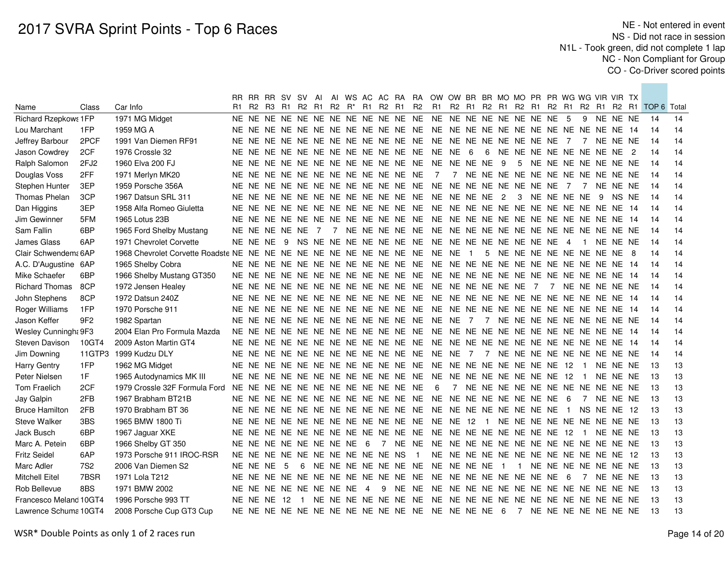|                             |                 |                               |    |            | RR RR RR SV SV                            | AI |  |                 |                                     |                | AI WS AC AC RA RA OW OW BR BR MO MO PR PR WG WG VIR VIR TX |   |                |                |               |     |                                        |     |          |                                                    |    |
|-----------------------------|-----------------|-------------------------------|----|------------|-------------------------------------------|----|--|-----------------|-------------------------------------|----------------|------------------------------------------------------------|---|----------------|----------------|---------------|-----|----------------------------------------|-----|----------|----------------------------------------------------|----|
| Name                        | Class           | Car Info                      | R1 |            | R2 R3 R1 R2 R1 R2 R <sup>*</sup> R1 R2 R1 |    |  |                 |                                     | <b>R2</b>      |                                                            |   |                |                |               |     |                                        |     |          | R1 R2 R1 R2 R1 R2 R1 R2 R1 R2 R1 R2 R1 TOP 6 Total |    |
| <b>Richard Rzepkows 1FP</b> |                 | 1971 MG Midget                |    |            |                                           |    |  |                 |                                     |                |                                                            |   |                |                |               |     | 9                                      |     | NE NE NE | 14                                                 | 14 |
| Lou Marchant                | 1FP             | 1959 MG A                     |    |            |                                           |    |  |                 |                                     |                |                                                            |   |                |                |               |     |                                        |     |          | 14                                                 | 14 |
| Jeffrey Barbour             | 2PCF            | 1991 Van Diemen RF91          |    |            |                                           |    |  |                 |                                     |                |                                                            |   |                |                |               |     | $\overline{7}$                         |     | NE NE NE | 14                                                 | 14 |
| Jason Cowdrey               | 2CF             | 1976 Crossle 32               |    |            |                                           |    |  |                 |                                     |                |                                                            | 6 |                |                |               |     | 6 NE NE NE NE NE NE NE NE 2            |     |          | 14                                                 | 14 |
| Ralph Salomon               | 2FJ2            | 1960 Elva 200 FJ              |    |            |                                           |    |  |                 |                                     |                |                                                            |   |                |                |               |     | 5 NE NE NE NE NE NE NE                 |     |          | 14                                                 | 14 |
| Douglas Voss                | 2FF             | 1971 Merlyn MK20              |    |            |                                           |    |  |                 | NE NE NE NE NE NE NE NE NE NE NE NE |                | $\overline{7}$                                             |   |                |                |               |     | 7 NE NE NE NE NE NE NE NE NE NE NE NE  |     |          | 14                                                 | 14 |
| Stephen Hunter              | 3EP             | 1959 Porsche 356A             |    |            |                                           |    |  |                 |                                     |                |                                                            |   |                |                |               |     | $\overline{7}$                         |     | NE NE NE | 14                                                 | 14 |
| Thomas Phelan               | 3CP             | 1967 Datsun SRL 311           |    |            |                                           |    |  |                 |                                     |                |                                                            |   |                |                | 3 NE NE NE NE |     |                                        | - 9 | NS NE    | 14                                                 | 14 |
| Dan Higgins                 | 3EP             | 1958 Alfa Romeo Giuletta      |    |            |                                           |    |  |                 |                                     |                |                                                            |   |                |                |               |     |                                        |     |          | 14                                                 | 14 |
| Jim Gewinner                | 5FM             | 1965 Lotus 23B                |    |            |                                           |    |  |                 |                                     |                |                                                            |   |                |                |               |     |                                        |     |          | 14                                                 | 14 |
| Sam Fallin                  | 6BP             | 1965 Ford Shelby Mustang      |    |            |                                           |    |  |                 |                                     |                |                                                            |   |                |                |               |     |                                        |     |          | 14                                                 | 14 |
| James Glass                 | 6AP             | 1971 Chevrolet Corvette       |    | NE NE NE 9 |                                           |    |  |                 |                                     |                |                                                            |   |                |                |               |     | $\blacksquare$                         |     | NE NE NE | 14                                                 | 14 |
| Clair Schwendem: 6AP        |                 |                               |    |            |                                           |    |  |                 |                                     |                |                                                            |   |                |                |               |     | 5 NE NE NE NE NE NE NE NE 8            |     |          | 14                                                 | 14 |
| A.C. D'Augustine 6AP        |                 | 1965 Shelby Cobra             |    |            |                                           |    |  |                 |                                     |                |                                                            |   |                |                |               |     |                                        |     |          | 14                                                 | 14 |
| Mike Schaefer               | 6BP             | 1966 Shelby Mustang GT350     |    |            |                                           |    |  |                 |                                     |                |                                                            |   |                |                |               |     |                                        |     |          | 14                                                 | 14 |
| <b>Richard Thomas</b>       | 8CP             | 1972 Jensen Healey            |    |            |                                           |    |  |                 |                                     |                |                                                            |   |                |                |               |     | 7 NE NE NE NE NE                       |     |          | 14                                                 | 14 |
| John Stephens               | 8CP             | 1972 Datsun 240Z              |    |            |                                           |    |  |                 |                                     |                |                                                            |   |                |                |               |     |                                        |     |          | 14                                                 | 14 |
| Roger Williams              | 1FP             | 1970 Porsche 911              |    |            |                                           |    |  |                 |                                     |                |                                                            |   |                |                |               |     |                                        |     |          | 14                                                 | 14 |
| Jason Keffer                | 9F <sub>2</sub> | 1982 Spartan                  |    |            |                                           |    |  |                 |                                     |                |                                                            |   |                |                |               |     |                                        |     |          | 14                                                 | 14 |
| Wesley Cunningh: 9F3        |                 | 2004 Elan Pro Formula Mazda   |    |            |                                           |    |  |                 |                                     |                |                                                            |   |                |                |               |     |                                        |     |          | 14                                                 | 14 |
| Steven Davison              | 10GT4           | 2009 Aston Martin GT4         |    |            |                                           |    |  |                 |                                     |                |                                                            |   |                |                |               |     |                                        |     |          | 14                                                 | 14 |
| Jim Downing                 |                 | 11GTP3 1999 Kudzu DLY         |    |            |                                           |    |  |                 |                                     |                |                                                            |   |                |                |               |     |                                        |     |          | -14                                                | 14 |
| <b>Harry Gentry</b>         | 1FP             | 1962 MG Midget                |    |            |                                           |    |  |                 |                                     |                |                                                            |   |                |                |               |     | $\blacksquare$                         |     | NE NE NE | -13                                                | 13 |
| Peter Nielsen               | 1F              | 1965 Autodynamics MK III      |    |            |                                           |    |  |                 |                                     |                |                                                            |   |                |                |               |     | $\blacksquare$                         |     | NE NE NE | -13                                                | 13 |
| Tom Fraelich                | 2CF             | 1979 Crossle 32F Formula Ford |    |            |                                           |    |  |                 | NE NE NE NE NE NE NE NE NE NE NE NE |                | - 6                                                        |   |                |                |               |     | 7 NE NE NE NE NE NE NE NE NE NE NE NE  |     |          | -13                                                | 13 |
| Jay Galpin                  | 2FB             | 1967 Brabham BT21B            |    |            |                                           |    |  |                 |                                     |                |                                                            |   |                |                |               | - 6 | $\overline{7}$                         |     | NE NE NE | -13                                                | 13 |
| <b>Bruce Hamilton</b>       | 2FB             | 1970 Brabham BT 36            |    |            |                                           |    |  |                 |                                     |                |                                                            |   |                |                |               |     | NS NE NE 12                            |     |          | 13                                                 | 13 |
| <b>Steve Walker</b>         | 3BS             | 1965 BMW 1800 Ti              |    |            |                                           |    |  |                 |                                     |                |                                                            |   |                |                |               |     | NE NE NE NE NE NE NE NE NE             |     |          | -13                                                | 13 |
| Jack Busch                  | 6BP             | 1967 Jaguar XKE               |    |            |                                           |    |  |                 |                                     |                |                                                            |   |                |                |               |     | $\blacksquare$                         |     | NE NE NE | -13                                                | 13 |
| Marc A. Petein              | 6BP             | 1966 Shelby GT 350            |    |            | NE NE NE NE NE NE NE NE                   |    |  | $6\overline{6}$ |                                     |                |                                                            |   |                |                |               |     |                                        |     |          | 13                                                 | 13 |
| <b>Fritz Seidel</b>         | 6AP             | 1973 Porsche 911 IROC-RSR     |    |            |                                           |    |  |                 | NE NE NE NE NE NE NE NE NE NE NS    | $\overline{1}$ |                                                            |   |                |                |               |     | NE NE NE NE NE NE NE NE NE NE NE NE 12 |     |          | 13                                                 | 13 |
| Marc Adler                  | <b>7S2</b>      | 2006 Van Diemen S2            |    | NE NE NE 5 |                                           |    |  |                 |                                     |                | 6 NE NE NE NE NE NE NE NE NE NE NE                         |   | $\overline{1}$ | $\overline{1}$ |               |     | NE NE NE NE NE NE NE                   |     |          | 13                                                 | 13 |
| <b>Mitchell Eitel</b>       | 7BSR            | 1971 Lola T212                |    |            |                                           |    |  |                 |                                     |                |                                                            |   |                |                |               |     | $\overline{7}$                         |     | NE NE NE | -13                                                | 13 |
| Rob Bellevue                | 8BS             | 1971 BMW 2002                 |    |            | NE NE NE NE NE NE NE NE                   |    |  | $\overline{4}$  |                                     |                |                                                            |   |                |                |               |     |                                        |     |          | 13                                                 | 13 |
| Francesco Meland 10GT4      |                 | 1996 Porsche 993 TT           |    |            |                                           |    |  |                 |                                     |                |                                                            |   |                |                |               |     |                                        |     |          | -13                                                | 13 |
| Lawrence Schuma 10GT4       |                 | 2008 Porsche Cup GT3 Cup      |    |            |                                           |    |  |                 |                                     |                |                                                            |   |                |                |               |     |                                        |     |          | -13                                                | 13 |
|                             |                 |                               |    |            |                                           |    |  |                 |                                     |                |                                                            |   |                |                |               |     |                                        |     |          |                                                    |    |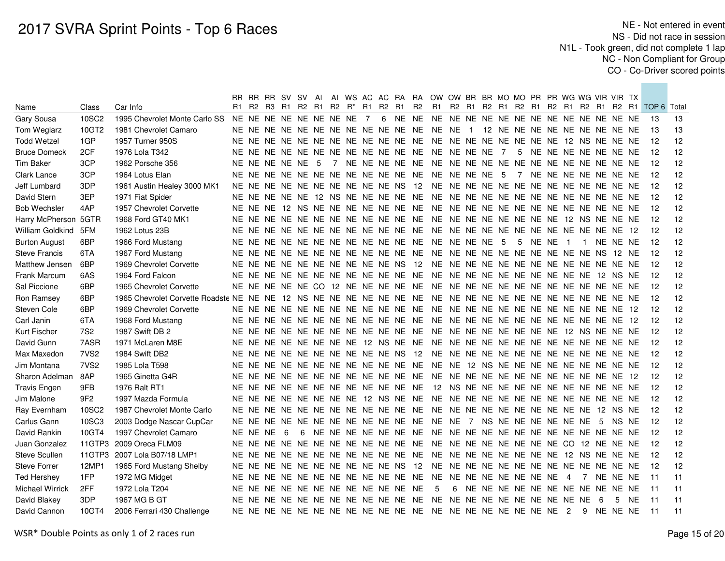|                        |                  |                                                                     |                           |          | RR RR RR SV SV AI                   |   |                 |  |    |       |                                     |                                     | AI WS AC AC RA RA OW OW BR BR MO MO PR PR WG WG VIR VIR TX |                                    |  |     |       |                          |                        |     |          |      |                                                       |    |
|------------------------|------------------|---------------------------------------------------------------------|---------------------------|----------|-------------------------------------|---|-----------------|--|----|-------|-------------------------------------|-------------------------------------|------------------------------------------------------------|------------------------------------|--|-----|-------|--------------------------|------------------------|-----|----------|------|-------------------------------------------------------|----|
| Name                   | Class            | Car Info                                                            |                           |          | R1 R2 R3 R1 R2 R1 R2 R <sup>*</sup> |   |                 |  | R1 | R2 R1 |                                     | <b>R2</b>                           | R1                                                         |                                    |  |     |       |                          |                        |     |          |      | R2 R1 R2 R1 R2 R1 R2 R1 R2 R1 R2 R1 R2 R1 TOP 6 Total |    |
| Gary Sousa             | 10SC2            | 1995 Chevrolet Monte Carlo SS                                       | NE NE NE NE NE NE NE NE 7 |          |                                     |   |                 |  |    |       |                                     |                                     |                                                            |                                    |  |     |       |                          |                        |     |          |      | -13                                                   | 13 |
| Tom Weglarz            | 10GT2            | 1981 Chevrolet Camaro                                               |                           |          |                                     |   |                 |  |    |       |                                     |                                     |                                                            |                                    |  |     |       |                          |                        |     |          |      | 13                                                    | 13 |
| <b>Todd Wetzel</b>     | 1GP              | 1957 Turner 950S                                                    |                           |          |                                     |   |                 |  |    |       |                                     | NE NE NE NE NE NE NE NE NE NE NE NE | NE NE NE NE NE NE NE NE 12 NS NE NE NE                     |                                    |  |     |       |                          |                        |     |          |      | 12                                                    | 12 |
| <b>Bruce Domeck</b>    | 2CF              | 1976 Lola T342                                                      |                           |          |                                     |   |                 |  |    |       |                                     | NE NE NE NE NE NE NE NE NE NE NE NE | NE NE NE NE 7                                              |                                    |  |     |       |                          | 5 NE NE NE NE NE NE NE |     |          |      | 12                                                    | 12 |
| Tim Baker              | 3CP              | 1962 Porsche 356                                                    |                           |          | NE NE NE NE NE                      |   | $5\overline{)}$ |  |    |       |                                     | 7 NE NE NE NE NE                    |                                                            |                                    |  |     |       |                          |                        |     |          |      | 12                                                    | 12 |
| Clark Lance            | 3CP              | 1964 Lotus Elan                                                     |                           |          |                                     |   |                 |  |    |       | NE NE NE NE NE NE NE NE NE NE NE NE |                                     | NE NE NE NE 5                                              |                                    |  |     |       |                          | 7 NE NE NE NE NE NE NE |     |          |      | 12                                                    | 12 |
| Jeff Lumbard           | 3DP              | 1961 Austin Healey 3000 MK1                                         |                           |          |                                     |   |                 |  |    |       | NE NE NE NE NE NE NE NE NE NE NS 12 |                                     |                                                            |                                    |  |     |       |                          |                        |     |          |      | 12                                                    | 12 |
| David Stern            | 3EP              | 1971 Fiat Spider                                                    |                           |          |                                     |   |                 |  |    |       |                                     |                                     |                                                            |                                    |  |     |       |                          |                        |     |          |      | 12                                                    | 12 |
| <b>Bob Wechsler</b>    | 4AP              | 1957 Chevrolet Corvette                                             |                           |          |                                     |   |                 |  |    |       |                                     |                                     |                                                            |                                    |  |     |       |                          |                        |     |          |      | 12                                                    | 12 |
| Harry McPherson 5GTR   |                  | 1968 Ford GT40 MK1                                                  |                           |          |                                     |   |                 |  |    |       |                                     |                                     |                                                            |                                    |  |     |       |                          |                        |     |          |      | 12                                                    | 12 |
| William Goldkind       | 5FM              | 1962 Lotus 23B                                                      |                           |          |                                     |   |                 |  |    |       |                                     |                                     |                                                            |                                    |  |     |       |                          |                        |     |          |      | -12                                                   | 12 |
| <b>Burton August</b>   | 6BP              | 1966 Ford Mustang                                                   |                           |          |                                     |   |                 |  |    |       |                                     |                                     |                                                            |                                    |  | - 5 | NE NE | $\overline{\phantom{1}}$ | $\overline{1}$         |     | NE NE NE |      | -12                                                   | 12 |
| <b>Steve Francis</b>   | 6TA              | 1967 Ford Mustang                                                   |                           |          |                                     |   |                 |  |    |       |                                     |                                     |                                                            |                                    |  |     |       |                          |                        |     | 12 NE    |      | 12                                                    | 12 |
| Matthew Jensen         | 6BP              | 1969 Chevrolet Corvette                                             |                           |          |                                     |   |                 |  |    |       |                                     |                                     |                                                            |                                    |  |     |       |                          |                        |     |          |      | 12                                                    | 12 |
| <b>Frank Marcum</b>    | 6AS              | 1964 Ford Falcon                                                    |                           |          |                                     |   |                 |  |    |       |                                     |                                     |                                                            |                                    |  |     |       |                          |                        |     |          |      | 12                                                    | 12 |
| Sal Piccione           | 6BP              | 1965 Chevrolet Corvette                                             |                           |          |                                     |   |                 |  |    |       |                                     |                                     |                                                            |                                    |  |     |       |                          |                        |     |          |      | 12                                                    | 12 |
| Ron Ramsey             | 6BP              | 1965 Chevrolet Corvette Roadste NE NE NE 12 NS NE NE NE NE NE NE NE |                           |          |                                     |   |                 |  |    |       |                                     |                                     |                                                            |                                    |  |     |       |                          |                        |     |          |      | 12                                                    | 12 |
| Steven Cole            | 6BP              | 1969 Chevrolet Corvette                                             |                           |          |                                     |   |                 |  |    |       |                                     |                                     |                                                            |                                    |  |     |       |                          |                        |     |          |      | 12                                                    | 12 |
| Carl Janin             | 6TA              | 1968 Ford Mustang                                                   |                           |          |                                     |   |                 |  |    |       |                                     |                                     |                                                            |                                    |  |     |       |                          |                        |     |          | - 12 | 12                                                    | 12 |
| Kurt Fischer           | 7S <sub>2</sub>  | 1987 Swift DB 2                                                     |                           |          |                                     |   |                 |  |    |       |                                     |                                     |                                                            |                                    |  |     |       |                          |                        |     |          |      | 12                                                    | 12 |
| David Gunn             | 7ASR             | 1971 McLaren M8E                                                    |                           |          |                                     |   |                 |  |    |       |                                     | NE NE NE NE NE NE NE NE 12 NS NE NE |                                                            |                                    |  |     |       |                          |                        |     |          |      | 12                                                    | 12 |
| Max Maxedon            | 7VS <sub>2</sub> | 1984 Swift DB2                                                      |                           |          |                                     |   |                 |  |    |       |                                     | NE NE NE NE NE NE NE NE NE NE NS 12 |                                                            |                                    |  |     |       |                          |                        |     |          |      | 12                                                    | 12 |
| Jim Montana            | 7VS <sub>2</sub> | 1985 Lola T598                                                      |                           |          |                                     |   |                 |  |    |       |                                     | NE NE NE NE NE NE NE NE NE NE NE NE | NE NE 12 NS NE NE NE NE NE NE NE NE NE NE                  |                                    |  |     |       |                          |                        |     |          |      | 12                                                    | 12 |
| Sharon Adelman         | 8AP              | 1965 Ginetta G4R                                                    |                           |          |                                     |   |                 |  |    |       |                                     | NE NE NE NE NE NE NE NE NE NE NE NE | NE NE NE NE NE NE NE NE NE NE NE NE 12                     |                                    |  |     |       |                          |                        |     |          |      | 12                                                    | 12 |
| <b>Travis Engen</b>    | 9FB              | 1976 Ralt RT1                                                       |                           |          |                                     |   |                 |  |    |       | NE NE NE NE NE NE NE NE NE NE NE NE |                                     | 12 NS NE NE NE NE NE NE NE NE NE NE NE NE                  |                                    |  |     |       |                          |                        |     |          |      | 12                                                    | 12 |
| Jim Malone             | 9F <sub>2</sub>  | 1997 Mazda Formula                                                  |                           |          |                                     |   |                 |  |    |       | NE NE NE NE NE NE NE NE 12 NS NE NE |                                     |                                                            |                                    |  |     |       |                          |                        |     |          |      | 12                                                    | 12 |
| Ray Evernham           | 10SC2            | 1987 Chevrolet Monte Carlo                                          |                           |          |                                     |   |                 |  |    |       | NE NE NE NE NE NE NE NE NE NE NE NE |                                     | NE NE NE NE NE NE NE NE NE NE 12 NS NE                     |                                    |  |     |       |                          |                        |     |          |      | 12                                                    | 12 |
| Carlus Gann            | 10SC3            | 2003 Dodge Nascar CupCar                                            |                           |          |                                     |   |                 |  |    |       | NE NE NE NE NE NE NE NE NE NE NE NE |                                     | NE NE 7 NS NE NE NE NE NE NE                               |                                    |  |     |       |                          |                        | - 5 | NS NE    |      | 12                                                    | 12 |
| David Rankin           | 10GT4            | 1997 Chevrolet Camaro                                               |                           | NE NE NE | -6                                  | 6 |                 |  |    |       | NE NE NE NE NE NE NE                |                                     |                                                            |                                    |  |     |       |                          |                        |     |          |      | 12                                                    | 12 |
| Juan Gonzalez          | 11GTP3           | 2009 Oreca FLM09                                                    |                           |          |                                     |   |                 |  |    |       | NE NE NE NE NE NE NE NE NE NE NE NE |                                     | NE NE NE NE NE NE NE NE CO 12 NE NE NE                     |                                    |  |     |       |                          |                        |     |          |      | 12                                                    | 12 |
| <b>Steve Scullen</b>   | 11GTP3           | 2007 Lola B07/18 LMP1                                               |                           |          |                                     |   |                 |  |    |       | NE NE NE NE NE NE NE NE NE NE NE NE |                                     | NE NE NE NE NE NE NE NE 12 NS NE NE NE                     |                                    |  |     |       |                          |                        |     |          |      | 12                                                    | 12 |
| <b>Steve Forrer</b>    | 12MP1            | 1965 Ford Mustang Shelby                                            |                           |          |                                     |   |                 |  |    |       | NE NE NE NE NE NE NE NE NE NE NS 12 |                                     |                                                            |                                    |  |     |       |                          |                        |     |          |      | 12                                                    | 12 |
| <b>Ted Hershey</b>     | 1FP              | 1972 MG Midget                                                      |                           |          |                                     |   |                 |  |    |       |                                     | NE NE NE NE NE NE NE NE NE NE NE NE | NE NE NE NE NE NE NE NE 4                                  |                                    |  |     |       |                          | 7 NE NE NE             |     |          |      | 11                                                    | 11 |
| <b>Michael Wirrick</b> | 2FF              | 1972 Lola T204                                                      |                           |          |                                     |   |                 |  |    |       | NE NE NE NE NE NE NE NE NE NE NE NE |                                     | 5                                                          | 6 NE NE NE NE NE NE NE NE NE NE NE |  |     |       |                          |                        |     |          |      | 11                                                    | 11 |
| David Blakey           | 3DP              | 1967 MG B GT                                                        |                           |          |                                     |   |                 |  |    |       |                                     |                                     |                                                            |                                    |  |     |       |                          |                        | - 6 |          | 5 NE | $-11$                                                 | 11 |
| David Cannon           | 10GT4            | 2006 Ferrari 430 Challenge                                          |                           |          |                                     |   |                 |  |    |       |                                     |                                     |                                                            |                                    |  |     |       |                          |                        |     |          |      | $-11$                                                 | 11 |
|                        |                  |                                                                     |                           |          |                                     |   |                 |  |    |       |                                     |                                     |                                                            |                                    |  |     |       |                          |                        |     |          |      |                                                       |    |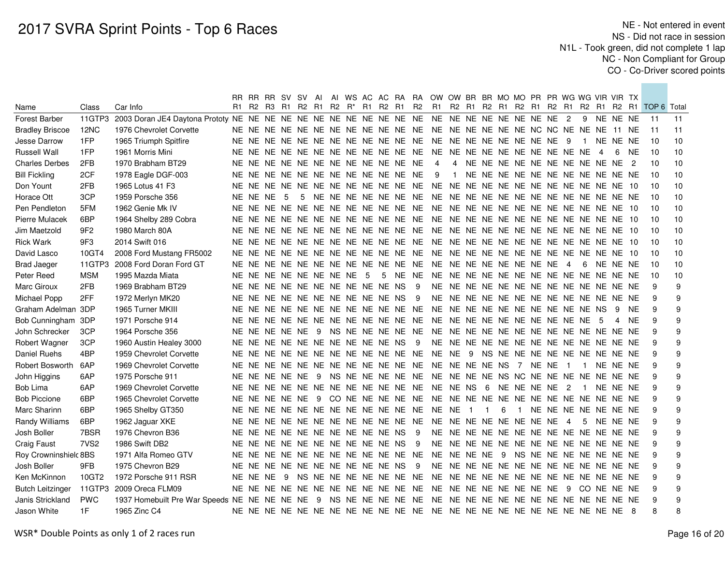|                         |                  |                                |    |            | RR RR RR SV SV AI                |     |  |  |                                              |     | AI WS AC AC RA RA OW OW BR BR MO MO PR PR WG WG VIR VIR TX                |                                        |                |   |                                   |  |                      |                |            |          |     |                                                 |    |
|-------------------------|------------------|--------------------------------|----|------------|----------------------------------|-----|--|--|----------------------------------------------|-----|---------------------------------------------------------------------------|----------------------------------------|----------------|---|-----------------------------------|--|----------------------|----------------|------------|----------|-----|-------------------------------------------------|----|
| Name                    | Class            | Car Info                       | R1 |            |                                  |     |  |  | R2 R3 R1 R2 R1 R2 R <sup>*</sup> R1 R2 R1 R2 |     | R1                                                                        |                                        |                |   |                                   |  |                      |                |            |          |     | R2 R1 R2 R1 R2 R1 R2 R1 R2 R1 R2 R1 TOP 6 Total |    |
| <b>Forest Barber</b>    | 11GTP3           |                                |    |            |                                  |     |  |  |                                              |     |                                                                           |                                        |                |   |                                   |  |                      |                | 9 NE NE NE |          |     | $-11$                                           | 11 |
| <b>Bradley Briscoe</b>  | 12NC             | 1976 Chevrolet Corvette        |    |            |                                  |     |  |  |                                              |     |                                                                           |                                        |                |   |                                   |  |                      |                |            |          |     | -11                                             | 11 |
| Jesse Darrow            | 1FP              | 1965 Triumph Spitfire          |    |            |                                  |     |  |  |                                              |     |                                                                           |                                        |                |   |                                   |  | - 9                  | $\mathbf{1}$   | NE NE NE   |          |     | 10                                              | 10 |
| Russell Wall            | 1FP              | 1961 Morris Mini               |    |            |                                  |     |  |  |                                              |     |                                                                           |                                        |                |   |                                   |  |                      |                | 4          | -6       | NE. | 10                                              | 10 |
| <b>Charles Derbes</b>   | 2FB              | 1970 Brabham BT29              |    |            |                                  |     |  |  | NE NE NE NE NE NE NE NE NE NE NE NE          |     | $\overline{4}$                                                            |                                        |                |   | 4 NE NE NE NE NE NE NE NE NE NE 2 |  |                      |                |            |          |     | 10                                              | 10 |
| <b>Bill Fickling</b>    | 2CF              | 1978 Eagle DGF-003             |    |            |                                  |     |  |  | NE NE NE NE NE NE NE NE NE NE NE NE          |     | 9                                                                         | 1 NE NE NE NE NE NE NE NE NE NE NE NE  |                |   |                                   |  |                      |                |            |          |     | 10                                              | 10 |
| Don Yount               | 2FB              | 1965 Lotus 41 F3               |    |            |                                  |     |  |  |                                              |     |                                                                           |                                        |                |   |                                   |  |                      |                |            |          |     | 10                                              | 10 |
| Horace Ott              | 3CP              | 1959 Porsche 356               |    | NE NE NE 5 |                                  | - 5 |  |  |                                              |     |                                                                           |                                        |                |   |                                   |  |                      |                |            |          |     | 10                                              | 10 |
| Pen Pendleton           | 5FM              | 1962 Genie Mk IV               |    |            |                                  |     |  |  |                                              |     |                                                                           |                                        |                |   |                                   |  |                      |                |            |          |     | 10                                              | 10 |
| Pierre Mulacek          | 6BP              | 1964 Shelby 289 Cobra          |    |            |                                  |     |  |  |                                              |     |                                                                           |                                        |                |   |                                   |  |                      |                |            |          |     | 10                                              | 10 |
| Jim Maetzold            | 9F <sub>2</sub>  | 1980 March 80A                 |    |            |                                  |     |  |  |                                              |     |                                                                           |                                        |                |   |                                   |  |                      |                |            |          |     | 10                                              | 10 |
| <b>Rick Wark</b>        | 9F3              | 2014 Swift 016                 |    |            |                                  |     |  |  |                                              |     |                                                                           |                                        |                |   |                                   |  |                      |                |            |          |     | 10                                              | 10 |
| David Lasco             | 10GT4            | 2008 Ford Mustang FR5002       |    |            |                                  |     |  |  |                                              |     |                                                                           |                                        |                |   |                                   |  |                      |                |            |          |     | 10                                              | 10 |
| <b>Brad Jaeger</b>      |                  | 11GTP3 2008 Ford Doran Ford GT |    |            |                                  |     |  |  |                                              |     |                                                                           |                                        |                |   |                                   |  | $-4$                 |                | 6 NE NE NE |          |     | 10                                              | 10 |
| Peter Reed              | <b>MSM</b>       | 1995 Mazda Miata               |    |            | NE NE NE NE NE NE NE NE 5        |     |  |  |                                              |     |                                                                           |                                        |                |   |                                   |  |                      |                |            |          |     | 10                                              | 10 |
| Marc Giroux             | 2FB              | 1969 Brabham BT29              |    |            |                                  |     |  |  | NE NE NE NE NE NE NE NE NE NE NS 9           |     |                                                                           |                                        |                |   |                                   |  |                      |                |            |          |     | 9                                               | 9  |
| Michael Popp            | 2FF              | 1972 Merlyn MK20               |    |            |                                  |     |  |  | NE NE NE NE NE NE NE NE NE NE NS 9           |     |                                                                           |                                        |                |   |                                   |  |                      |                |            |          |     | 9                                               | 9  |
| Graham Adelman 3DP      |                  | 1965 Turner MKIII              |    |            |                                  |     |  |  |                                              |     |                                                                           |                                        |                |   |                                   |  |                      |                |            | - 9      | NE. | 9                                               | 9  |
| Bob Cunningham 3DP      |                  | 1971 Porsche 914               |    |            |                                  |     |  |  |                                              |     |                                                                           |                                        |                |   |                                   |  |                      |                | - 5        | 4        | NE. | 9                                               | 9  |
| John Schrecker          | 3CP              | 1964 Porsche 356               |    |            |                                  |     |  |  |                                              |     |                                                                           |                                        |                |   |                                   |  |                      |                |            |          |     | 9                                               | 9  |
| Robert Wagner           | 3CP              | 1960 Austin Healey 3000        |    |            |                                  |     |  |  | NE NE NE NE NE NE NE NE NE NE NS 9           |     |                                                                           |                                        |                |   |                                   |  |                      |                |            |          |     | 9                                               | 9  |
| Daniel Ruehs            | 4BP              | 1959 Chevrolet Corvette        |    |            |                                  |     |  |  |                                              |     |                                                                           |                                        |                |   |                                   |  |                      |                |            |          |     | 9                                               | 9  |
| Robert Bosworth         | 6AP              | 1969 Chevrolet Corvette        |    |            |                                  |     |  |  |                                              |     |                                                                           |                                        |                |   |                                   |  |                      | $\blacksquare$ |            | NE NE NE |     | 9                                               | 9  |
| John Higgins            | 6AP              | 1975 Porsche 911               |    |            |                                  |     |  |  |                                              |     | NE NE NE NE NE 9 NS NE NE NE NE NE NE NE NE NE NS NC NE NE NE NE NE NE NE |                                        |                |   |                                   |  |                      |                |            |          |     | 9                                               | 9  |
| <b>Bob Lima</b>         | 6AP              | 1969 Chevrolet Corvette        |    |            |                                  |     |  |  |                                              |     |                                                                           |                                        |                |   |                                   |  | - 2                  | $\overline{1}$ |            | NE NE NE |     | 9                                               | 9  |
| <b>Bob Piccione</b>     | 6BP              | 1965 Chevrolet Corvette        |    |            |                                  |     |  |  |                                              |     |                                                                           |                                        |                |   |                                   |  |                      |                |            |          |     | 9                                               | 9  |
| Marc Sharinn            | 6BP              | 1965 Shelby GT350              |    |            |                                  |     |  |  |                                              |     |                                                                           |                                        | $\overline{1}$ | 6 | $\overline{1}$                    |  | NE NE NE NE NE NE NE |                |            |          |     | 9                                               | 9  |
| Randy Williams          | 6BP              | 1962 Jaguar XKE                |    |            |                                  |     |  |  |                                              |     |                                                                           |                                        |                |   |                                   |  |                      | 5              | NE NE NE   |          |     | 9                                               | 9  |
| Josh Boller             | 7BSR             | 1976 Chevron B36               |    |            |                                  |     |  |  | NE NE NE NE NE NE NE NE NE NE NS 9           |     |                                                                           |                                        |                |   |                                   |  |                      |                |            |          |     | 9                                               | 9  |
| <b>Craig Faust</b>      | 7VS <sub>2</sub> | 1986 Swift DB2                 |    |            |                                  |     |  |  | NE NE NE NE NE NE NE NE NE NE NS 9           |     |                                                                           |                                        |                |   |                                   |  |                      |                |            |          |     | 9                                               | 9  |
| Roy Crowninshielc 8BS   |                  | 1971 Alfa Romeo GTV            |    |            |                                  |     |  |  | NE NE NE NE NE NE NE NE NE NE NE NE          |     | NE NE NE NE 9 NS NE NE NE NE NE NE NE                                     |                                        |                |   |                                   |  |                      |                |            |          |     | 9                                               | 9  |
| Josh Boller             | 9FB              | 1975 Chevron B29               |    |            | NE NE NE NE NE NE NE NE NE NE NS |     |  |  |                                              | - 9 |                                                                           | NE NE NE NE NE NE NE NE NE NE NE NE NE |                |   |                                   |  |                      |                |            |          |     | 9                                               | 9  |
| Ken McKinnon            | 10GT2            | 1972 Porsche 911 RSR           |    |            |                                  |     |  |  |                                              |     |                                                                           |                                        |                |   |                                   |  |                      |                |            |          |     | 9                                               | 9  |
| <b>Butch Leitzinger</b> | 11GTP3           | 2009 Oreca FLM09               |    |            |                                  |     |  |  |                                              |     |                                                                           |                                        |                |   |                                   |  |                      |                |            |          |     | 9                                               | 9  |
| Janis Strickland        | <b>PWC</b>       |                                |    |            |                                  |     |  |  |                                              |     |                                                                           |                                        |                |   |                                   |  |                      |                |            |          |     | 9                                               | 9  |
| Jason White             | 1F               | 1965 Zinc C4                   |    |            |                                  |     |  |  |                                              |     |                                                                           |                                        |                |   |                                   |  |                      |                |            |          |     | 8                                               | 8  |
|                         |                  |                                |    |            |                                  |     |  |  |                                              |     |                                                                           |                                        |                |   |                                   |  |                      |                |            |          |     |                                                 |    |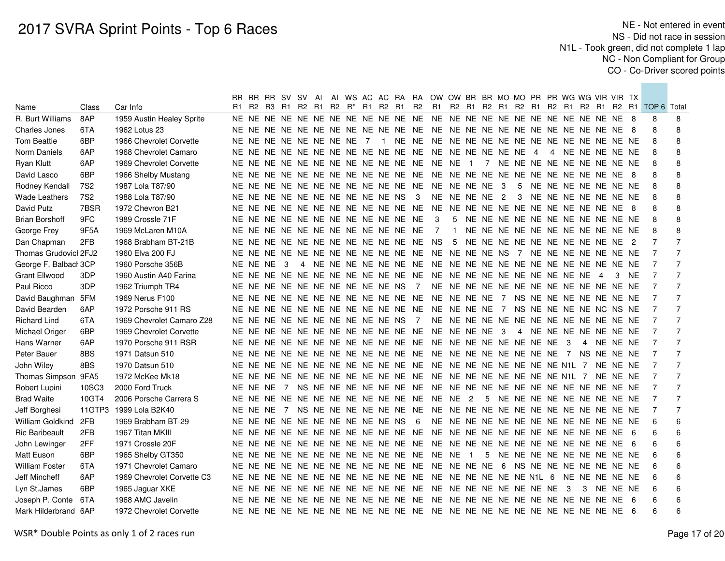|                       |                 |                            | RR I     | RR RR SV SV    |     | Al |                      |                                  |                                     |                | AI WS AC AC RA RA OW OW BR BR MO MO PR PR WG WG VIR VIR TX |                         |                                     |                         |              |  |    |                                  |                |          |           |                |                |
|-----------------------|-----------------|----------------------------|----------|----------------|-----|----|----------------------|----------------------------------|-------------------------------------|----------------|------------------------------------------------------------|-------------------------|-------------------------------------|-------------------------|--------------|--|----|----------------------------------|----------------|----------|-----------|----------------|----------------|
| Name                  | Class           | Car Info                   | R1       | R2 R3 R1 R2 R1 |     |    | R2 R <sup>*</sup> R1 | R2 R1                            |                                     | R <sub>2</sub> | R1                                                         |                         | R2 R1 R2 R1 R2 R1 R2 R1 R2 R1 R2 R1 |                         |              |  |    |                                  |                |          |           | TOP 6 Total    |                |
| R. Burt Williams      | 8AP             | 1959 Austin Healey Sprite  |          |                |     |    |                      |                                  |                                     |                |                                                            |                         |                                     |                         |              |  |    |                                  |                |          |           | 8              | 8              |
| <b>Charles Jones</b>  | 6TA             | 1962 Lotus 23              |          |                |     |    |                      |                                  |                                     |                |                                                            |                         |                                     |                         |              |  |    |                                  |                |          |           | 8              | 8              |
| <b>Tom Beattie</b>    | 6BP             | 1966 Chevrolet Corvette    |          |                |     |    |                      |                                  |                                     |                |                                                            |                         |                                     |                         |              |  |    |                                  |                |          |           | 8              | 8              |
| Norm Daniels          | 6AP             | 1968 Chevrolet Camaro      |          |                |     |    |                      |                                  | NE NE NE NE NE NE NE NE NE NE NE NE |                | NE NE NE NE NE NE 4                                        |                         |                                     |                         |              |  |    | 4 NE NE NE NE NE                 |                |          |           | 8              | 8              |
| <b>Ryan Klutt</b>     | 6AP             | 1969 Chevrolet Corvette    |          |                |     |    |                      |                                  | NE NE NE NE NE NE NE NE NE NE NE NE |                | NE NE 1 7 NE NE NE NE NE NE NE NE NE NE                    |                         |                                     |                         |              |  |    |                                  |                |          |           | 8              | 8              |
| David Lasco           | 6BP             | 1966 Shelby Mustang        |          |                |     |    |                      |                                  | NE NE NE NE NE NE NE NE NE NE NE NE |                | NE NE NE NE NE NE NE NE NE NE NE NE 8                      |                         |                                     |                         |              |  |    |                                  |                |          |           | 8              | 8              |
| Rodney Kendall        | 7S <sub>2</sub> | 1987 Lola T87/90           |          |                |     |    |                      |                                  | NE NE NE NE NE NE NE NE NE NE NE NE |                | NE NE NE NE                                                |                         |                                     | $\overline{\mathbf{3}}$ | 5            |  |    | NE NE NE NE NE NE NE             |                |          |           | 8              | 8              |
| Wade Leathers         | 7S <sub>2</sub> | 1988 Lola T87/90           |          |                |     |    |                      | NE NE NE NE NE NE NE NE NE NE NS |                                     | - 3            |                                                            |                         | NE NE NE NE 2                       |                         | $\mathbf{3}$ |  |    | NE NE NE NE NE NE NE             |                |          |           | 8              | 8              |
| David Putz            | 7BSR            | 1972 Chevron B21           |          |                |     |    |                      |                                  | NE NE NE NE NE NE NE NE NE NE NE NE |                | NE NE NE NE NE NE NE NE NE NE NE NE 8                      |                         |                                     |                         |              |  |    |                                  |                |          |           | 8              | 8              |
| <b>Brian Borshoff</b> | 9FC             | 1989 Crossle 71F           |          |                |     |    |                      |                                  | NE NE NE NE NE NE NE NE NE NE NE NE |                | 3                                                          | 5                       |                                     |                         |              |  |    | NE NE NE NE NE NE NE NE NE NE NE |                |          |           | 8              | 8              |
| George Frey           | 9F5A            | 1969 McLaren M10A          |          |                |     |    |                      |                                  | NE NE NE NE NE NE NE NE NE NE NE NE |                | 7                                                          | $\overline{\mathbf{1}}$ |                                     |                         |              |  |    | NE NE NE NE NE NE NE NE NE NE NE |                |          |           | 8              | 8              |
| Dan Chapman           | 2FB             | 1968 Brabham BT-21B        |          |                |     |    |                      |                                  | NE NE NE NE NE NE NE NE NE NE NE NE |                | <b>NS</b>                                                  | -5                      |                                     |                         |              |  |    | NE NE NE NE NE NE NE NE NE NE 2  |                |          |           |                |                |
| Thomas Grudovicl 2FJ2 |                 | 1960 Elva 200 FJ           |          |                |     |    |                      |                                  | NE NE NE NE NE NE NE NE NE NE NE NE |                | NE NE NE NE NS 7 NE NE NE NE NE NE NE                      |                         |                                     |                         |              |  |    |                                  |                |          |           |                |                |
| George F. Balbacl 3CP |                 | 1960 Porsche 356B          | NE NE NE |                | - 3 |    |                      |                                  |                                     |                |                                                            |                         |                                     |                         |              |  |    |                                  |                |          |           |                |                |
| Grant Ellwood         | 3DP             | 1960 Austin A40 Farina     |          |                |     |    |                      |                                  |                                     |                |                                                            |                         |                                     |                         |              |  |    |                                  | $\overline{4}$ | 3        | <b>NE</b> |                |                |
| Paul Ricco            | 3DP             | 1962 Triumph TR4           |          |                |     |    |                      |                                  | NE NE NE NE NE NE NE NE NE NE NS 7  |                |                                                            |                         |                                     |                         |              |  |    |                                  |                |          |           |                | $\overline{7}$ |
| David Baughman 5FM    |                 | 1969 Nerus F100            |          |                |     |    |                      |                                  |                                     |                |                                                            |                         |                                     |                         |              |  |    |                                  |                |          |           |                | $\overline{7}$ |
| David Bearden         | 6AP             | 1972 Porsche 911 RS        |          |                |     |    |                      |                                  |                                     |                |                                                            |                         |                                     |                         |              |  |    | NS NE NE NE NE NC NS NE          |                |          |           | $\overline{7}$ | $\overline{7}$ |
| <b>Richard Lind</b>   | 6TA             | 1969 Chevrolet Camaro Z28  |          |                |     |    |                      |                                  | NE NE NE NE NE NE NE NE NE NE NS 7  |                |                                                            |                         |                                     |                         |              |  |    |                                  |                |          |           | -7             | $\overline{7}$ |
| Michael Origer        | 6BP             | 1969 Chevrolet Corvette    |          |                |     |    |                      |                                  | NE NE NE NE NE NE NE NE NE NE NE NE |                | NE NE NE NE 3                                              |                         |                                     |                         |              |  |    | 4 NE NE NE NE NE NE NE           |                |          |           | -7             | $\overline{7}$ |
| Hans Warner           | 6AP             | 1970 Porsche 911 RSR       |          |                |     |    |                      |                                  |                                     |                |                                                            |                         |                                     |                         |              |  |    | $\overline{4}$                   |                | NE NE NE |           | - 7            | $\overline{7}$ |
| Peter Bauer           | 8BS             | 1971 Datsun 510            |          |                |     |    |                      |                                  |                                     |                |                                                            |                         |                                     |                         |              |  |    | NS NE NE NE                      |                |          |           | - 7            | $\overline{7}$ |
| John Wiley            | 8BS             | 1970 Datsun 510            |          |                |     |    |                      |                                  |                                     |                |                                                            |                         |                                     |                         |              |  |    |                                  |                | NE NE NE |           | -7             | $\overline{7}$ |
| Thomas Simpson 9FA5   |                 | 1972 McKee Mk18            |          |                |     |    |                      |                                  |                                     |                |                                                            |                         |                                     |                         |              |  |    |                                  |                | NE NE NE |           | $\overline{7}$ | $\overline{7}$ |
| Robert Lupini         | 10SC3           | 2000 Ford Truck            | NE NE NE |                |     |    |                      |                                  |                                     |                |                                                            |                         |                                     |                         |              |  |    |                                  |                |          |           | $\overline{7}$ | $\overline{7}$ |
| <b>Brad Waite</b>     | 10GT4           | 2006 Porsche Carrera S     |          |                |     |    |                      |                                  |                                     |                |                                                            |                         |                                     |                         |              |  |    | 5 NE NE NE NE NE NE NE NE NE     |                |          |           | $\overline{7}$ | $\overline{7}$ |
| Jeff Borghesi         |                 | 11GTP3 1999 Lola B2K40     |          |                |     |    |                      |                                  |                                     |                |                                                            |                         |                                     |                         |              |  |    |                                  |                |          |           | $\overline{7}$ | $\overline{7}$ |
| William Goldkind      | 2FB             | 1969 Brabham BT-29         |          |                |     |    |                      | NE NE NE NE NE NE NE NE NE NE NS |                                     | 6              |                                                            |                         |                                     |                         |              |  |    |                                  |                |          |           | 6              | 6              |
| <b>Ric Baribeault</b> | 2FB             | 1967 Titan MKIII           |          |                |     |    |                      |                                  | NE NE NE NE NE NE NE NE NE NE NE NE |                | NE NE NE NE NE NE NE NE NE NE NE NE 6                      |                         |                                     |                         |              |  |    |                                  |                |          |           | 6              | 6              |
| John Lewinger         | 2FF             | 1971 Crossle 20F           |          |                |     |    |                      |                                  |                                     |                |                                                            |                         |                                     |                         |              |  |    |                                  |                |          |           | 6              | 6              |
| <b>Matt Euson</b>     | 6BP             | 1965 Shelby GT350          |          |                |     |    |                      |                                  | NE NE NE NE NE NE NE NE NE NE NE NE |                | NE NE 1                                                    |                         |                                     |                         |              |  |    | 5 NE NE NE NE NE NE NE NE NE     |                |          |           | 6              | 6              |
| <b>William Foster</b> | 6TA             | 1971 Chevrolet Camaro      |          |                |     |    |                      |                                  | NE NE NE NE NE NE NE NE NE NE NE NE |                | NE NE NE NE                                                |                         |                                     | $6\overline{6}$         |              |  |    | NS NE NE NE NE NE NE NE          |                |          |           | 6              | 6              |
| Jeff Mincheff         | 6AP             | 1969 Chevrolet Corvette C3 |          |                |     |    |                      |                                  | NE NE NE NE NE NE NE NE NE NE NE NE |                | NE NE NE NE NE NE N1L 6                                    |                         |                                     |                         |              |  |    | NE NE NE NE NE                   |                |          |           | 6              | 6              |
| Lyn St.James          | 6BP             | 1965 Jaguar XKE            |          |                |     |    |                      |                                  | NE NE NE NE NE NE NE NE NE NE NE NE |                | NE NE NE NE NE NE NE NE                                    |                         |                                     |                         |              |  | -3 | 3                                |                | NE NE NE |           | 6              | 6              |
| Joseph P. Conte       | 6TA             | 1968 AMC Javelin           |          |                |     |    |                      |                                  | NE NE NE NE NE NE NE NE NE NE NE NE |                | NE NE NE NE NE NE NE NE NE NE NE NE 6                      |                         |                                     |                         |              |  |    |                                  |                |          |           | 6              | 6              |
| Mark Hilderbrand 6AP  |                 | 1972 Chevrolet Corvette    |          |                |     |    |                      |                                  |                                     |                |                                                            |                         |                                     |                         |              |  |    |                                  |                |          |           | 6              | 6              |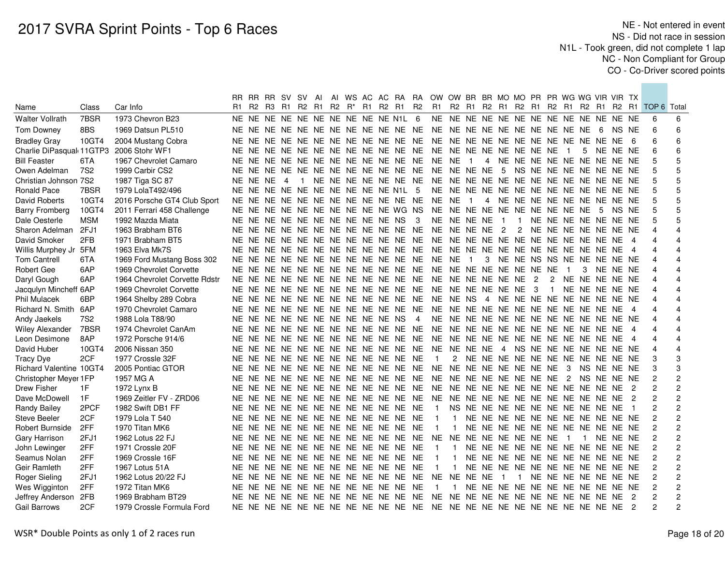|                                         |                 |                               |    |            | RR RR RR SV SV |                                           | Al |  |  |                                     |                                     | AI WS AC AC RA RA OW OW BR BR MO MO PR PR WG WG VIR VIR TX |                                     |                                    |                                  |                |                |                |   |                        |                |                                                    |                         |
|-----------------------------------------|-----------------|-------------------------------|----|------------|----------------|-------------------------------------------|----|--|--|-------------------------------------|-------------------------------------|------------------------------------------------------------|-------------------------------------|------------------------------------|----------------------------------|----------------|----------------|----------------|---|------------------------|----------------|----------------------------------------------------|-------------------------|
| Name                                    | Class           | Car Info                      | R1 |            |                | R2 R3 R1 R2 R1 R2 R <sup>*</sup> R1 R2 R1 |    |  |  |                                     | <b>R2</b>                           |                                                            |                                     |                                    |                                  |                |                |                |   |                        |                | R1 R2 R1 R2 R1 R2 R1 R2 R1 R2 R1 R2 R1 TOP 6 Total |                         |
| <b>Walter Vollrath</b>                  | 7BSR            | 1973 Chevron B23              |    |            |                |                                           |    |  |  | NE NE NE NE NE NE NE NE NE NE N1L 6 |                                     |                                                            |                                     |                                    |                                  |                |                |                |   |                        |                | 6                                                  | 6                       |
| <b>Tom Downey</b>                       | 8BS             | 1969 Datsun PL510             |    |            |                |                                           |    |  |  |                                     |                                     |                                                            |                                     |                                    |                                  |                |                |                |   | NS NE                  |                | 6                                                  | 6                       |
| <b>Bradley Gray</b>                     | 10GT4           | 2004 Mustang Cobra            |    |            |                |                                           |    |  |  |                                     | NE NE NE NE NE NE NE NE NE NE NE NE | NE NE NE NE NE NE NE NE NE NE NE NE 6                      |                                     |                                    |                                  |                |                |                |   |                        |                | 6                                                  | 6                       |
| Charlie DiPasqual 11GTP3 2006 Stohr WF1 |                 |                               |    |            |                |                                           |    |  |  | NE NE NE NE NE NE NE NE NE NE NE NE |                                     | NE NE NE NE NE NE NE NE                                    |                                     |                                    |                                  |                |                | $\blacksquare$ | 5 | NE NE NE               |                | 6                                                  | 6                       |
| <b>Bill Feaster</b>                     | 6TA             | 1967 Chevrolet Camaro         |    |            |                |                                           |    |  |  |                                     | NE NE NE NE NE NE NE NE NE NE NE NE |                                                            | NE NE 1                             |                                    | 4 NE NE NE NE NE NE NE NE NE     |                |                |                |   |                        |                | 5                                                  | 5                       |
| Owen Adelman                            | 7S <sub>2</sub> | 1999 Carbir CS2               |    |            |                |                                           |    |  |  |                                     | NE NE NE NE NE NE NE NE NE NE NE NE | NE NE NE NE 5 NS NE NE NE NE NE NE NE                      |                                     |                                    |                                  |                |                |                |   |                        |                |                                                    | 5                       |
| Christian Johnson 7S2                   |                 | 1987 Tiga SC 87               |    | NE NE NE 4 |                |                                           |    |  |  |                                     | 1 NE NE NE NE NE NE NE              |                                                            |                                     |                                    |                                  |                |                |                |   |                        |                | 5                                                  | 5                       |
| Ronald Pace                             | 7BSR            | 1979 LolaT492/496             |    |            |                |                                           |    |  |  | NE NE NE NE NE NE NE NE NE NE N1L 5 |                                     |                                                            |                                     |                                    |                                  |                |                |                |   |                        |                |                                                    | 5                       |
| David Roberts                           | 10GT4           | 2016 Porsche GT4 Club Sport   |    |            |                |                                           |    |  |  | NE NE NE NE NE NE NE NE NE NE NE NE |                                     |                                                            | NE NE                               | $\blacksquare$                     | 4 NE NE NE NE NE NE NE NE NE     |                |                |                |   |                        |                | 5                                                  | 5                       |
| Barry Fromberg                          | 10GT4           | 2011 Ferrari 458 Challenge    |    |            |                |                                           |    |  |  | NE NE NE NE NE NE NE NE NE NE WG NS |                                     | NE NE NE NE NE NE NE NE NE NE 5                            |                                     |                                    |                                  |                |                |                |   | NS NE                  |                |                                                    | 5                       |
| Dale Oesterle                           | <b>MSM</b>      | 1992 Mazda Miata              |    |            |                |                                           |    |  |  | NE NE NE NE NE NE NE NE NE NE NS 3  |                                     |                                                            | NE NE NE NE                         |                                    | $\overline{1}$                   |                |                |                |   | 1 NE NE NE NE NE NE NE |                | 5                                                  | 5                       |
| Sharon Adelman                          | 2FJ1            | 1963 Brabham BT6              |    |            |                |                                           |    |  |  | NE NE NE NE NE NE NE NE NE NE NE NE |                                     |                                                            | NE NE NE NE 2                       |                                    |                                  |                |                |                |   | 2 NE NE NE NE NE NE NE |                | 4                                                  | $\overline{4}$          |
| David Smoker                            | 2FB             | 1971 Brabham BT5              |    |            |                |                                           |    |  |  | NE NE NE NE NE NE NE NE NE NE NE NE |                                     | NE NE NE NE NE NE NE NE NE NE NE NE 4                      |                                     |                                    |                                  |                |                |                |   |                        |                | $\Delta$                                           | 4                       |
| Willis Murphey Jr 5FM                   |                 | 1963 Elva Mk7S                |    |            |                |                                           |    |  |  | NE NE NE NE NE NE NE NE NE NE NE NE |                                     |                                                            | NE NE NE NE NE NE NE NE NE NE NE NE |                                    |                                  |                |                |                |   |                        | $\overline{4}$ | $\overline{4}$                                     |                         |
| <b>Tom Cantrell</b>                     | 6TA             | 1969 Ford Mustang Boss 302    |    |            |                |                                           |    |  |  | NE NE NE NE NE NE NE NE NE NE NE NE |                                     |                                                            | NE NE                               | $\blacksquare$                     | 3 NE NE NS NS NE NE NE NE NE     |                |                |                |   |                        |                | Δ                                                  |                         |
| Robert Gee                              | 6AP             | 1969 Chevrolet Corvette       |    |            |                |                                           |    |  |  | NE NE NE NE NE NE NE NE NE NE NE NE |                                     |                                                            | NE NE NE NE NE NE NE NE             |                                    |                                  |                |                | $\overline{1}$ |   | 3 NE NE NE             |                | $\overline{4}$                                     |                         |
| Daryl Gough                             | 6AP             | 1964 Chevrolet Corvette Rdstr |    |            |                |                                           |    |  |  | NE NE NE NE NE NE NE NE NE NE NE NE |                                     | NE NE NE NE NE NE 2                                        |                                     |                                    |                                  |                | $\overline{2}$ |                |   | NE NE NE NE NE         |                | 4                                                  |                         |
| Jacqulyn Mincheff 6AP                   |                 | 1969 Chevrolet Corvette       |    |            |                |                                           |    |  |  | NE NE NE NE NE NE NE NE NE NE NE NE |                                     |                                                            | NE NE NE NE NE NE 3                 |                                    |                                  |                | $\overline{1}$ |                |   | NE NE NE NE NE         |                |                                                    |                         |
| <b>Phil Mulacek</b>                     | 6BP             | 1964 Shelby 289 Cobra         |    |            |                |                                           |    |  |  | NE NE NE NE NE NE NE NE NE NE NE NE |                                     | NE NE NS 4 NE NE NE NE NE NE NE NE NE NE                   |                                     |                                    |                                  |                |                |                |   |                        |                |                                                    |                         |
| Richard N. Smith 6AP                    |                 | 1970 Chevrolet Camaro         |    |            |                |                                           |    |  |  | NE NE NE NE NE NE NE NE NE NE NE NE |                                     | NE NE NE NE NE NE NE NE NE NE NE NE NE                     |                                     |                                    |                                  |                |                |                |   |                        | - 4            |                                                    |                         |
| Andy Jaekels                            | <b>7S2</b>      | 1988 Lola T88/90              |    |            |                |                                           |    |  |  | NE NE NE NE NE NE NE NE NE NE NS 4  |                                     |                                                            |                                     |                                    |                                  |                |                |                |   |                        |                |                                                    |                         |
| <b>Wiley Alexander</b>                  | 7BSR            | 1974 Chevrolet CanAm          |    |            |                |                                           |    |  |  | NE NE NE NE NE NE NE NE NE NE NE NE |                                     | NE NE NE NE NE NE NE NE NE NE NE NE                        |                                     |                                    |                                  |                |                |                |   |                        | $\overline{4}$ | $\Delta$                                           |                         |
| Leon Desimone                           | 8AP             | 1972 Porsche 914/6            |    |            |                |                                           |    |  |  |                                     |                                     |                                                            |                                     |                                    |                                  |                |                |                |   |                        |                | $\overline{4}$                                     |                         |
| David Huber                             | 10GT4           | 2006 Nissan 350               |    |            |                |                                           |    |  |  |                                     | NE NE NE NE NE NE NE NE NE NE NE NE | NE NE NE NE 4 NS NE NE NE NE NE NE NE                      |                                     |                                    |                                  |                |                |                |   |                        |                | $\Delta$                                           | $\overline{4}$          |
| <b>Tracy Dye</b>                        | 2CF             | 1977 Crossle 32F              |    |            |                |                                           |    |  |  | NE NE NE NE NE NE NE NE NE NE NE NE |                                     | $\overline{1}$                                             |                                     | 2 NE NE NE NE NE NE NE NE NE NE NE |                                  |                |                |                |   |                        |                | 3                                                  | 3                       |
| Richard Valentine 10GT4                 |                 | 2005 Pontiac GTOR             |    |            |                |                                           |    |  |  |                                     | NE NE NE NE NE NE NE NE NE NE NE NE | NE NE NE NE NE NE NE NE 3 NS NE NE NE                      |                                     |                                    |                                  |                |                |                |   |                        |                | 3                                                  | 3                       |
| Christopher Meyer 1FP                   |                 | 1957 MG A                     |    |            |                |                                           |    |  |  |                                     |                                     |                                                            |                                     |                                    |                                  |                |                |                |   |                        |                | $\overline{c}$                                     | $\overline{c}$          |
| Drew Fisher                             | 1F              | 1972 Lynx B                   |    |            |                |                                           |    |  |  |                                     | NE NE NE NE NE NE NE NE NE NE NE NE | NE NE NE NE NE NE NE NE NE NE NE NE 2                      |                                     |                                    |                                  |                |                |                |   |                        |                | 2                                                  | $\overline{c}$          |
| Dave McDowell                           | 1F              | 1969 Zeitler FV - ZRD06       |    |            |                |                                           |    |  |  |                                     | NE NE NE NE NE NE NE NE NE NE NE NE | NE NE NE NE NE NE NE NE NE NE NE NE 2                      |                                     |                                    |                                  |                |                |                |   |                        |                | $\overline{2}$                                     | $\overline{c}$          |
| <b>Randy Bailey</b>                     | 2PCF            | 1982 Swift DB1 FF             |    |            |                |                                           |    |  |  | NE NE NE NE NE NE NE NE NE NE NE NE |                                     | $\overline{1}$                                             |                                     | NS NE NE NE NE NE NE NE NE NE NE 1 |                                  |                |                |                |   |                        |                | $\overline{2}$                                     | $\overline{c}$          |
| Steve Beeler                            | 2CF             | 1979 Lola T 540               |    |            |                |                                           |    |  |  | NE NE NE NE NE NE NE NE NE NE NE NE |                                     | $\overline{1}$                                             | $\overline{1}$                      | NE NE NE NE NE NE NE NE NE NE NE   |                                  |                |                |                |   |                        |                | $\overline{c}$                                     | $\overline{c}$          |
| Robert Burnside                         | 2FF             | 1970 Titan MK6                |    |            |                |                                           |    |  |  | NE NE NE NE NE NE NE NE NE NE NE NE |                                     | - 1                                                        | $\mathbf{1}$                        | NE NE NE NE NE NE NE NE NE NE NE   |                                  |                |                |                |   |                        |                | 2                                                  | $\overline{c}$          |
| Gary Harrison                           | 2FJ1            | 1962 Lotus 22 FJ              |    |            |                |                                           |    |  |  |                                     | NE NE NE NE NE NE NE NE NE NE NE NE | NE NE NE NE NE NE NE NE                                    |                                     |                                    |                                  |                |                | $\blacksquare$ |   | 1 NE NE NE             |                | $\overline{c}$                                     | $\overline{c}$          |
| John Lewinger                           | 2FF             | 1971 Crossle 20F              |    |            |                |                                           |    |  |  | NE NE NE NE NE NE NE NE NE NE NE NE |                                     | $\overline{1}$                                             | $\overline{1}$                      | NE NE NE NE NE NE NE NE NE NE NE   |                                  |                |                |                |   |                        |                | $\overline{c}$                                     | $\mathbf 2$             |
| Seamus Nolan                            | 2FF             | 1969 Crossle 16F              |    |            |                |                                           |    |  |  | NE NE NE NE NE NE NE NE NE NE NE NE |                                     | $\overline{1}$                                             | $\mathbf{1}$                        | NE NE NE NE NE NE NE NE NE NE NE   |                                  |                |                |                |   |                        |                | $\overline{c}$                                     | $\overline{c}$          |
| Geir Ramleth                            | 2FF             | 1967 Lotus 51A                |    |            |                |                                           |    |  |  | NE NE NE NE NE NE NE NE NE NE NE NE |                                     | -1                                                         | $\mathbf{1}$                        | NE NE NE NE NE NE NE NE NE NE NE   |                                  |                |                |                |   |                        |                | $\overline{c}$                                     | $\overline{c}$          |
| Roger Sieling                           | 2FJ1            | 1962 Lotus 20/22 FJ           |    |            |                |                                           |    |  |  |                                     | NE NE NE NE NE NE NE NE NE NE NE NE | NE NE NE NE                                                |                                     |                                    | $\blacksquare$                   | $\overline{1}$ |                |                |   | NE NE NE NE NE NE NE   |                | $\overline{c}$                                     | $\overline{c}$          |
| Wes Wigginton                           | 2FF             | 1972 Titan MK6                |    |            |                |                                           |    |  |  | NE NE NE NE NE NE NE NE NE NE NE NE |                                     | $\overline{1}$                                             | $\mathbf{1}$                        |                                    | NE NE NE NE NE NE NE NE NE NE NE |                |                |                |   |                        |                | $\overline{c}$                                     | $\overline{\mathbf{c}}$ |
| Jeffrey Anderson 2FB                    |                 | 1969 Brabham BT29             |    |            |                |                                           |    |  |  |                                     | NE NE NE NE NE NE NE NE NE NE NE NE | NE NE NE NE NE NE NE NE NE NE NE NE 2                      |                                     |                                    |                                  |                |                |                |   |                        |                | $\overline{2}$                                     | $\overline{\mathbf{c}}$ |
| <b>Gail Barrows</b>                     | 2CF             | 1979 Crossle Formula Ford     |    |            |                |                                           |    |  |  |                                     |                                     |                                                            |                                     |                                    |                                  |                |                |                |   |                        |                | $\mathfrak{p}$                                     | 2                       |
|                                         |                 |                               |    |            |                |                                           |    |  |  |                                     |                                     |                                                            |                                     |                                    |                                  |                |                |                |   |                        |                |                                                    |                         |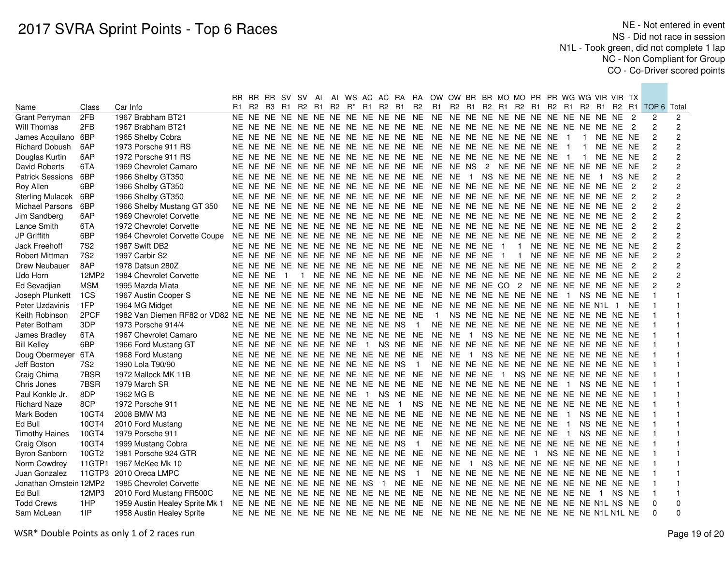|                         |                 |                                                                     |    |            | RR RR RR SV SV                            |                | AI |  |  |                                        |                          | AI WS AC AC RA RA OW OW BR BR MO MO PR PR WG WG VIR VIR TX |                        |  |                |  |                          |                                        |                  |             |           |                                                    |                |
|-------------------------|-----------------|---------------------------------------------------------------------|----|------------|-------------------------------------------|----------------|----|--|--|----------------------------------------|--------------------------|------------------------------------------------------------|------------------------|--|----------------|--|--------------------------|----------------------------------------|------------------|-------------|-----------|----------------------------------------------------|----------------|
| Name                    | Class           | Car Info                                                            | R1 |            | R2 R3 R1 R2 R1 R2 R <sup>*</sup> R1 R2 R1 |                |    |  |  |                                        | R2                       |                                                            |                        |  |                |  |                          |                                        |                  |             |           | R1 R2 R1 R2 R1 R2 R1 R2 R1 R2 R1 R2 R1 TOP 6 Total |                |
| Grant Perryman          | 2FB             | 1967 Brabham BT21                                                   |    |            |                                           |                |    |  |  |                                        |                          |                                                            |                        |  |                |  |                          |                                        |                  |             |           | 2                                                  | 2              |
| Will Thomas             | 2FB             | 1967 Brabham BT21                                                   |    |            |                                           |                |    |  |  |                                        |                          |                                                            |                        |  |                |  |                          |                                        |                  |             |           | $\overline{2}$                                     | 2              |
| James Acquilano 6BP     |                 | 1965 Shelby Cobra                                                   |    |            |                                           |                |    |  |  | NE NE NE NE NE NE NE NE NE NE NE NE    |                          | NE NE NE NE NE NE NE NE                                    |                        |  |                |  | $\overline{\phantom{1}}$ | $\mathbf{1}$                           |                  | NE NE NE    |           | $\overline{c}$                                     | $\overline{c}$ |
| <b>Richard Dobush</b>   | 6AP             | 1973 Porsche 911 RS                                                 |    |            |                                           |                |    |  |  | NE NE NE NE NE NE NE NE NE NE NE NE    |                          | NE NE NE NE NE NE NE NE                                    |                        |  |                |  | $\overline{\phantom{1}}$ | $\mathbf{1}$                           |                  | NE NE NE    |           | $\overline{c}$                                     | $\overline{c}$ |
| Douglas Kurtin          | 6AP             | 1972 Porsche 911 RS                                                 |    |            |                                           |                |    |  |  | NE NE NE NE NE NE NE NE NE NE NE NE    |                          | NE NE NE NE NE NE NE NE                                    |                        |  |                |  | $\overline{1}$           | $\mathbf{1}$                           |                  | NE NE NE    |           | $\overline{c}$                                     | $\overline{c}$ |
| David Roberts           | 6TA             | 1969 Chevrolet Camaro                                               |    |            |                                           |                |    |  |  | NE NE NE NE NE NE NE NE NE NE NE NE    |                          | NE NE NS                                                   |                        |  |                |  |                          | 2 NE NE NE NE NE NE NE NE NE           |                  |             |           | $\overline{c}$                                     | 2              |
| <b>Patrick Sessions</b> | 6BP             | 1966 Shelby GT350                                                   |    |            |                                           |                |    |  |  | NE NE NE NE NE NE NE NE NE NE NE NE    |                          | NE NE                                                      | 1 NS NE NE NE NE NE NE |  |                |  |                          |                                        | $\blacksquare$   | NS NE       |           |                                                    | $\overline{c}$ |
| Roy Allen               | 6BP             | 1966 Shelby GT350                                                   |    |            |                                           |                |    |  |  |                                        |                          |                                                            |                        |  |                |  |                          |                                        |                  |             |           | $\overline{c}$                                     | $\overline{c}$ |
| <b>Sterling Mulacek</b> | 6BP             | 1966 Shelby GT350                                                   |    |            |                                           |                |    |  |  | NE NE NE NE NE NE NE NE NE NE NE NE    |                          | NE NE NE NE NE NE NE NE NE NE NE NE 2                      |                        |  |                |  |                          |                                        |                  |             |           | $\overline{c}$                                     | 2              |
| Michael Parsons         | 6BP             | 1966 Shelby Mustang GT 350                                          |    |            |                                           |                |    |  |  |                                        |                          |                                                            |                        |  |                |  |                          |                                        |                  |             |           | $\overline{c}$                                     | 2              |
| Jim Sandberg            | 6AP             | 1969 Chevrolet Corvette                                             |    |            |                                           |                |    |  |  |                                        |                          |                                                            |                        |  |                |  |                          |                                        |                  |             |           |                                                    | $\overline{c}$ |
| Lance Smith             | 6TA             | 1972 Chevrolet Corvette                                             |    |            |                                           |                |    |  |  |                                        |                          |                                                            |                        |  |                |  |                          |                                        |                  |             |           | $\overline{c}$                                     | $\overline{c}$ |
| JP Griffith             | 6BP             | 1964 Chevrolet Corvette Coupe                                       |    |            |                                           |                |    |  |  |                                        |                          |                                                            |                        |  |                |  |                          |                                        |                  |             | - 2       | $\overline{c}$                                     | 2              |
| Jack Freehoff           | <b>7S2</b>      | 1987 Swift DB2                                                      |    |            |                                           |                |    |  |  |                                        |                          |                                                            |                        |  | $\overline{1}$ |  |                          | NE NE NE NE NE NE NE                   |                  |             |           |                                                    | $\overline{c}$ |
| Robert Mittman          | 7S <sub>2</sub> | 1997 Carbir S2                                                      |    |            |                                           |                |    |  |  |                                        |                          |                                                            |                        |  | $\overline{1}$ |  |                          | NE NE NE NE NE NE NE                   |                  |             |           | $\overline{c}$                                     | $\overline{c}$ |
| Drew Neubauer           | 8AP             | 1978 Datsun 280Z                                                    |    |            |                                           |                |    |  |  |                                        |                          |                                                            |                        |  |                |  |                          |                                        |                  |             |           |                                                    | $\overline{c}$ |
| Udo Horn                | 12MP2           | 1984 Chevrolet Corvette                                             |    | NE NE NE 1 |                                           | $\overline{1}$ |    |  |  |                                        |                          |                                                            |                        |  |                |  |                          |                                        |                  |             |           | $\overline{c}$                                     | $\overline{c}$ |
| Ed Sevadjian            | <b>MSM</b>      | 1995 Mazda Miata                                                    |    |            |                                           |                |    |  |  |                                        |                          |                                                            |                        |  |                |  |                          |                                        |                  |             |           |                                                    | $\overline{c}$ |
| Joseph Plunkett         | 1CS             | 1967 Austin Cooper S                                                |    |            |                                           |                |    |  |  |                                        |                          |                                                            |                        |  |                |  |                          |                                        |                  |             |           |                                                    |                |
| Peter Uzdavinis         | 1FP             | 1964 MG Midget                                                      |    |            |                                           |                |    |  |  |                                        |                          |                                                            |                        |  |                |  |                          |                                        |                  |             | <b>NE</b> |                                                    |                |
| Keith Robinson          | 2PCF            | 1982 Van Diemen RF82 or VD82 NE NE NE NE NE NE NE NE NE NE NE NE NE |    |            |                                           |                |    |  |  |                                        |                          | $\overline{1}$                                             |                        |  |                |  |                          | NS NE NE NE NE NE NE NE NE NE NE NE NE |                  |             |           |                                                    |                |
| Peter Botham            | 3DP             | 1973 Porsche 914/4                                                  |    |            | NE NE NE NE NE NE NE NE NE NE NS          |                |    |  |  |                                        | $\overline{\phantom{1}}$ |                                                            |                        |  |                |  |                          |                                        |                  |             |           |                                                    |                |
| James Bradley           | 6TA             | 1967 Chevrolet Camaro                                               |    |            |                                           |                |    |  |  | NE NE NE NE NE NE NE NE NE NE NE NE NE |                          | NE NE 1 NS NE NE NE NE NE NE NE NE NE NE                   |                        |  |                |  |                          |                                        |                  |             |           |                                                    |                |
| <b>Bill Kelley</b>      | 6BP             | 1966 Ford Mustang GT                                                |    |            | NE NE NE NE NE NE NE NE 1                 |                |    |  |  | NS NE NE                               |                          |                                                            |                        |  |                |  |                          |                                        |                  |             |           |                                                    |                |
| Doug Obermeyer          | 6TA             | 1968 Ford Mustang                                                   |    |            |                                           |                |    |  |  | NE NE NE NE NE NE NE NE NE NE NE NE    |                          | NE NE                                                      |                        |  |                |  |                          | 1 NS NE NE NE NE NE NE NE NE NE NE     |                  |             |           |                                                    |                |
| Jeff Boston             | 7S <sub>2</sub> | 1990 Lola T90/90                                                    |    |            | NE NE NE NE NE NE NE NE NE NE NS          |                |    |  |  |                                        | $\overline{\phantom{1}}$ |                                                            |                        |  |                |  |                          |                                        |                  |             |           |                                                    |                |
| Craig Chima             | 7BSR            | 1972 Mallock MK 11B                                                 |    |            |                                           |                |    |  |  | NE NE NE NE NE NE NE NE NE NE NE NE    |                          | NE NE NE NE                                                |                        |  |                |  |                          | 1 NS NE NE NE NE NE NE NE              |                  |             |           |                                                    |                |
| Chris Jones             | 7BSR            | 1979 March SR                                                       |    |            |                                           |                |    |  |  | NE NE NE NE NE NE NE NE NE NE NE NE    |                          | NE NE NE NE NE NE NE NE                                    |                        |  |                |  | $\overline{1}$           | NS NE NE NE                            |                  |             |           |                                                    |                |
| Paul Konkle Jr.         | 8DP             | 1962 MG B                                                           |    |            | NE NE NE NE NE NE NE NE                   |                |    |  |  |                                        |                          |                                                            |                        |  |                |  |                          |                                        |                  |             |           |                                                    |                |
| <b>Richard Naze</b>     | 8CP             | 1972 Porsche 911                                                    |    |            |                                           |                |    |  |  | NE NE NE NE NE NE NE NE NE NE 1 NS     |                          |                                                            |                        |  |                |  |                          |                                        |                  |             |           |                                                    |                |
| Mark Boden              | 10GT4           | 2008 BMW M3                                                         |    |            |                                           |                |    |  |  |                                        |                          |                                                            |                        |  |                |  | $\overline{1}$           |                                        |                  | NS NE NE NE |           |                                                    |                |
| Ed Bull                 | 10GT4           | 2010 Ford Mustang                                                   |    |            |                                           |                |    |  |  | NE NE NE NE NE NE NE NE NE NE NE NE    |                          | NE NE NE NE NE NE NE NE                                    |                        |  |                |  | - 1                      |                                        |                  | NS NE NE NE |           |                                                    |                |
| <b>Timothy Haines</b>   | 10GT4           | 1979 Porsche 911                                                    |    |            |                                           |                |    |  |  |                                        |                          |                                                            |                        |  |                |  | $\overline{1}$           |                                        |                  | NS NE NE NE |           |                                                    |                |
| Craig Olson             | 10GT4           | 1999 Mustang Cobra                                                  |    |            | NE NE NE NE NE NE NE NE NE NE NS          |                |    |  |  |                                        | $\overline{1}$           |                                                            |                        |  |                |  |                          |                                        |                  |             |           |                                                    |                |
| Byron Sanborn           | 10GT2           | 1981 Porsche 924 GTR                                                |    |            |                                           |                |    |  |  |                                        |                          |                                                            |                        |  |                |  |                          |                                        |                  |             |           |                                                    |                |
| Norm Cowdrey            | 11GTP1          | 1967 McKee Mk 10                                                    |    |            |                                           |                |    |  |  | NE NE NE NE NE NE NE NE NE NE NE NE    |                          | NE NE 1 NS NE NE NE NE NE NE NE NE NE NE                   |                        |  |                |  |                          |                                        |                  |             |           |                                                    |                |
| Juan Gonzalez           |                 | 11GTP3 2010 Oreca LMPC                                              |    |            | NE NE NE NE NE NE NE NE NE NE NS          |                |    |  |  |                                        | $\overline{\phantom{a}}$ |                                                            |                        |  |                |  |                          |                                        |                  |             |           |                                                    |                |
| Jonathan Ornstein 12MP2 |                 | 1985 Chevrolet Corvette                                             |    |            | NE NE NE NE NE NE NE NE NS                |                |    |  |  |                                        |                          |                                                            |                        |  |                |  |                          |                                        |                  |             |           |                                                    |                |
| Ed Bull                 | 12MP3           | 2010 Ford Mustang FR500C                                            |    |            |                                           |                |    |  |  | NE NE NE NE NE NE NE NE NE NE NE NE    |                          | NE NE NE NE NE NE NE NE NE NE                              |                        |  |                |  |                          |                                        | $\blacksquare$ 1 | NS NE       |           |                                                    |                |
| <b>Todd Crews</b>       | 1HP             | 1959 Austin Healey Sprite Mk 1                                      |    |            |                                           |                |    |  |  |                                        |                          |                                                            |                        |  |                |  |                          |                                        |                  |             |           | $\mathbf 0$                                        | $\mathbf 0$    |
| Sam McLean              | $1$ IP          | 1958 Austin Healey Sprite                                           |    |            |                                           |                |    |  |  |                                        |                          |                                                            |                        |  |                |  |                          |                                        |                  |             |           | $\Omega$                                           | $\Omega$       |
|                         |                 |                                                                     |    |            |                                           |                |    |  |  |                                        |                          |                                                            |                        |  |                |  |                          |                                        |                  |             |           |                                                    |                |